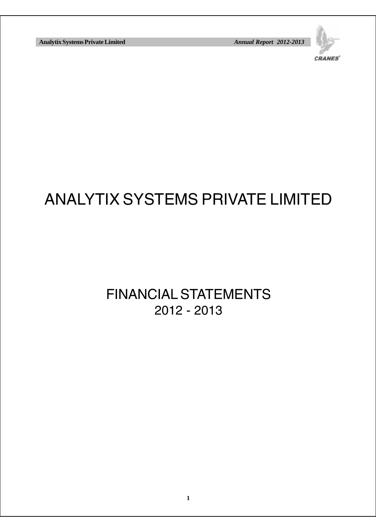*Annual Report 2012-2013*



# ANALYTIX SYSTEMS PRIVATE LIMITED

FINANCIAL STATEMENTS 2012 - 2013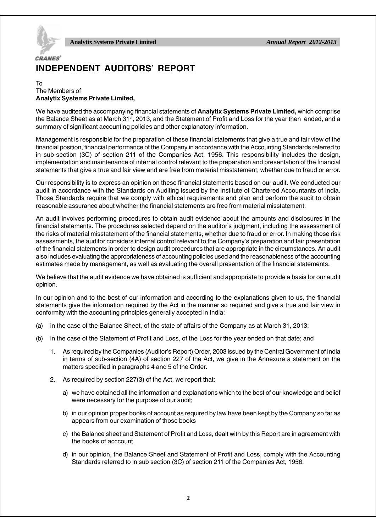

# **INDEPENDENT AUDITORS' REPORT**

#### To The Members of **Analytix Systems Private Limited,**

We have audited the accompanying financial statements of **Analytix Systems Private Limited,** which comprise the Balance Sheet as at March 31<sup>st</sup>, 2013, and the Statement of Profit and Loss for the year then ended, and a summary of significant accounting policies and other explanatory information.

Management is responsible for the preparation of these financial statements that give a true and fair view of the financial position, financial performance of the Company in accordance with the Accounting Standards referred to in sub-section (3C) of section 211 of the Companies Act, 1956. This responsibility includes the design, implementation and maintenance of internal control relevant to the preparation and presentation of the financial statements that give a true and fair view and are free from material misstatement, whether due to fraud or error.

Our responsibility is to express an opinion on these financial statements based on our audit. We conducted our audit in accordance with the Standards on Auditing issued by the Institute of Chartered Accountants of India. Those Standards require that we comply with ethical requirements and plan and perform the audit to obtain reasonable assurance about whether the financial statements are free from material misstatement.

An audit involves performing procedures to obtain audit evidence about the amounts and disclosures in the financial statements. The procedures selected depend on the auditor's judgment, including the assessment of the risks of material misstatement of the financial statements, whether due to fraud or error. In making those risk assessments, the auditor considers internal control relevant to the Company's preparation and fair presentation of the financial statements in order to design audit procedures that are appropriate in the circumstances. An audit also includes evaluating the appropriateness of accounting policies used and the reasonableness of the accounting estimates made by management, as well as evaluating the overall presentation of the financial statements.

We believe that the audit evidence we have obtained is sufficient and appropriate to provide a basis for our audit opinion.

In our opinion and to the best of our information and according to the explanations given to us, the financial statements give the information required by the Act in the manner so required and give a true and fair view in conformity with the accounting principles generally accepted in India:

- (a) in the case of the Balance Sheet, of the state of affairs of the Company as at March 31, 2013;
- (b) in the case of the Statement of Profit and Loss, of the Loss for the year ended on that date; and
	- 1. As required by the Companies (Auditor's Report) Order, 2003 issued by the Central Government of India in terms of sub-section (4A) of section 227 of the Act, we give in the Annexure a statement on the matters specified in paragraphs 4 and 5 of the Order.
	- 2. As required by section 227(3) of the Act, we report that:
		- a) we have obtained all the information and explanations which to the best of our knowledge and belief were necessary for the purpose of our audit;
		- b) in our opinion proper books of account as required by law have been kept by the Company so far as appears from our examination of those books
		- c) the Balance sheet and Statement of Profit and Loss, dealt with by this Report are in agreement with the books of acccount.
		- d) in our opinion, the Balance Sheet and Statement of Profit and Loss, comply with the Accounting Standards referred to in sub section (3C) of section 211 of the Companies Act, 1956;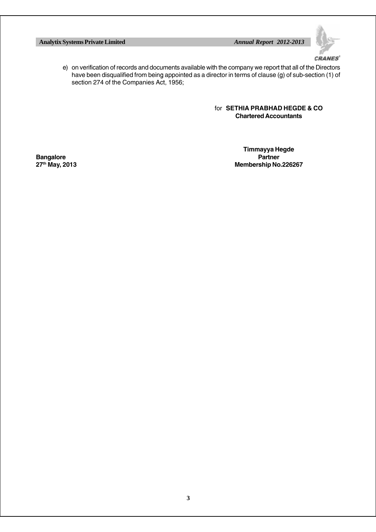*Annual Report 2012-2013*



e) on verification of records and documents available with the company we report that all of the Directors have been disqualified from being appointed as a director in terms of clause (g) of sub-section (1) of section 274 of the Companies Act, 1956;

> for **SETHIA PRABHAD HEGDE & CO Chartered Accountants**

**Bangalore**<br>27<sup>th</sup> May, 2013

**Timmayya Hegde 27th May, 2013 Membership No.226267**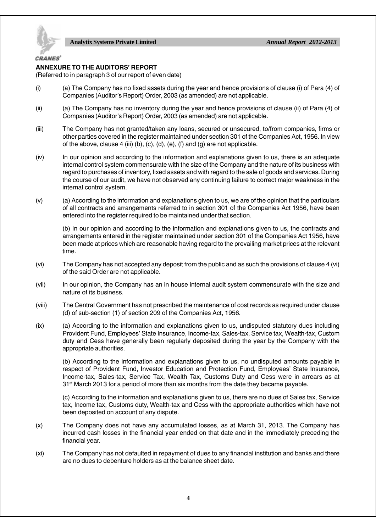

#### **CRANES**

#### **ANNEXURE TO THE AUDITORS' REPORT**

(Referred to in paragraph 3 of our report of even date)

- (i) (a) The Company has no fixed assets during the year and hence provisions of clause (i) of Para (4) of Companies (Auditor's Report) Order, 2003 (as amended) are not applicable.
- (ii) (a) The Company has no inventory during the year and hence provisions of clause (ii) of Para (4) of Companies (Auditor's Report) Order, 2003 (as amended) are not applicable.
- (iii) The Company has not granted/taken any loans, secured or unsecured, to/from companies, firms or other parties covered in the register maintained under section 301 of the Companies Act, 1956. In view of the above, clause 4 (iii) (b), (c), (d), (e), (f) and (g) are not applicable.
- (iv) In our opinion and according to the information and explanations given to us, there is an adequate internal control system commensurate with the size of the Company and the nature of its business with regard to purchases of inventory, fixed assets and with regard to the sale of goods and services. During the course of our audit, we have not observed any continuing failure to correct major weakness in the internal control system.
- (v) (a) According to the information and explanations given to us, we are of the opinion that the particulars of all contracts and arrangements referred to in section 301 of the Companies Act 1956, have been entered into the register required to be maintained under that section.

(b) In our opinion and according to the information and explanations given to us, the contracts and arrangements entered in the register maintained under section 301 of the Companies Act 1956, have been made at prices which are reasonable having regard to the prevailing market prices at the relevant time.

- (vi) The Company has not accepted any deposit from the public and as such the provisions of clause 4 (vi) of the said Order are not applicable.
- (vii) In our opinion, the Company has an in house internal audit system commensurate with the size and nature of its business.
- (viii) The Central Government has not prescribed the maintenance of cost records as required under clause (d) of sub-section (1) of section 209 of the Companies Act, 1956.
- (ix) (a) According to the information and explanations given to us, undisputed statutory dues including Provident Fund, Employees' State Insurance, Income-tax, Sales-tax, Service tax, Wealth-tax, Custom duty and Cess have generally been regularly deposited during the year by the Company with the appropriate authorities.

(b) According to the information and explanations given to us, no undisputed amounts payable in respect of Provident Fund, Investor Education and Protection Fund, Employees' State Insurance, Income-tax, Sales-tax, Service Tax, Wealth Tax, Customs Duty and Cess were in arrears as at  $31<sup>st</sup>$  March 2013 for a period of more than six months from the date they became payable.

(c) According to the information and explanations given to us, there are no dues of Sales tax, Service tax, Income tax, Customs duty, Wealth-tax and Cess with the appropriate authorities which have not been deposited on account of any dispute.

- (x) The Company does not have any accumulated losses, as at March 31, 2013. The Company has incurred cash losses in the financial year ended on that date and in the immediately preceding the financial year.
- (xi) The Company has not defaulted in repayment of dues to any financial institution and banks and there are no dues to debenture holders as at the balance sheet date.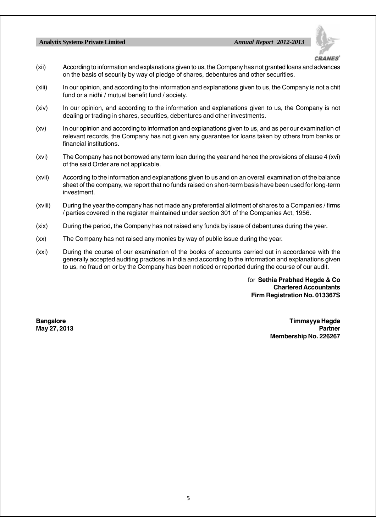*Annual Report 2012-2013*



- (xii) According to information and explanations given to us, the Company has not granted loans and advances on the basis of security by way of pledge of shares, debentures and other securities.
- (xiii) In our opinion, and according to the information and explanations given to us, the Company is not a chit fund or a nidhi / mutual benefit fund / society.
- (xiv) In our opinion, and according to the information and explanations given to us, the Company is not dealing or trading in shares, securities, debentures and other investments.
- (xv) In our opinion and according to information and explanations given to us, and as per our examination of relevant records, the Company has not given any guarantee for loans taken by others from banks or financial institutions.
- (xvi) The Company has not borrowed any term loan during the year and hence the provisions of clause 4 (xvi) of the said Order are not applicable.
- (xvii) According to the information and explanations given to us and on an overall examination of the balance sheet of the company, we report that no funds raised on short-term basis have been used for long-term investment.
- (xviii) During the year the company has not made any preferential allotment of shares to a Companies / firms / parties covered in the register maintained under section 301 of the Companies Act, 1956.
- (xix) During the period, the Company has not raised any funds by issue of debentures during the year.
- (xx) The Company has not raised any monies by way of public issue during the year.
- (xxi) During the course of our examination of the books of accounts carried out in accordance with the generally accepted auditing practices in India and according to the information and explanations given to us, no fraud on or by the Company has been noticed or reported during the course of our audit.

for **Sethia Prabhad Hegde & Co Chartered Accountants Firm Registration No. 013367S**

**Bangalore Timmayya Hegde May 27, 2013 Partner Membership No. 226267**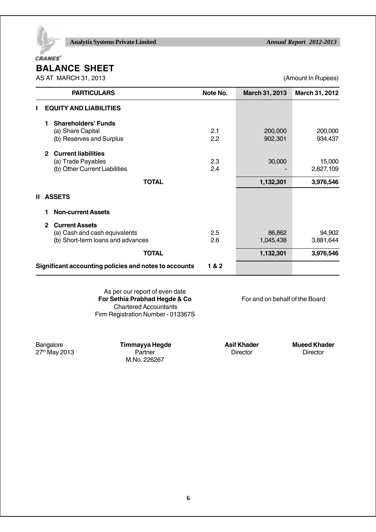

*Annual Report 2012-2013*

#### **CRANES**

**BALANCE SHEET**

AS AT MARCH 31, 2013 (Amount In Rupees)

|   | <b>PARTICULARS</b>                                    | Note No. | March 31, 2013 | March 31, 2012 |
|---|-------------------------------------------------------|----------|----------------|----------------|
|   | <b>EQUITY AND LIABILITIES</b>                         |          |                |                |
|   | <b>Shareholders' Funds</b>                            |          |                |                |
|   | (a) Share Capital                                     | 2.1      | 200,000        | 200,000        |
|   | (b) Reserves and Surplus                              | 2.2      | 902,301        | 934,437        |
|   | <b>Current liabilities</b><br>2                       |          |                |                |
|   | (a) Trade Payables                                    | 2.3      | 30,000         | 15,000         |
|   | (b) Other Current Liabilities                         | 2.4      |                | 2,827,109      |
|   | <b>TOTAL</b>                                          |          | 1,132,301      | 3,976,546      |
| Ш | <b>ASSETS</b>                                         |          |                |                |
|   | <b>Non-current Assets</b>                             |          |                |                |
|   | <b>Current Assets</b><br>$\mathbf{2}^{\circ}$         |          |                |                |
|   | (a) Cash and cash equivalents                         | 2.5      | 86,862         | 94,902         |
|   | (b) Short-term loans and advances                     | 2.6      | 1,045,438      | 3,881,644      |
|   | <b>TOTAL</b>                                          |          | 1,132,301      | 3,976,546      |
|   | Significant accounting policies and notes to accounts | 1 & 2    |                |                |

As per our report of even date **For Sethia Prabhad Hegde & Co** For and on behalf of the Board Chartered Accountants Firm Registration Number - 013367S

 $27<sup>th</sup>$  May 2013

M.No. 226267

Bangalore **Timmayya Hegde Asif Khader Mueed Khader**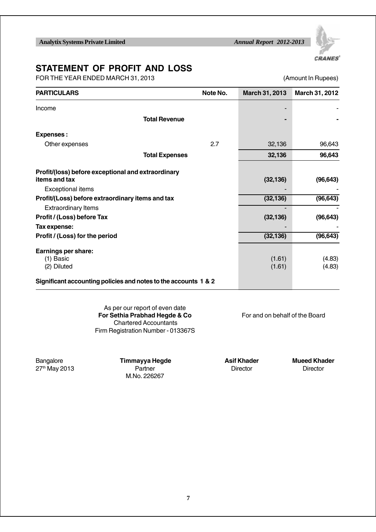*Annual Report 2012-2013*



## **STATEMENT OF PROFIT AND LOSS**

FOR THE YEAR ENDED MARCH 31, 2013 (Amount In Rupees)

| <b>PARTICULARS</b>                                                                              |                       | Note No. | March 31, 2013   | March 31, 2012   |
|-------------------------------------------------------------------------------------------------|-----------------------|----------|------------------|------------------|
| Income                                                                                          |                       |          |                  |                  |
|                                                                                                 | <b>Total Revenue</b>  |          |                  |                  |
| <b>Expenses:</b>                                                                                |                       |          |                  |                  |
| Other expenses                                                                                  |                       | 2.7      | 32,136           | 96,643           |
|                                                                                                 | <b>Total Expenses</b> |          | 32,136           | 96,643           |
| Profit/(loss) before exceptional and extraordinary<br>items and tax<br><b>Exceptional items</b> |                       |          | (32, 136)        | (96, 643)        |
| Profit/(Loss) before extraordinary items and tax<br><b>Extraordinary Items</b>                  |                       |          | (32, 136)        | (96, 643)        |
| Profit / (Loss) before Tax<br>Tax expense:                                                      |                       |          | (32, 136)        | (96, 643)        |
| Profit / (Loss) for the period                                                                  |                       |          | (32, 136)        | (96, 643)        |
| Earnings per share:<br>(1) Basic<br>(2) Diluted                                                 |                       |          | (1.61)<br>(1.61) | (4.83)<br>(4.83) |
| Cianificant coocunting nolicing and notes to the coocuntar 1, 8, 9                              |                       |          |                  |                  |

#### **Significant accounting policies and notes to the accounts 1 & 2**

As per our report of even date **For Sethia Prabhad Hegde & Co** For and on behalf of the Board Chartered Accountants Firm Registration Number - 013367S

 $27<sup>th</sup>$  May 2013

Bangalore **Timmayya Hegde Asif Khader Mueed Khader Mueed Khader** 27<sup>th</sup> May 2013 **The Asif Conservery Assembly** Director **CONS** Director M.No. 226267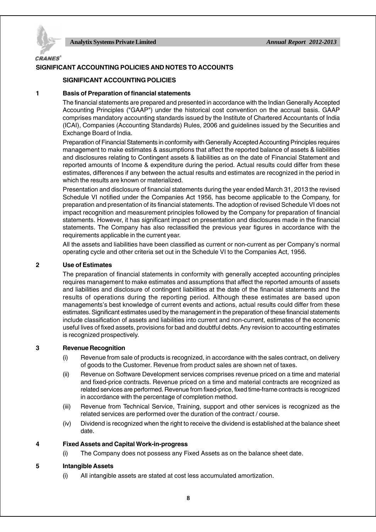

#### **SIGNIFICANT ACCOUNTING POLICIES AND NOTES TO ACCOUNTS**

#### **SIGNIFICANT ACCOUNTING POLICIES**

#### **1 Basis of Preparation of financial statements**

The financial statements are prepared and presented in accordance with the Indian Generally Accepted Accounting Principles ("GAAP") under the historical cost convention on the accrual basis. GAAP comprises mandatory accounting standards issued by the Institute of Chartered Accountants of India (ICAI), Companies (Accounting Standards) Rules, 2006 and guidelines issued by the Securities and Exchange Board of India.

Preparation of Financial Statements in conformity with Generally Accepted Accounting Principles requires management to make estimates & assumptions that affect the reported balance of assets & liabilities and disclosures relating to Contingent assets & liabilities as on the date of Financial Statement and reported amounts of Income & expenditure during the period. Actual results could differ from these estimates, differences if any between the actual results and estimates are recognized in the period in which the results are known or materialized.

Presentation and disclosure of financial statements during the year ended March 31, 2013 the revised Schedule VI notified under the Companies Act 1956, has become applicable to the Company, for preparation and presentation of its financial statements. The adoption of revised Schedule VI does not impact recognition and measurement principles followed by the Company for preparation of financial statements. However, it has significant impact on presentation and disclosures made in the financial statements. The Company has also reclassified the previous year figures in accordance with the requirements applicable in the current year.

All the assets and liabilities have been classified as current or non-current as per Company's normal operating cycle and other criteria set out in the Schedule VI to the Companies Act, 1956.

#### **2 Use of Estimates**

The preparation of financial statements in conformity with generally accepted accounting principles requires management to make estimates and assumptions that affect the reported amounts of assets and liabilities and disclosure of contingent liabilities at the date of the financial statements and the results of operations during the reporting period. Although these estimates are based upon managements's best knowledge of current events and actions, actual results could differ from these estimates. Significant estimates used by the management in the preparation of these financial statements include classification of assets and liabilities into current and non-current, estimates of the economic useful lives of fixed assets, provisions for bad and doubtful debts. Any revision to accounting estimates is recognized prospectively.

#### **3 Revenue Recognition**

- (i) Revenue from sale of products is recognized, in accordance with the sales contract, on delivery of goods to the Customer. Revenue from product sales are shown net of taxes.
- (ii) Revenue on Software Development services comprises revenue priced on a time and material and fixed-price contracts. Revenue priced on a time and material contracts are recognized as related services are performed. Revenue from fixed-price, fixed time-frame contracts is recognized in accordance with the percentage of completion method.
- (iii) Revenue from Technical Service, Training, support and other services is recognized as the related services are performed over the duration of the contract / course.
- (iv) Dividend is recognized when the right to receive the dividend is established at the balance sheet date.

#### **4 Fixed Assets and Capital Work-in-progress**

(i) The Company does not possess any Fixed Assets as on the balance sheet date.

#### **5 Intangible Assets**

(i) All intangible assets are stated at cost less accumulated amortization.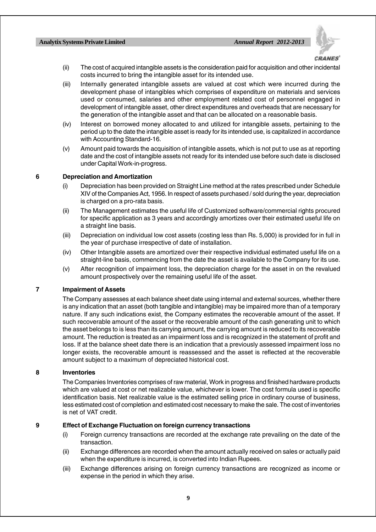

- (ii) The cost of acquired intangible assets is the consideration paid for acquisition and other incidental costs incurred to bring the intangible asset for its intended use.
- (iii) Internally generated intangible assets are valued at cost which were incurred during the development phase of intangibles which comprises of expenditure on materials and services used or consumed, salaries and other employment related cost of personnel engaged in development of intangible asset, other direct expenditures and overheads that are necessary for the generation of the intangible asset and that can be allocated on a reasonable basis.
- (iv) Interest on borrowed money allocated to and utilized for intangible assets, pertaining to the period up to the date the intangible asset is ready for its intended use, is capitalized in accordance with Accounting Standard-16.
- (v) Amount paid towards the acquisition of intangible assets, which is not put to use as at reporting date and the cost of intangible assets not ready for its intended use before such date is disclosed under Capital Work-in-progress.

#### **6 Depreciation and Amortization**

- (i) Depreciation has been provided on Straight Line method at the rates prescribed under Schedule XIV of the Companies Act, 1956. In respect of assets purchased / sold during the year, depreciation is charged on a pro-rata basis.
- (ii) The Management estimates the useful life of Customized software/commercial rights procured for specific application as 3 years and accordingly amortizes over their estimated useful life on a straight line basis.
- (iii) Depreciation on individual low cost assets (costing less than Rs. 5,000) is provided for in full in the year of purchase irrespective of date of installation.
- (iv) Other Intangible assets are amortized over their respective individual estimated useful life on a straight-line basis, commencing from the date the asset is available to the Company for its use.
- (v) After recognition of impairment loss, the depreciation charge for the asset in on the revalued amount prospectively over the remaining useful life of the asset.

#### **7 Impairment of Assets**

The Company assesses at each balance sheet date using internal and external sources, whether there is any indication that an asset (both tangible and intangible) may be impaired more than of a temporary nature. If any such indications exist, the Company estimates the recoverable amount of the asset. If such recoverable amount of the asset or the recoverable amount of the cash generating unit to which the asset belongs to is less than its carrying amount, the carrying amount is reduced to its recoverable amount. The reduction is treated as an impairment loss and is recognized in the statement of profit and loss. If at the balance sheet date there is an indication that a previously assessed impairment loss no longer exists, the recoverable amount is reassessed and the asset is reflected at the recoverable amount subject to a maximum of depreciated historical cost.

#### **8 Inventories**

The Companies Inventories comprises of raw material, Work in progress and finished hardware products which are valued at cost or net realizable value, whichever is lower. The cost formula used is specific identification basis. Net realizable value is the estimated selling price in ordinary course of business, less estimated cost of completion and estimated cost necessary to make the sale. The cost of inventories is net of VAT credit.

#### **9 Effect of Exchange Fluctuation on foreign currency transactions**

- (i) Foreign currency transactions are recorded at the exchange rate prevailing on the date of the transaction.
- (ii) Exchange differences are recorded when the amount actually received on sales or actually paid when the expenditure is incurred, is converted into Indian Rupees.
- (iii) Exchange differences arising on foreign currency transactions are recognized as income or expense in the period in which they arise.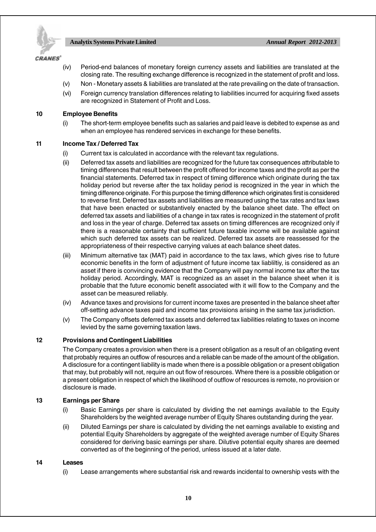

**CRANES** 

- (iv) Period-end balances of monetary foreign currency assets and liabilities are translated at the closing rate. The resulting exchange difference is recognized in the statement of profit and loss.
- (v) Non Monetary assets & liabilities are translated at the rate prevailing on the date of transaction.
- (vi) Foreign currency translation differences relating to liabilities incurred for acquiring fixed assets are recognized in Statement of Profit and Loss.

#### **10 Employee Benefits**

(i) The short-term employee benefits such as salaries and paid leave is debited to expense as and when an employee has rendered services in exchange for these benefits.

#### **11 Income Tax / Deferred Tax**

- (i) Current tax is calculated in accordance with the relevant tax regulations.
- (ii) Deferred tax assets and liabilities are recognized for the future tax consequences attributable to timing differences that result between the profit offered for income taxes and the profit as per the financial statements. Deferred tax in respect of timing difference which originate during the tax holiday period but reverse after the tax holiday period is recognized in the year in which the timing difference originate. For this purpose the timing difference which originates first is considered to reverse first. Deferred tax assets and liabilities are measured using the tax rates and tax laws that have been enacted or substantively enacted by the balance sheet date. The effect on deferred tax assets and liabilities of a change in tax rates is recognized in the statement of profit and loss in the year of charge. Deferred tax assets on timing differences are recognized only if there is a reasonable certainty that sufficient future taxable income will be available against which such deferred tax assets can be realized. Deferred tax assets are reassessed for the appropriateness of their respective carrying values at each balance sheet dates.
- (iii) Minimum alternative tax (MAT) paid in accordance to the tax laws, which gives rise to future economic benefits in the form of adjustment of future income tax liabliltiy, is considered as an asset if there is convincing evidence that the Company will pay normal income tax after the tax holiday period. Accordingly, MAT is recognized as an asset in the balance sheet when it is probable that the future economic benefit associated with it will flow to the Company and the asset can be measured reliably.
- (iv) Advance taxes and provisions for current income taxes are presented in the balance sheet after off-setting advance taxes paid and income tax provisions arising in the same tax jurisdiction.
- (v) The Company offsets deferred tax assets and deferred tax liabilities relating to taxes on income levied by the same governing taxation laws.

#### **12 Provisions and Contingent Liabilities**

The Company creates a provision when there is a present obligation as a result of an obligating event that probably requires an outflow of resources and a reliable can be made of the amount of the obligation. A disclosure for a contingent liability is made when there is a possible obligation or a present obligation that may, but probably will not, require an out flow of resources. Where there is a possible obligation or a present obligation in respect of which the likelihood of outflow of resources is remote, no provision or disclosure is made.

#### **13 Earnings per Share**

- (i) Basic Earnings per share is calculated by dividing the net earnings available to the Equity Shareholders by the weighted average number of Equity Shares outstanding during the year.
- (ii) Diluted Earnings per share is calculated by dividing the net earnings available to existing and potential Equity Shareholders by aggregate of the weighted average number of Equity Shares considered for deriving basic earnings per share. Dilutive potential equity shares are deemed converted as of the beginning of the period, unless issued at a later date.

#### **14 Leases**

(i) Lease arrangements where substantial risk and rewards incidental to ownership vests with the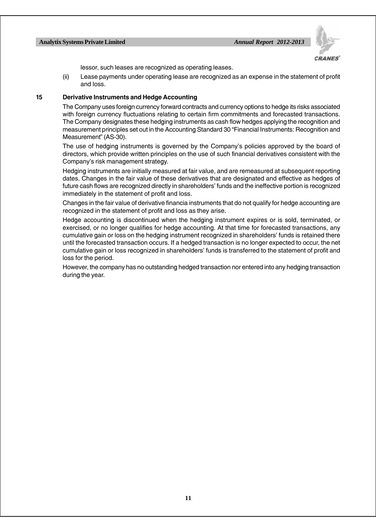*Annual Report 2012-2013*



lessor, such leases are recognized as operating leases.

(ii) Lease payments under operating lease are recognized as an expense in the statement of profit and loss.

#### **15 Derivative Instruments and Hedge Accounting**

The Company uses foreign currency forward contracts and currency options to hedge its risks associated with foreign currency fluctuations relating to certain firm commitments and forecasted transactions. The Company designates these hedging instruments as cash flow hedges applying the recognition and measurement principles set out in the Accounting Standard 30 "Financial Instruments: Recognition and Measurement" (AS-30).

The use of hedging instruments is governed by the Company's policies approved by the board of directors, which provide written principles on the use of such financial derivatives consistent with the Company's risk management strategy.

Hedging instruments are initially measured at fair value, and are remeasured at subsequent reporting dates. Changes in the fair value of these derivatives that are designated and effective as hedges of future cash flows are recognized directly in shareholders' funds and the ineffective portion is recognized immediately in the statement of profit and loss.

Changes in the fair value of derivative financia instruments that do not qualify for hedge accounting are recognized in the statement of profit and loss as they arise.

Hedge accounting is discontinued when the hedging instrument expires or is sold, terminated, or exercised, or no longer qualifies for hedge accounting. At that time for forecasted transactions, any cumulative gain or loss on the hedging instrument recognized in shareholders' funds is retained there until the forecasted transaction occurs. If a hedged transaction is no longer expected to occur, the net cumulative gain or loss recognized in shareholders' funds is transferred to the statement of profit and loss for the period.

However, the company has no outstanding hedged transaction nor entered into any hedging transaction during the year.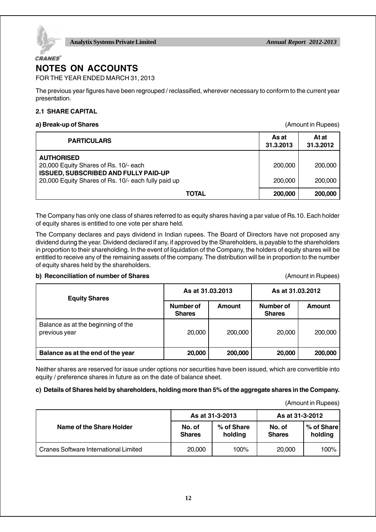

### *CRANES*

## **NOTES ON ACCOUNTS**

FOR THE YEAR ENDED MARCH 31, 2013

The previous year figures have been regrouped / reclassified, wherever necessary to conform to the current year presentation.

#### **2.1 SHARE CAPITAL**

#### **a) Break-up of Shares** (Amount in Rupees)

**PARTICULARS As at At at 31.3.2013 31.3.2012 AUTHORISED** 20,000 Equity Shares of Rs. 10/- each 200,000 200,000 **ISSUED, SUBSCRIBED AND FULLY PAID-UP** 20,000 Equity Shares of Rs. 10/- each fully paid up 200,000 200,000 **TOTAL 200,000 200,000**

The Company has only one class of shares referred to as equity shares having a par value of Rs.10. Each holder of equity shares is entitled to one vote per share held.

The Company declares and pays dividend in Indian rupees. The Board of Directors have not proposed any dividend during the year. Dividend declared if any, if approved by the Shareholders, is payable to the shareholders in proportion to their shareholding. In the event of liquidation of the Company, the holders of equity shares will be entitled to receive any of the remaining assets of the company. The distribution will be in proportion to the number of equity shares held by the shareholders.

**b) Reconciliation of number of Shares** (Amount in Rupees)

| <b>Equity Shares</b>                                | As at 31.03.2013<br>As at 31.03.2012 |         |                            |         |
|-----------------------------------------------------|--------------------------------------|---------|----------------------------|---------|
|                                                     | Number of<br><b>Shares</b>           | Amount  | Number of<br><b>Shares</b> | Amount  |
| Balance as at the beginning of the<br>previous year | 20,000                               | 200,000 | 20,000                     | 200,000 |
| Balance as at the end of the year                   | 20,000                               | 200,000 | 20,000                     | 200,000 |

Neither shares are reserved for issue under options nor securities have been issued, which are convertible into equity / preference shares in future as on the date of balance sheet.

#### **c) Details of Shares held by shareholders, holding more than 5% of the aggregate shares in the Company.**

(Amount in Rupees)

|                                       |                         | As at 31-3-2013       | As at 31-3-2012         |                       |  |
|---------------------------------------|-------------------------|-----------------------|-------------------------|-----------------------|--|
| Name of the Share Holder              | No. of<br><b>Shares</b> | % of Share<br>holding | No. of<br><b>Shares</b> | % of Share<br>holding |  |
| Cranes Software International Limited | 20,000                  | 100%                  | 20,000                  | $100\%$               |  |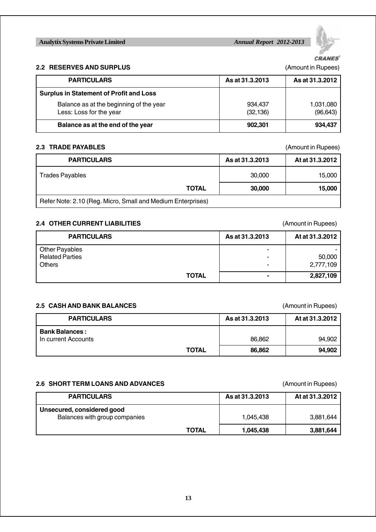*Annual Report 2012-2013*

### **2.2 RESERVES AND SURPLUS** (Amount in Rupees)

**Analytix Systems Private Limited**

| <b>PARTICULARS</b>                                                 | As at 31.3.2013      | As at 31.3.2012        |
|--------------------------------------------------------------------|----------------------|------------------------|
| <b>Surplus in Statement of Profit and Loss</b>                     |                      |                        |
| Balance as at the beginning of the year<br>Less: Loss for the year | 934.437<br>(32, 136) | 1,031,080<br>(96, 643) |
| Balance as at the end of the year                                  | 902,301              | 934,437                |

#### **2.3 TRADE PAYABLES** (Amount in Rupees)

| <b>PARTICULARS</b>                                          |              | As at 31.3.2013 | At at 31.3.2012 |
|-------------------------------------------------------------|--------------|-----------------|-----------------|
| <b>Trades Payables</b>                                      |              | 30,000          | 15,000          |
|                                                             | <b>TOTAL</b> | 30,000          | 15,000          |
| Refer Note: 2.10 (Reg. Micro, Small and Medium Enterprises) |              |                 |                 |

#### **2.4 OTHER CURRENT LIABILITIES** (Amount in Rupees)

| <b>PARTICULARS</b>                                               |              | As at 31.3.2013 | At at 31.3.2012     |
|------------------------------------------------------------------|--------------|-----------------|---------------------|
| <b>Other Payables</b><br><b>Related Parties</b><br><b>Others</b> |              |                 | 50,000<br>2,777,109 |
|                                                                  | <b>TOTAL</b> |                 | 2,827,109           |

#### **2.5 CASH AND BANK BALANCES** (Amount in Rupees)

| <b>PARTICULARS</b>                            |              | As at 31.3.2013 | At at 31.3.2012 |
|-----------------------------------------------|--------------|-----------------|-----------------|
| <b>Bank Balances :</b><br>In current Accounts |              | 86.862          | 94,902          |
|                                               | <b>TOTAL</b> | 86,862          | 94,902          |

#### **2.6 SHORT TERM LOANS AND ADVANCES** (Amount in Rupees)

| <b>PARTICULARS</b>                                          |              | As at 31.3.2013 | At at 31.3.2012 |  |
|-------------------------------------------------------------|--------------|-----------------|-----------------|--|
| Unsecured, considered good<br>Balances with group companies |              | 1,045,438       | 3,881,644       |  |
|                                                             | <b>TOTAL</b> | 1,045,438       | 3,881,644       |  |

# **CRANES**

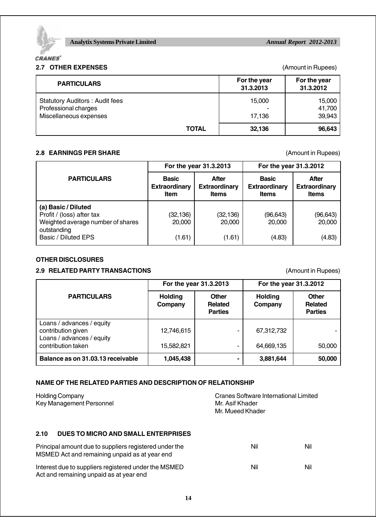

*Annual Report 2012-2013*

#### **CRANES**

#### **2.7 OTHER EXPENSES** (Amount in Rupees)

| <b>PARTICULARS</b>                                                                      |              | For the year<br>31.3.2013 | For the year<br>31.3.2012  |
|-----------------------------------------------------------------------------------------|--------------|---------------------------|----------------------------|
| <b>Statutory Auditors: Audit fees</b><br>Professional charges<br>Miscellaneous expenses |              | 15,000<br>17.136          | 15,000<br>41,700<br>39,943 |
|                                                                                         | <b>TOTAL</b> | 32,136                    | 96,643                     |

#### **2.8 EARNINGS PER SHARE** (Amount in Rupees)

|                                                                                                      |                                              | For the year 31.3.2013                        | For the year 31.3.2012                               |                                               |
|------------------------------------------------------------------------------------------------------|----------------------------------------------|-----------------------------------------------|------------------------------------------------------|-----------------------------------------------|
| <b>PARTICULARS</b>                                                                                   | <b>Basic</b><br>Extraordinary<br><b>Item</b> | After<br><b>Extraordinary</b><br><b>Items</b> | <b>Basic</b><br><b>Extraordinary</b><br><b>Items</b> | After<br><b>Extraordinary</b><br><b>Items</b> |
| (a) Basic / Diluted<br>Profit / (loss) after tax<br>Weighted average number of shares<br>outstanding | (32, 136)<br>20,000                          | (32, 136)<br>20,000                           | (96, 643)<br>20,000                                  | (96, 643)<br>20,000                           |
| Basic / Diluted EPS                                                                                  | (1.61)                                       | (1.61)                                        | (4.83)                                               | (4.83)                                        |

#### **OTHER DISCLOSURES**

### **2.9 RELATED PARTY TRANSACTIONS** (Amount in Rupees)

|                                                                              | For the year 31.3.2013    |                                    | For the year 31.3.2012    |                                           |
|------------------------------------------------------------------------------|---------------------------|------------------------------------|---------------------------|-------------------------------------------|
| <b>PARTICULARS</b>                                                           | <b>Holding</b><br>Company | Other<br>Related<br><b>Parties</b> | <b>Holding</b><br>Company | <b>Other</b><br>Related<br><b>Parties</b> |
| Loans / advances / equity<br>contribution given<br>Loans / advances / equity | 12,746,615                |                                    | 67,312,732                |                                           |
| contribution taken                                                           | 15,582,821                |                                    | 64,669,135                | 50,000                                    |
| Balance as on 31.03.13 receivable                                            | 1,045,438                 |                                    | 3,881,644                 | 50,000                                    |

#### **NAME OF THE RELATED PARTIES AND DESCRIPTION OF RELATIONSHIP**

| <b>Holding Company</b><br>Key Management Personnel                                                      | Cranes Software International Limited<br>Mr. Asif Khader<br>Mr. Mueed Khader |     |
|---------------------------------------------------------------------------------------------------------|------------------------------------------------------------------------------|-----|
| 2.10<br>DUES TO MICRO AND SMALL ENTERPRISES                                                             |                                                                              |     |
| Principal amount due to suppliers registered under the<br>MSMED Act and remaining unpaid as at year end | Nil                                                                          | Nil |
| Interest due to suppliers registered under the MSMED<br>Act and remaining unpaid as at year end         | Nil                                                                          | Nil |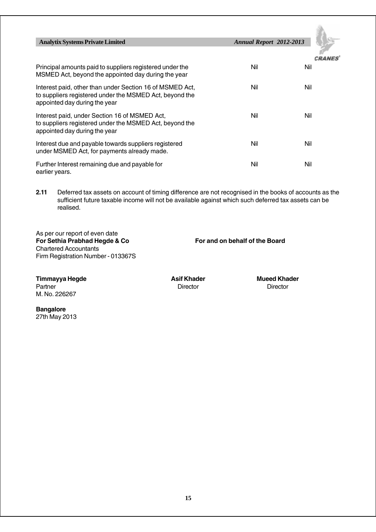| <b>Analytix Systems Private Limited</b>                                                                                                              | <b>Annual Report 2012-2013</b> |               |
|------------------------------------------------------------------------------------------------------------------------------------------------------|--------------------------------|---------------|
|                                                                                                                                                      |                                | <b>CRANES</b> |
| Principal amounts paid to suppliers registered under the<br>MSMED Act, beyond the appointed day during the year                                      | Nil                            | Nil           |
| Interest paid, other than under Section 16 of MSMED Act,<br>to suppliers registered under the MSMED Act, beyond the<br>appointed day during the year | Nil                            | Nil           |
| Interest paid, under Section 16 of MSMED Act,<br>to suppliers registered under the MSMED Act, beyond the<br>appointed day during the year            | Nil                            | Nil           |
| Interest due and payable towards suppliers registered<br>under MSMED Act, for payments already made.                                                 | Nil                            | Nil           |
| Further Interest remaining due and payable for<br>earlier years.                                                                                     | Nil                            | Nil           |

**2.11** Deferred tax assets on account of timing difference are not recognised in the books of accounts as the sufficient future taxable income will not be available against which such deferred tax assets can be realised.

As per our report of even date For Sethia Prabhad Hegde & Co **For and on behalf of the Board** Chartered Accountants Firm Registration Number - 013367S

**Timmayya Hegde Asif Khader Asif Khader Asif Khader** Partner Mueed Khader Partner Asid Reported Khader Partner Mueed Changer Asia Director Director Asia Director Asia Director Asia Director Asia Director Asia Director Asia Partner Director Director M. No. 226267

**Bangalore** 27th May 2013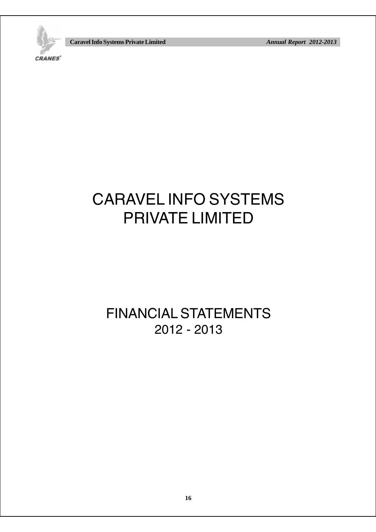

*Annual Report 2012-2013*

# CARAVEL INFO SYSTEMS PRIVATE LIMITED

# FINANCIAL STATEMENTS 2012 - 2013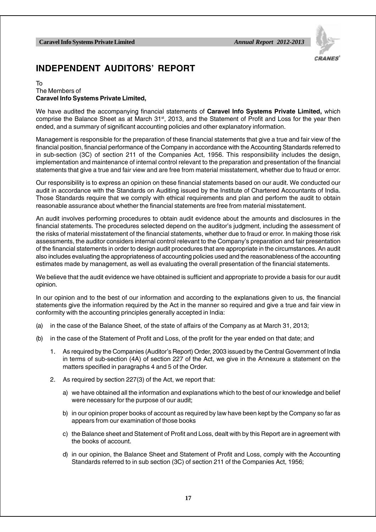

## **INDEPENDENT AUDITORS' REPORT**

#### To The Members of **Caravel Info Systems Private Limited,**

We have audited the accompanying financial statements of **Caravel Info Systems Private Limited,** which comprise the Balance Sheet as at March 31<sup>st</sup>, 2013, and the Statement of Profit and Loss for the year then ended, and a summary of significant accounting policies and other explanatory information.

Management is responsible for the preparation of these financial statements that give a true and fair view of the financial position, financial performance of the Company in accordance with the Accounting Standards referred to in sub-section (3C) of section 211 of the Companies Act, 1956. This responsibility includes the design, implementation and maintenance of internal control relevant to the preparation and presentation of the financial statements that give a true and fair view and are free from material misstatement, whether due to fraud or error.

Our responsibility is to express an opinion on these financial statements based on our audit. We conducted our audit in accordance with the Standards on Auditing issued by the Institute of Chartered Accountants of India. Those Standards require that we comply with ethical requirements and plan and perform the audit to obtain reasonable assurance about whether the financial statements are free from material misstatement.

An audit involves performing procedures to obtain audit evidence about the amounts and disclosures in the financial statements. The procedures selected depend on the auditor's judgment, including the assessment of the risks of material misstatement of the financial statements, whether due to fraud or error. In making those risk assessments, the auditor considers internal control relevant to the Company's preparation and fair presentation of the financial statements in order to design audit procedures that are appropriate in the circumstances. An audit also includes evaluating the appropriateness of accounting policies used and the reasonableness of the accounting estimates made by management, as well as evaluating the overall presentation of the financial statements.

We believe that the audit evidence we have obtained is sufficient and appropriate to provide a basis for our audit opinion.

In our opinion and to the best of our information and according to the explanations given to us, the financial statements give the information required by the Act in the manner so required and give a true and fair view in conformity with the accounting principles generally accepted in India:

- (a) in the case of the Balance Sheet, of the state of affairs of the Company as at March 31, 2013;
- (b) in the case of the Statement of Profit and Loss, of the profit for the year ended on that date; and
	- 1. As required by the Companies (Auditor's Report) Order, 2003 issued by the Central Government of India in terms of sub-section (4A) of section 227 of the Act, we give in the Annexure a statement on the matters specified in paragraphs 4 and 5 of the Order.
	- 2. As required by section 227(3) of the Act, we report that:
		- a) we have obtained all the information and explanations which to the best of our knowledge and belief were necessary for the purpose of our audit;
		- b) in our opinion proper books of account as required by law have been kept by the Company so far as appears from our examination of those books
		- c) the Balance sheet and Statement of Profit and Loss, dealt with by this Report are in agreement with the books of account.
		- d) in our opinion, the Balance Sheet and Statement of Profit and Loss, comply with the Accounting Standards referred to in sub section (3C) of section 211 of the Companies Act, 1956;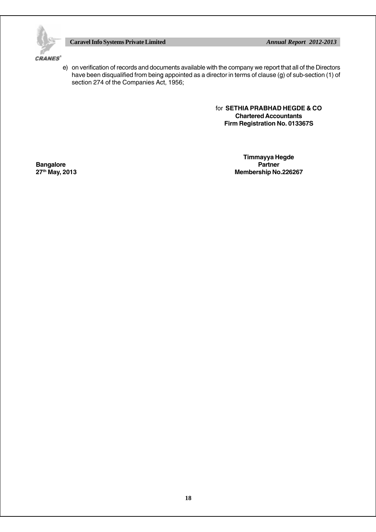

*Annual Report 2012-2013*

- **CRANES** 
	- e) on verification of records and documents available with the company we report that all of the Directors have been disqualified from being appointed as a director in terms of clause (g) of sub-section (1) of section 274 of the Companies Act, 1956;

#### for **SETHIA PRABHAD HEGDE & CO Chartered Accountants Firm Registration No. 013367S**

**Timmayya Hegde Bangalore** Partner Partner Partner Partner Partner Partner Partner Partner Partner **27th May, 2013 Membership No.226267**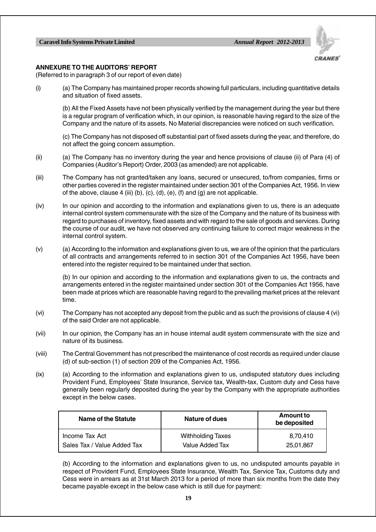*Annual Report 2012-2013*



#### **ANNEXURE TO THE AUDITORS' REPORT**

(Referred to in paragraph 3 of our report of even date)

(i) (a) The Company has maintained proper records showing full particulars, including quantitative details and situation of fixed assets.

(b) All the Fixed Assets have not been physically verified by the management during the year but there is a regular program of verification which, in our opinion, is reasonable having regard to the size of the Company and the nature of its assets. No Material discrepancies were noticed on such verification.

(c) The Company has not disposed off substantial part of fixed assets during the year, and therefore, do not affect the going concern assumption.

- (ii) (a) The Company has no inventory during the year and hence provisions of clause (ii) of Para (4) of Companies (Auditor's Report) Order, 2003 (as amended) are not applicable.
- (iii) The Company has not granted/taken any loans, secured or unsecured, to/from companies, firms or other parties covered in the register maintained under section 301 of the Companies Act, 1956. In view of the above, clause 4 (iii) (b), (c), (d), (e), (f) and (g) are not applicable.
- (iv) In our opinion and according to the information and explanations given to us, there is an adequate internal control system commensurate with the size of the Company and the nature of its business with regard to purchases of inventory, fixed assets and with regard to the sale of goods and services. During the course of our audit, we have not observed any continuing failure to correct major weakness in the internal control system.
- (v) (a) According to the information and explanations given to us, we are of the opinion that the particulars of all contracts and arrangements referred to in section 301 of the Companies Act 1956, have been entered into the register required to be maintained under that section.

(b) In our opinion and according to the information and explanations given to us, the contracts and arrangements entered in the register maintained under section 301 of the Companies Act 1956, have been made at prices which are reasonable having regard to the prevailing market prices at the relevant time.

- (vi) The Company has not accepted any deposit from the public and as such the provisions of clause 4 (vi) of the said Order are not applicable.
- (vii) In our opinion, the Company has an in house internal audit system commensurate with the size and nature of its business.
- (viii) The Central Government has not prescribed the maintenance of cost records as required under clause (d) of sub-section (1) of section 209 of the Companies Act, 1956.
- (ix) (a) According to the information and explanations given to us, undisputed statutory dues including Provident Fund, Employees' State Insurance, Service tax, Wealth-tax, Custom duty and Cess have generally been regularly deposited during the year by the Company with the appropriate authorities except in the below cases.

| Name of the Statute         | Nature of dues           | Amount to<br>be deposited |
|-----------------------------|--------------------------|---------------------------|
| Income Tax Act              | <b>Withholding Taxes</b> | 8.70.410                  |
| Sales Tax / Value Added Tax | Value Added Tax          | 25.01.867                 |

(b) According to the information and explanations given to us, no undisputed amounts payable in respect of Provident Fund, Employees State Insurance, Wealth Tax, Service Tax, Customs duty and Cess were in arrears as at 31st March 2013 for a period of more than six months from the date they became payable except in the below case which is still due for payment: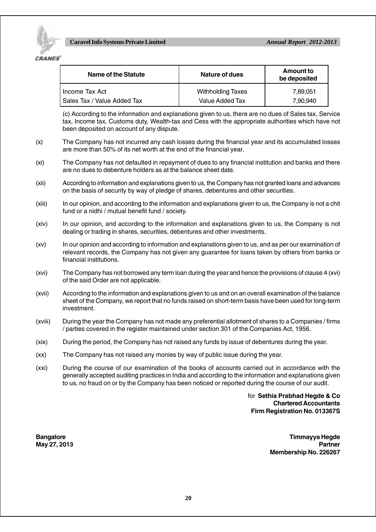

**CRANES** 

| Name of the Statute           | Nature of dues           | Amount to<br>be deposited |
|-------------------------------|--------------------------|---------------------------|
| Income Tax Act                | <b>Withholding Taxes</b> | 7.89.051                  |
| l Sales Tax / Value Added Tax | Value Added Tax          | 7.90.940                  |

(c) According to the information and explanations given to us, there are no dues of Sales tax, Service tax, Income tax, Customs duty, Wealth-tax and Cess with the appropriate authorities which have not been deposited on account of any dispute.

- (x) The Company has not incurred any cash losses during the financial year and its accumulated losses are more than 50% of its net worth at the end of the financial year.
- (xi) The Company has not defaulted in repayment of dues to any financial institution and banks and there are no dues to debenture holders as at the balance sheet date.
- (xii) According to information and explanations given to us, the Company has not granted loans and advances on the basis of security by way of pledge of shares, debentures and other securities.
- (xiii) In our opinion, and according to the information and explanations given to us, the Company is not a chit fund or a nidhi / mutual benefit fund / society.
- (xiv) In our opinion, and according to the information and explanations given to us, the Company is not dealing or trading in shares, securities, debentures and other investments.
- (xv) In our opinion and according to information and explanations given to us, and as per our examination of relevant records, the Company has not given any guarantee for loans taken by others from banks or financial institutions.
- (xvi) The Company has not borrowed any term loan during the year and hence the provisions of clause 4 (xvi) of the said Order are not applicable.
- (xvii) According to the information and explanations given to us and on an overall examination of the balance sheet of the Company, we report that no funds raised on short-term basis have been used for long-term investment.
- (xviii) During the year the Company has not made any preferential allotment of shares to a Companies / firms / parties covered in the register maintained under section 301 of the Companies Act, 1956.
- (xix) During the period, the Company has not raised any funds by issue of debentures during the year.
- (xx) The Company has not raised any monies by way of public issue during the year.
- (xxi) During the course of our examination of the books of accounts carried out in accordance with the generally accepted auditing practices in India and according to the information and explanations given to us, no fraud on or by the Company has been noticed or reported during the course of our audit.

for **Sethia Prabhad Hegde & Co Chartered Accountants Firm Registration No. 013367S**

**Bangalore Timmayya Hegde May 27, 2013 Partner Membership No. 226267**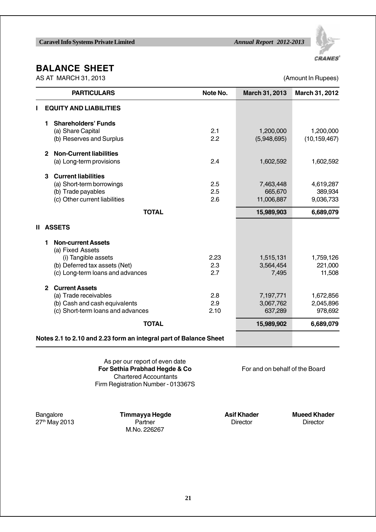*Annual Report 2012-2013*



## **BALANCE SHEET**

AS AT MARCH 31, 2013 (Amount In Rupees)

|   |              | <b>PARTICULARS</b>                                                | Note No. | March 31, 2013 | March 31, 2012 |
|---|--------------|-------------------------------------------------------------------|----------|----------------|----------------|
|   |              | <b>EQUITY AND LIABILITIES</b>                                     |          |                |                |
|   | 1.           | <b>Shareholders' Funds</b>                                        |          |                |                |
|   |              | (a) Share Capital                                                 | 2.1      | 1,200,000      | 1,200,000      |
|   |              | (b) Reserves and Surplus                                          | 2.2      | (5,948,695)    | (10, 159, 467) |
|   | $\mathbf{2}$ | <b>Non-Current liabilities</b>                                    |          |                |                |
|   |              | (a) Long-term provisions                                          | 2.4      | 1,602,592      | 1,602,592      |
|   | 3            | <b>Current liabilities</b>                                        |          |                |                |
|   |              | (a) Short-term borrowings                                         | 2.5      | 7,463,448      | 4,619,287      |
|   |              | (b) Trade payables                                                | 2.5      | 665,670        | 389,934        |
|   |              | (c) Other current liabilities                                     | 2.6      | 11,006,887     | 9,036,733      |
|   |              | <b>TOTAL</b>                                                      |          | 15,989,903     | 6,689,079      |
| Ш |              | <b>ASSETS</b>                                                     |          |                |                |
|   |              | <b>Non-current Assets</b>                                         |          |                |                |
|   |              | (a) Fixed Assets                                                  |          |                |                |
|   |              | (i) Tangible assets                                               | 2.23     | 1,515,131      | 1,759,126      |
|   |              | (b) Deferred tax assets (Net)                                     | 2.3      | 3,564,454      | 221,000        |
|   |              | (c) Long-term loans and advances                                  | 2.7      | 7,495          | 11,508         |
|   | $\mathbf{2}$ | <b>Current Assets</b>                                             |          |                |                |
|   |              | (a) Trade receivables                                             | 2.8      | 7,197,771      | 1,672,856      |
|   |              | (b) Cash and cash equivalents                                     | 2.9      | 3,067,762      | 2,045,896      |
|   |              | (c) Short-term loans and advances                                 | 2.10     | 637,289        | 978,692        |
|   |              | <b>TOTAL</b>                                                      |          | 15,989,902     | 6,689,079      |
|   |              | Notes 2.1 to 2.10 and 2.23 form an integral part of Balance Sheet |          |                |                |

As per our report of even date **For Sethia Prabhad Hegde & Co** For and on behalf of the Board Chartered Accountants Firm Registration Number - 013367S

 $27<sup>th</sup>$  May 2013

Bangalore **Timmayya Hegde Asif Khader Mueed Khader** Bangalore **Mueed Khader Timmayya Hegde Asif Khader Mueed Khader Partner Director Director** M.No. 226267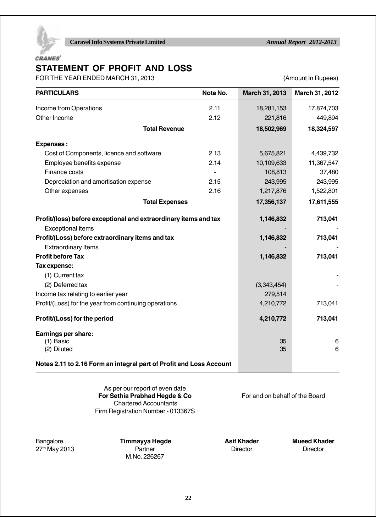

*Annual Report 2012-2013*

#### **CRANES**

## **STATEMENT OF PROFIT AND LOSS**

FOR THE YEAR ENDED MARCH 31, 2013 (Amount In Rupees)

| <b>PARTICULARS</b>                                                  | Note No. | March 31, 2013 | March 31, 2012 |
|---------------------------------------------------------------------|----------|----------------|----------------|
| Income from Operations                                              | 2.11     | 18,281,153     | 17,874,703     |
| Other Income                                                        | 2.12     | 221,816        | 449,894        |
| <b>Total Revenue</b>                                                |          | 18,502,969     | 18,324,597     |
| <b>Expenses:</b>                                                    |          |                |                |
| Cost of Components, licence and software                            | 2.13     | 5,675,821      | 4,439,732      |
| Employee benefits expense                                           | 2.14     | 10,109,633     | 11,367,547     |
| Finance costs                                                       |          | 108,813        | 37,480         |
| Depreciation and amortisation expense                               | 2.15     | 243,995        | 243,995        |
| Other expenses                                                      | 2.16     | 1,217,876      | 1,522,801      |
| <b>Total Expenses</b>                                               |          | 17,356,137     | 17,611,555     |
| Profit/(loss) before exceptional and extraordinary items and tax    |          | 1,146,832      | 713,041        |
| <b>Exceptional items</b>                                            |          |                |                |
| Profit/(Loss) before extraordinary items and tax                    |          | 1,146,832      | 713,041        |
| <b>Extraordinary Items</b>                                          |          |                |                |
| <b>Profit before Tax</b>                                            |          | 1,146,832      | 713,041        |
| Tax expense:                                                        |          |                |                |
| (1) Current tax                                                     |          |                |                |
| (2) Deferred tax                                                    |          | (3,343,454)    |                |
| Income tax relating to earlier year                                 |          | 279,514        |                |
| Profit/(Loss) for the year from continuing operations               |          | 4,210,772      | 713,041        |
| Profit/(Loss) for the period                                        |          | 4,210,772      | 713,041        |
| Earnings per share:<br>(1) Basic<br>(2) Diluted                     |          | 35<br>35       | 6<br>6         |
| Notes 2.11 to 2.16 Form an integral part of Profit and Loss Account |          |                |                |

As per our report of even date **For Sethia Prabhad Hegde & Co** For and on behalf of the Board Chartered Accountants Firm Registration Number - 013367S

 $27<sup>th</sup>$  May 2013

Bangalore **Timmayya Hegde Asif Khader Mueed Khader Mueed Khader Partner Partner Consumering Consumer Service Consumer Consumer Consumering Consumering Consumering Consumering Consumering Consumering Consumering** M.No. 226267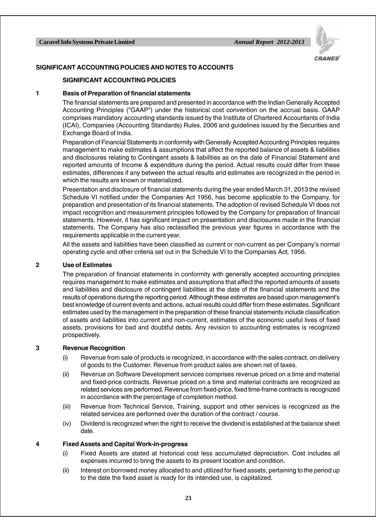

#### **SIGNIFICANT ACCOUNTING POLICIES AND NOTES TO ACCOUNTS**

#### **SIGNIFICANT ACCOUNTING POLICIES**

#### **1 Basis of Preparation of financial statements**

The financial statements are prepared and presented in accordance with the Indian Generally Accepted Accounting Principles ("GAAP") under the historical cost convention on the accrual basis. GAAP comprises mandatory accounting standards issued by the Institute of Chartered Accountants of India (ICAI), Companies (Accounting Standards) Rules, 2006 and guidelines issued by the Securities and Exchange Board of India.

Preparation of Financial Statements in conformity with Generally Accepted Accounting Principles requires management to make estimates & assumptions that affect the reported balance of assets & liabilities and disclosures relating to Contingent assets & liabilities as on the date of Financial Statement and reported amounts of Income & expenditure during the period. Actual results could differ from these estimates, differences if any between the actual results and estimates are recognized in the period in which the results are known or materialized.

Presentation and disclosure of financial statements during the year ended March 31, 2013 the revised Schedule VI notified under the Companies Act 1956, has become applicable to the Company, for preparation and presentation of its financial statements. The adoption of revised Schedule VI does not impact recognition and measurement principles followed by the Company for preparation of financial statements. However, it has significant impact on presentation and disclosures made in the financial statements. The Company has also reclassified the previous year figures in accordance with the requirements applicable in the current year.

All the assets and liabilities have been classified as current or non-current as per Company's normal operating cycle and other criteria set out in the Schedule VI to the Companies Act, 1956.

#### **2 Use of Estimates**

The preparation of financial statements in conformity with generally accepted accounting principles requires management to make estimates and assumptions that affect the reported amounts of assets and liabilities and disclosure of contingent liabilities at the date of the financial statements and the results of operations during the reporting period. Although these estimates are based upon management's best knowledge of current events and actions, actual results could differ from these estimates. Significant estimates used by the management in the preparation of these financial statements include classification of assets and liabilities into current and non-current, estimates of the economic useful lives of fixed assets, provisions for bad and doubtful debts. Any revision to accounting estimates is recognized prospectively.

#### **3 Revenue Recognition**

- (i) Revenue from sale of products is recognized, in accordance with the sales contract, on delivery of goods to the Customer. Revenue from product sales are shown net of taxes.
- (ii) Revenue on Software Development services comprises revenue priced on a time and material and fixed-price contracts. Revenue priced on a time and material contracts are recognized as related services are performed. Revenue from fixed-price, fixed time-frame contracts is recognized in accordance with the percentage of completion method.
- (iii) Revenue from Technical Service, Training, support and other services is recognized as the related services are performed over the duration of the contract / course.
- (iv) Dividend is recognized when the right to receive the dividend is established at the balance sheet date.

#### **4 Fixed Assets and Capital Work-in-progress**

- (i) Fixed Assets are stated at historical cost less accumulated depreciation. Cost includes all expenses incurred to bring the assets to its present location and condition.
- (ii) Interest on borrowed money allocated to and utilized for fixed assets, pertaining to the period up to the date the fixed asset is ready for its intended use, is capitalized.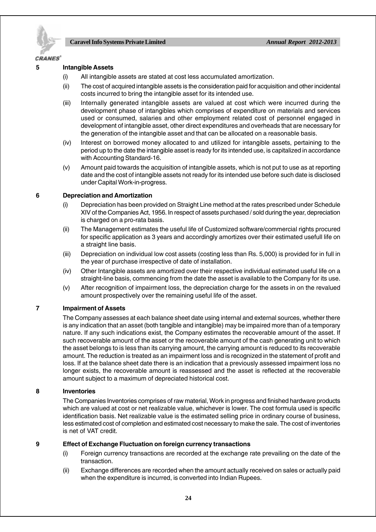

#### **CRANES**

#### **5 Intangible Assets**

- (i) All intangible assets are stated at cost less accumulated amortization.
- (ii) The cost of acquired intangible assets is the consideration paid for acquisition and other incidental costs incurred to bring the intangible asset for its intended use.
- (iii) Internally generated intangible assets are valued at cost which were incurred during the development phase of intangibles which comprises of expenditure on materials and services used or consumed, salaries and other employment related cost of personnel engaged in development of intangible asset, other direct expenditures and overheads that are necessary for the generation of the intangible asset and that can be allocated on a reasonable basis.
- (iv) Interest on borrowed money allocated to and utilized for intangible assets, pertaining to the period up to the date the intangible asset is ready for its intended use, is capitalized in accordance with Accounting Standard-16.
- (v) Amount paid towards the acquisition of intangible assets, which is not put to use as at reporting date and the cost of intangible assets not ready for its intended use before such date is disclosed under Capital Work-in-progress.

#### **6 Depreciation and Amortization**

- (i) Depreciation has been provided on Straight Line method at the rates prescribed under Schedule XIV of the Companies Act, 1956. In respect of assets purchased / sold during the year, depreciation is charged on a pro-rata basis.
- (ii) The Management estimates the useful life of Customized software/commercial rights procured for specific application as 3 years and accordingly amortizes over their estimated usefull life on a straight line basis.
- (iii) Depreciation on individual low cost assets (costing less than Rs. 5,000) is provided for in full in the year of purchase irrespective of date of installation.
- (iv) Other Intangible assets are amortized over their respective individual estimated useful life on a straight-line basis, commencing from the date the asset is available to the Company for its use.
- (v) After recognition of impairment loss, the depreciation charge for the assets in on the revalued amount prospectively over the remaining useful life of the asset.

#### **7 Impairment of Assets**

The Company assesses at each balance sheet date using internal and external sources, whether there is any indication that an asset (both tangible and intangible) may be impaired more than of a temporary nature. If any such indications exist, the Company estimates the recoverable amount of the asset. If such recoverable amount of the asset or the recoverable amount of the cash generating unit to which the asset belongs to is less than its carrying amount, the carrying amount is reduced to its recoverable amount. The reduction is treated as an impairment loss and is recognized in the statement of profit and loss. If at the balance sheet date there is an indication that a previously assessed impairment loss no longer exists, the recoverable amount is reassessed and the asset is reflected at the recoverable amount subject to a maximum of depreciated historical cost.

#### **8 Inventories**

The Companies Inventories comprises of raw material, Work in progress and finished hardware products which are valued at cost or net realizable value, whichever is lower. The cost formula used is specific identification basis. Net realizable value is the estimated selling price in ordinary course of business, less estimated cost of completion and estimated cost necessary to make the sale. The cost of inventories is net of VAT credit.

**9 Effect of Exchange Fluctuation on foreign currency transactions**

- (i) Foreign currency transactions are recorded at the exchange rate prevailing on the date of the transaction.
- (ii) Exchange differences are recorded when the amount actually received on sales or actually paid when the expenditure is incurred, is converted into Indian Rupees.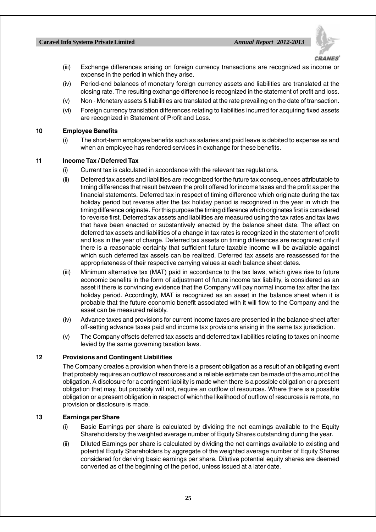

- (iii) Exchange differences arising on foreign currency transactions are recognized as income or expense in the period in which they arise.
- (iv) Period-end balances of monetary foreign currency assets and liabilities are translated at the closing rate. The resulting exchange difference is recognized in the statement of profit and loss.
- (v) Non Monetary assets & liabilities are translated at the rate prevailing on the date of transaction.
- (vi) Foreign currency translation differences relating to liabilities incurred for acquiring fixed assets are recognized in Statement of Profit and Loss.

#### **10 Employee Benefits**

(i) The short-term employee benefits such as salaries and paid leave is debited to expense as and when an employee has rendered services in exchange for these benefits.

#### **11 Income Tax / Deferred Tax**

- (i) Current tax is calculated in accordance with the relevant tax regulations.
- (ii) Deferred tax assets and liabilities are recognized for the future tax consequences attributable to timing differences that result between the profit offered for income taxes and the profit as per the financial statements. Deferred tax in respect of timing difference which originate during the tax holiday period but reverse after the tax holiday period is recognized in the year in which the timing difference originate. For this purpose the timing difference which originates first is considered to reverse first. Deferred tax assets and liabilities are measured using the tax rates and tax laws that have been enacted or substantively enacted by the balance sheet date. The effect on deferred tax assets and liabilities of a change in tax rates is recognized in the statement of profit and loss in the year of charge. Deferred tax assets on timing differences are recognized only if there is a reasonable certainty that sufficient future taxable income will be available against which such deferred tax assets can be realized. Deferred tax assets are reassessed for the appropriateness of their respective carrying values at each balance sheet dates.
- (iii) Minimum alternative tax (MAT) paid in accordance to the tax laws, which gives rise to future economic benefits in the form of adjustment of future income tax liability, is considered as an asset if there is convincing evidence that the Company will pay normal income tax after the tax holiday period. Accordingly, MAT is recognized as an asset in the balance sheet when it is probable that the future economic benefit associated with it will flow to the Company and the asset can be measured reliably.
- (iv) Advance taxes and provisions for current income taxes are presented in the balance sheet after off-setting advance taxes paid and income tax provisions arising in the same tax jurisdiction.
- (v) The Company offsets deferred tax assets and deferred tax liabilities relating to taxes on income levied by the same governing taxation laws.

#### **12 Provisions and Contingent Liabilities**

The Company creates a provision when there is a present obligation as a result of an obligating event that probably requires an outflow of resources and a reliable estimate can be made of the amount of the obligation. A disclosure for a contingent liability is made when there is a possible obligation or a present obligation that may, but probably will not, require an outflow of resources. Where there is a possible obligation or a present obligation in respect of which the likelihood of outflow of resources is remote, no provision or disclosure is made.

#### **13 Earnings per Share**

- (i) Basic Earnings per share is calculated by dividing the net earnings available to the Equity Shareholders by the weighted average number of Equity Shares outstanding during the year.
- (ii) Diluted Earnings per share is calculated by dividing the net earnings available to existing and potential Equity Shareholders by aggregate of the weighted average number of Equity Shares considered for deriving basic earnings per share. Dilutive potential equity shares are deemed converted as of the beginning of the period, unless issued at a later date.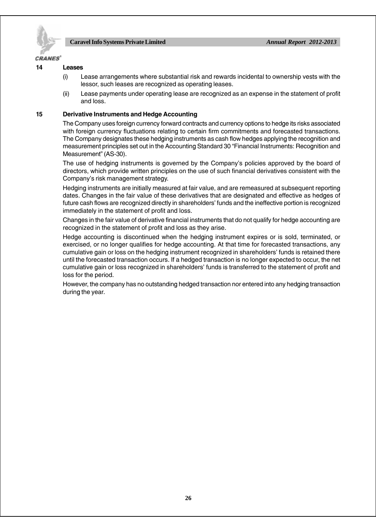

#### **CRANES**

#### **14 Leases**

- (i) Lease arrangements where substantial risk and rewards incidental to ownership vests with the lessor, such leases are recognized as operating leases.
- (ii) Lease payments under operating lease are recognized as an expense in the statement of profit and loss.

#### **15 Derivative Instruments and Hedge Accounting**

The Company uses foreign currency forward contracts and currency options to hedge its risks associated with foreign currency fluctuations relating to certain firm commitments and forecasted transactions. The Company designates these hedging instruments as cash flow hedges applying the recognition and measurement principles set out in the Accounting Standard 30 "Financial Instruments: Recognition and Measurement" (AS-30).

The use of hedging instruments is governed by the Company's policies approved by the board of directors, which provide written principles on the use of such financial derivatives consistent with the Company's risk management strategy.

Hedging instruments are initially measured at fair value, and are remeasured at subsequent reporting dates. Changes in the fair value of these derivatives that are designated and effective as hedges of future cash flows are recognized directly in shareholders' funds and the ineffective portion is recognized immediately in the statement of profit and loss.

Changes in the fair value of derivative financial instruments that do not qualify for hedge accounting are recognized in the statement of profit and loss as they arise.

Hedge accounting is discontinued when the hedging instrument expires or is sold, terminated, or exercised, or no longer qualifies for hedge accounting. At that time for forecasted transactions, any cumulative gain or loss on the hedging instrument recognized in shareholders' funds is retained there until the forecasted transaction occurs. If a hedged transaction is no longer expected to occur, the net cumulative gain or loss recognized in shareholders' funds is transferred to the statement of profit and loss for the period.

However, the company has no outstanding hedged transaction nor entered into any hedging transaction during the year.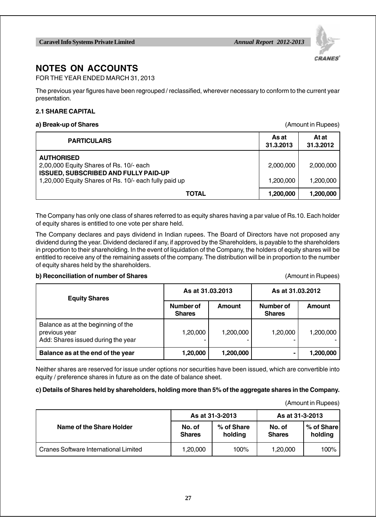*Annual Report 2012-2013*



## **NOTES ON ACCOUNTS**

FOR THE YEAR ENDED MARCH 31, 2013

The previous year figures have been regrouped / reclassified, wherever necessary to conform to the current year presentation.

#### **2.1 SHARE CAPITAL**

#### **a) Break-up of Shares** (Amount in Rupees)

**PARTICULARS As at At at 31.3.2013 31.3.2012 AUTHORISED** 2,00,000 Equity Shares of Rs. 10/- each 2,000,000 | 2,000,000 | 2,000,000 **ISSUED, SUBSCRIBED AND FULLY PAID-UP** 1,20,000 Equity Shares of Rs. 10/- each fully paid up 1,200,000 1,200,000 1,200,000 **TOTAL 1.200.000 1.200.000** 

The Company has only one class of shares referred to as equity shares having a par value of Rs.10. Each holder of equity shares is entitled to one vote per share held.

The Company declares and pays dividend in Indian rupees. The Board of Directors have not proposed any dividend during the year. Dividend declared if any, if approved by the Shareholders, is payable to the shareholders in proportion to their shareholding. In the event of liquidation of the Company, the holders of equity shares will be entitled to receive any of the remaining assets of the company. The distribution will be in proportion to the number of equity shares held by the shareholders.

**b) Reconciliation of number of Shares** (Amount in Rupees)

| <b>Equity Shares</b>                                                                      | As at 31.03.2013           |           | As at 31.03.2012           |           |
|-------------------------------------------------------------------------------------------|----------------------------|-----------|----------------------------|-----------|
|                                                                                           | Number of<br><b>Shares</b> | Amount    | Number of<br><b>Shares</b> | Amount    |
| Balance as at the beginning of the<br>previous year<br>Add: Shares issued during the year | 1,20,000                   | 1,200,000 | 1,20,000                   | 1,200,000 |
| Balance as at the end of the year                                                         | 1,20,000                   | 1,200,000 |                            | 1,200,000 |

Neither shares are reserved for issue under options nor securities have been issued, which are convertible into equity / preference shares in future as on the date of balance sheet.

#### **c) Details of Shares held by shareholders, holding more than 5% of the aggregate shares in the Company.**

(Amount in Rupees)

|                                       | As at 31-3-2013         |                       | As at 31-3-2013         |                       |
|---------------------------------------|-------------------------|-----------------------|-------------------------|-----------------------|
| Name of the Share Holder              | No. of<br><b>Shares</b> | % of Share<br>holding | No. of<br><b>Shares</b> | % of Share<br>holding |
| Cranes Software International Limited | 1,20,000                | 100%                  | 1.20.000                | 100% l                |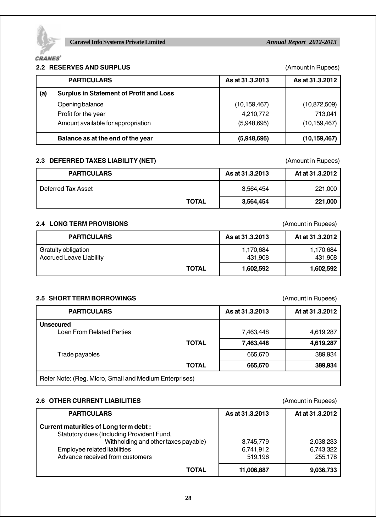

*Annual Report 2012-2013*

#### **CRANES**

#### **2.2 RESERVES AND SURPLUS** (Amount in Rupees)

|     | <b>PARTICULARS</b>                             | As at 31.3.2013 | As at 31.3.2012 |
|-----|------------------------------------------------|-----------------|-----------------|
| (a) | <b>Surplus in Statement of Profit and Loss</b> |                 |                 |
|     | Opening balance                                | (10, 159, 467)  | (10, 872, 509)  |
|     | Profit for the year                            | 4,210,772       | 713,041         |
|     | Amount available for appropriation             | (5,948,695)     | (10, 159, 467)  |
|     | Balance as at the end of the year              | (5,948,695)     | (10, 159, 467)  |

#### **2.3 DEFERRED TAXES LIABILITY (NET)** (Amount in Rupees)

| <b>PARTICULARS</b> |              | As at 31.3.2013 | At at 31.3.2012 |
|--------------------|--------------|-----------------|-----------------|
| Deferred Tax Asset |              | 3,564,454       | 221,000         |
|                    | <b>TOTAL</b> | 3,564,454       | 221,000         |

#### **2.4 LONG TERM PROVISIONS** (Amount in Rupees)

| <b>PARTICULARS</b>                                    |              | As at 31.3.2013      | At at 31.3.2012      |
|-------------------------------------------------------|--------------|----------------------|----------------------|
| Gratuity obligation<br><b>Accrued Leave Liability</b> |              | 1,170,684<br>431.908 | 1,170,684<br>431,908 |
|                                                       | <b>TOTAL</b> | 1,602,592            | 1,602,592            |

#### **2.5 SHORT TERM BORROWINGS** (Amount in Rupees)

| <b>PARTICULARS</b>                                     | As at 31.3.2013 | At at 31.3.2012 |
|--------------------------------------------------------|-----------------|-----------------|
| <b>Unsecured</b>                                       |                 |                 |
| <b>Loan From Related Parties</b>                       | 7,463,448       | 4,619,287       |
| <b>TOTAL</b>                                           | 7,463,448       | 4,619,287       |
| Trade payables                                         | 665,670         | 389,934         |
| <b>TOTAL</b>                                           | 665,670         | 389,934         |
| Refer Note: (Reg. Micro, Small and Medium Enterprises) |                 |                 |

#### **2.6 OTHER CURRENT LIABILITIES** (Amount in Rupees)

| <b>PARTICULARS</b>                                                                                                                                                                                   | As at 31.3.2013                   | At at 31.3.2012                   |
|------------------------------------------------------------------------------------------------------------------------------------------------------------------------------------------------------|-----------------------------------|-----------------------------------|
| <b>Current maturities of Long term debt:</b><br>Statutory dues (Including Provident Fund,<br>Withholding and other taxes payable)<br>Employee related liabilities<br>Advance received from customers | 3,745,779<br>6,741,912<br>519,196 | 2,038,233<br>6,743,322<br>255,178 |
| <b>TOTAL</b>                                                                                                                                                                                         | 11,006,887                        | 9,036,733                         |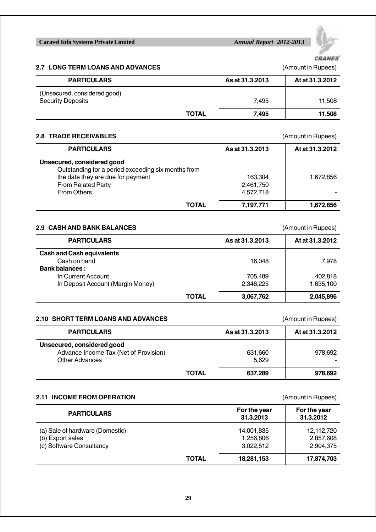**2.7 LONG TERM LOANS AND ADVANCES** (Amount in Rupees)

*Annual Report 2012-2013*

| <b>PARTICULARS</b>                                       |              | As at 31.3.2013 | At at 31.3.2012 |
|----------------------------------------------------------|--------------|-----------------|-----------------|
| (Unsecured, considered good)<br><b>Security Deposits</b> |              | 7.495           | 11,508          |
|                                                          | <b>TOTAL</b> | 7.495           | 11,508          |

### **2.8 TRADE RECEIVABLES** (Amount in Rupees)

| <b>PARTICULARS</b>                                                                                                                                                | As at 31.3.2013                   | At at 31.3.2012 |
|-------------------------------------------------------------------------------------------------------------------------------------------------------------------|-----------------------------------|-----------------|
| Unsecured, considered good<br>Outstanding for a period exceeding six months from<br>the date they are due for payment<br>From Related Party<br><b>From Others</b> | 163,304<br>2,461,750<br>4,572,718 | 1,672,856       |
| <b>TOTAL</b>                                                                                                                                                      | 7,197,771                         | 1,672,856       |

#### **2.9 CASH AND BANK BALANCES** (Amount in Rupees)

| <b>PARTICULARS</b>                | As at 31.3.2013 | At at 31.3.2012 |
|-----------------------------------|-----------------|-----------------|
| <b>Cash and Cash equivalents</b>  |                 |                 |
| Cash on hand                      | 16.048          | 7,978           |
| <b>Bank balances:</b>             |                 |                 |
| In Current Account                | 705.489         | 402,818         |
| In Deposit Account (Margin Money) | 2,346,225       | 1,635,100       |
| <b>TOTAL</b>                      | 3,067,762       | 2,045,896       |

#### **2.10 SHORT TERM LOANS AND ADVANCES** (Amount in Rupees)

| <b>PARTICULARS</b>                                                                           |              | As at 31.3.2013  | At at 31.3.2012 |
|----------------------------------------------------------------------------------------------|--------------|------------------|-----------------|
| Unsecured, considered good<br>Advance Income Tax (Net of Provision)<br><b>Other Advances</b> |              | 631,660<br>5.629 | 978,692         |
|                                                                                              | <b>TOTAL</b> | 637,289          | 978,692         |

#### **2.11 INCOME FROM OPERATION** (Amount in Rupees)

| <b>PARTICULARS</b>                                                              |              | For the year<br>31.3.2013            | For the year<br>31.3.2012            |
|---------------------------------------------------------------------------------|--------------|--------------------------------------|--------------------------------------|
| (a) Sale of hardware (Domestic)<br>(b) Export sales<br>(c) Software Consultancy |              | 14,001,835<br>1,256,806<br>3,022,512 | 12,112,720<br>2,857,608<br>2,904,375 |
|                                                                                 | <b>TOTAL</b> | 18,281,153                           | 17,874,703                           |

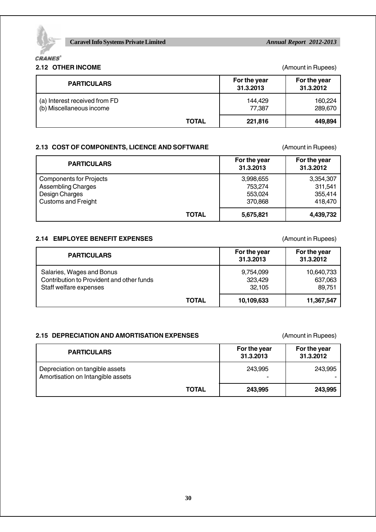

*Annual Report 2012-2013*

#### **CRANES**

#### **2.12 OTHER INCOME** (Amount in Rupees)

| <b>PARTICULARS</b>                                        |              | For the year<br>31.3.2013 | For the year<br>31.3.2012 |
|-----------------------------------------------------------|--------------|---------------------------|---------------------------|
| (a) Interest received from FD<br>(b) Miscellaneous income |              | 144,429<br>77,387         | 160,224<br>289,670        |
|                                                           | <b>TOTAL</b> | 221,816                   | 449,894                   |

#### **2.13 COST OF COMPONENTS, LICENCE AND SOFTWARE** (Amount in Rupees)

**PARTICULARS PARTICULARS For the year For the year For the year For the year For the year For the year For the year For the year For the year For the year For the year For the year For the year 31.3.2013 31.3.2012** Components for Projects<br>
Assembling Charges
211,541
3.998,655
3.11,541
311,541
3.354,307
3.354,307
3.354,307
3.354,307
3.354,307
3.354,307
3.354,307
3.354,307
3.354,307
3.354,307
3.354,307
3.354,307
3.354,307
3.354,307
3.3 Assembling Charges **Assembling Charges** 311,541 311,541 311,541 355,414 Design Charges **1988** 255,414 355,414 355,414 355,414 355,414 355,414 355,414 355,414 Dustoms and Freight Customs and Freight **TOTAL 5,675,821 4,439,732**

#### **2.14 EMPLOYEE BENEFIT EXPENSES** (Amount in Rupees)

| <b>PARTICULARS</b>                                                                               |              | For the year<br>31.3.2013      | For the year<br>31.3.2012       |
|--------------------------------------------------------------------------------------------------|--------------|--------------------------------|---------------------------------|
| Salaries, Wages and Bonus<br>Contribution to Provident and other funds<br>Staff welfare expenses |              | 9,754,099<br>323,429<br>32,105 | 10,640,733<br>637,063<br>89,751 |
|                                                                                                  | <b>TOTAL</b> | 10,109,633                     | 11,367,547                      |

#### **2.15 DEPRECIATION AND AMORTISATION EXPENSES** (Amount in Rupees)

| <b>PARTICULARS</b>                                                   |              | For the year<br>31.3.2013 | For the year<br>31.3.2012 |
|----------------------------------------------------------------------|--------------|---------------------------|---------------------------|
| Depreciation on tangible assets<br>Amortisation on Intangible assets |              | 243,995<br>$\blacksquare$ | 243,995                   |
|                                                                      | <b>TOTAL</b> | 243,995                   | 243,995                   |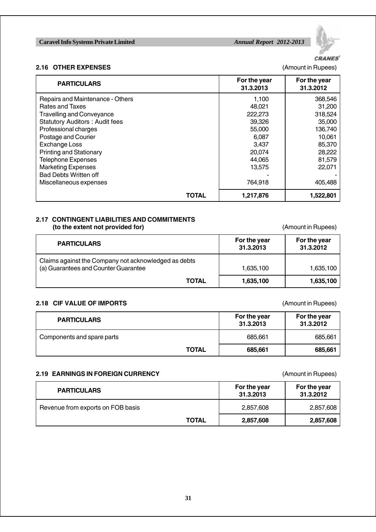*Annual Report 2012-2013*



**2.16 OTHER EXPENSES** (Amount in Rupees)

| <b>PARTICULARS</b>                    | For the year<br>31.3.2013 | For the year<br>31.3.2012 |
|---------------------------------------|---------------------------|---------------------------|
| Repairs and Maintenance - Others      | 1,100                     | 368,546                   |
| Rates and Taxes                       | 48,021                    | 31,200                    |
| <b>Travelling and Conveyance</b>      | 222,273                   | 318,524                   |
| <b>Statutory Auditors: Audit fees</b> | 39,326                    | 35,000                    |
| Professional charges                  | 55,000                    | 136,740                   |
| Postage and Courier                   | 6,087                     | 10,061                    |
| Exchange Loss                         | 3,437                     | 85,370                    |
| <b>Printing and Stationary</b>        | 20,074                    | 28,222                    |
| <b>Telephone Expenses</b>             | 44,065                    | 81,579                    |
| <b>Marketing Expenses</b>             | 13.575                    | 22,071                    |
| <b>Bad Debts Written off</b>          |                           |                           |
| Miscellaneous expenses                | 764,918                   | 405,488                   |
| <b>TOTAL</b>                          | 1,217,876                 | 1,522,801                 |

### **2.17 CONTINGENT LIABILITIES AND COMMITMENTS**

 **(to the extent not provided for)** (Amount in Rupees) **PARTICULARS For the year For the year For the year For the year For the year For the year For the year For the year For the year For the year For the year For the year For the year For the year 31.3.2013 31.3.2012** Claims against the Company not acknowledged as debts (a) Guarantees and Counter Guarantee  $\begin{array}{ccc} 1,635,100 \\ -1,635,100 \end{array}$  1,635,100 **TOTAL 1,635,100 1,635,100**

#### **2.18 CIF VALUE OF IMPORTS** (Amount in Rupees)

| <b>PARTICULARS</b>         |              | For the year<br>31.3.2013 | For the year<br>31.3.2012 |
|----------------------------|--------------|---------------------------|---------------------------|
| Components and spare parts |              | 685.661                   | 685,661                   |
|                            | <b>TOTAL</b> | 685,661                   | 685,661                   |

#### **2.19 EARNINGS IN FOREIGN CURRENCY** (Amount in Rupees)

| <b>PARTICULARS</b>                |              | For the year<br>31.3.2013 | For the year<br>31.3.2012 |
|-----------------------------------|--------------|---------------------------|---------------------------|
| Revenue from exports on FOB basis |              | 2,857,608                 | 2,857,608                 |
|                                   | <b>TOTAL</b> | 2,857,608                 | 2,857,608                 |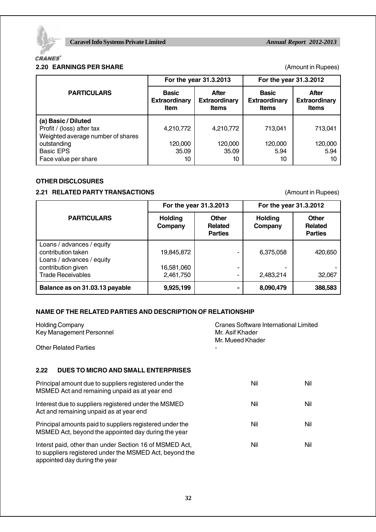

*Annual Report 2012-2013*

#### **CRANES**

#### **2.20 EARNINGS PER SHARE** (Amount in Rupees)

|                                                                                       | For the year 31.3.2013 |                      | For the year 31.3.2012 |               |
|---------------------------------------------------------------------------------------|------------------------|----------------------|------------------------|---------------|
| <b>PARTICULARS</b>                                                                    | <b>Basic</b>           | After                | <b>Basic</b>           | After         |
|                                                                                       | <b>Extraordinary</b>   | <b>Extraordinary</b> | <b>Extraordinary</b>   | Extraordinary |
|                                                                                       | <b>Item</b>            | <b>Items</b>         | <b>Items</b>           | <b>Items</b>  |
| (a) Basic / Diluted<br>Profit / (loss) after tax<br>Weighted average number of shares | 4,210,772              | 4,210,772            | 713,041                | 713,041       |
| outstanding                                                                           | 120,000                | 120,000              | 120,000                | 120,000       |
| <b>Basic EPS</b>                                                                      | 35.09                  | 35.09                | 5.94                   | 5.94          |
| Face value per share                                                                  | 10                     | 10                   | 10                     | 10            |

#### **OTHER DISCLOSURES**

### **2.21 RELATED PARTY TRANSACTIONS** (Amount in Rupees)

 **For the year 31.3.2013 For the year 31.3.2012 PARTICULARS Holding Other Holding Different** *Company* **PARTICULARS Company PARTICULARS Company Related**<br>**Parties Parties** Loans / advances / equity contribution taken 19,845,872 - 6,375,058 420,650 Loans / advances / equity contribution given 16,581,060 - - -  $\begin{array}{|c|c|c|c|c|c|c|c|}\n\hline\n\text{Trade Receivables} & & & 2,461,750 & & \text{\textcolor{red}-} \end{array}$ **Balance as on 31.03.13 payable 9,925,199 - 8,090,479 388,583**

#### **NAME OF THE RELATED PARTIES AND DESCRIPTION OF RELATIONSHIP**

to suppliers registered under the MSMED Act, beyond the

appointed day during the year

| <b>Holding Company</b><br>Key Management Personnel                                                              | Cranes Software International Limited<br>Mr. Asif Khader<br>Mr. Mueed Khader |     |
|-----------------------------------------------------------------------------------------------------------------|------------------------------------------------------------------------------|-----|
| <b>Other Related Parties</b>                                                                                    |                                                                              |     |
| 2.22<br>DUES TO MICRO AND SMALL ENTERPRISES                                                                     |                                                                              |     |
| Principal amount due to suppliers registered under the<br>MSMED Act and remaining unpaid as at year end         | Nil                                                                          | Nil |
| Interest due to suppliers registered under the MSMED<br>Act and remaining unpaid as at year end                 | Nil                                                                          | Nil |
| Principal amounts paid to suppliers registered under the<br>MSMED Act, beyond the appointed day during the year | Nil                                                                          | Nil |
| Interst paid, other than under Section 16 of MSMED Act,                                                         | Nil                                                                          | Nil |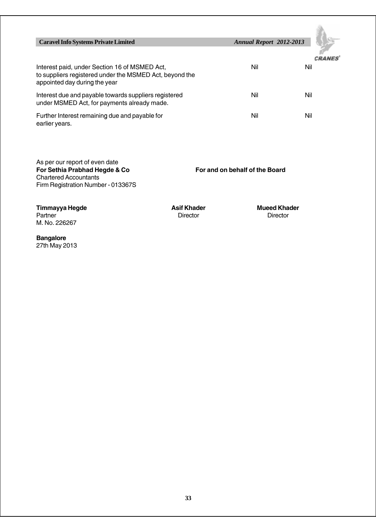| <b>Caravel Info Systems Private Limited</b>                                                          | <b>Annual Report 2012-2013</b> |     |
|------------------------------------------------------------------------------------------------------|--------------------------------|-----|
| Interest paid, under Section 16 of MSMED Act,                                                        | Nil                            | Nil |
| to suppliers registered under the MSMED Act, beyond the<br>appointed day during the year             |                                |     |
| Interest due and payable towards suppliers registered<br>under MSMED Act, for payments already made. | Nil                            | Nil |
| Further Interest remaining due and payable for<br>earlier years.                                     | Nil                            | Nil |

As per our report of even date **For Sethia Prabhad Hegde & Co For and on behalf of the Board** Chartered Accountants Firm Registration Number - 013367S

**Timmayya Hegde Asif Khader Asif Khader** Mueed Khader Partner Museof Partner Asia Asif Khader Director Asia Asif A Partner Director Director M. No. 226267

**Bangalore** 27th May 2013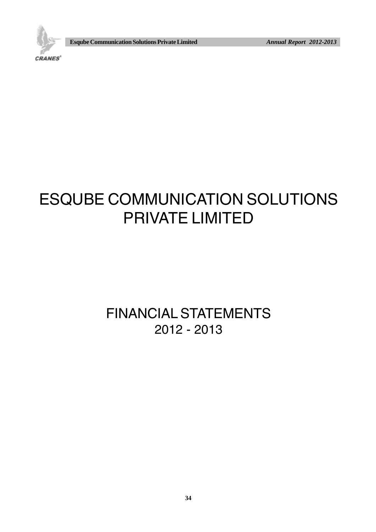

**Esqube Communication Solutions Private Limited**

# ESQUBE COMMUNICATION SOLUTIONS PRIVATE LIMITED

# FINANCIAL STATEMENTS 2012 - 2013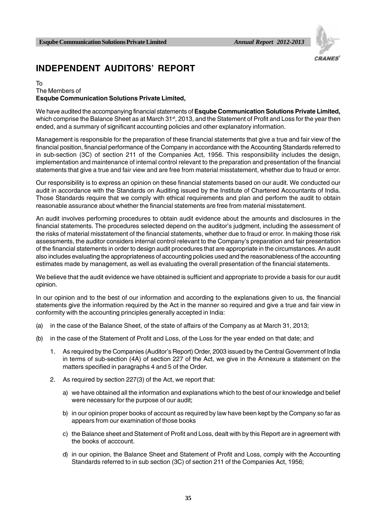

# **INDEPENDENT AUDITORS' REPORT**

#### To The Members of **Esqube Communication Solutions Private Limited,**

We have audited the accompanying financial statements of **Esqube Communication Solutions Private Limited,** which comprise the Balance Sheet as at March 31<sup>st</sup>, 2013, and the Statement of Profit and Loss for the year then ended, and a summary of significant accounting policies and other explanatory information.

Management is responsible for the preparation of these financial statements that give a true and fair view of the financial position, financial performance of the Company in accordance with the Accounting Standards referred to in sub-section (3C) of section 211 of the Companies Act, 1956. This responsibility includes the design, implementation and maintenance of internal control relevant to the preparation and presentation of the financial statements that give a true and fair view and are free from material misstatement, whether due to fraud or error.

Our responsibility is to express an opinion on these financial statements based on our audit. We conducted our audit in accordance with the Standards on Auditing issued by the Institute of Chartered Accountants of India. Those Standards require that we comply with ethical requirements and plan and perform the audit to obtain reasonable assurance about whether the financial statements are free from material misstatement.

An audit involves performing procedures to obtain audit evidence about the amounts and disclosures in the financial statements. The procedures selected depend on the auditor's judgment, including the assessment of the risks of material misstatement of the financial statements, whether due to fraud or error. In making those risk assessments, the auditor considers internal control relevant to the Company's preparation and fair presentation of the financial statements in order to design audit procedures that are appropriate in the circumstances. An audit also includes evaluating the appropriateness of accounting policies used and the reasonableness of the accounting estimates made by management, as well as evaluating the overall presentation of the financial statements.

We believe that the audit evidence we have obtained is sufficient and appropriate to provide a basis for our audit opinion.

In our opinion and to the best of our information and according to the explanations given to us, the financial statements give the information required by the Act in the manner so required and give a true and fair view in conformity with the accounting principles generally accepted in India:

- (a) in the case of the Balance Sheet, of the state of affairs of the Company as at March 31, 2013;
- (b) in the case of the Statement of Profit and Loss, of the Loss for the year ended on that date; and
	- 1. As required by the Companies (Auditor's Report) Order, 2003 issued by the Central Government of India in terms of sub-section (4A) of section 227 of the Act, we give in the Annexure a statement on the matters specified in paragraphs 4 and 5 of the Order.
	- 2. As required by section 227(3) of the Act, we report that:
		- a) we have obtained all the information and explanations which to the best of our knowledge and belief were necessary for the purpose of our audit;
		- b) in our opinion proper books of account as required by law have been kept by the Company so far as appears from our examination of those books
		- c) the Balance sheet and Statement of Profit and Loss, dealt with by this Report are in agreement with the books of acccount.
		- d) in our opinion, the Balance Sheet and Statement of Profit and Loss, comply with the Accounting Standards referred to in sub section (3C) of section 211 of the Companies Act, 1956;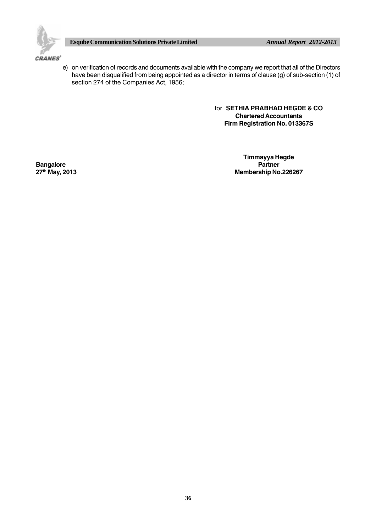

**Esqube Communication Solutions Private Limited**

- **CRANES** 
	- e) on verification of records and documents available with the company we report that all of the Directors have been disqualified from being appointed as a director in terms of clause (g) of sub-section (1) of section 274 of the Companies Act, 1956;

#### for **SETHIA PRABHAD HEGDE & CO Chartered Accountants Firm Registration No. 013367S**

**Timmayya Hegde Bangalore** Partner Partner Partner Partner Partner Partner Partner Partner Partner **27th May, 2013 Membership No.226267**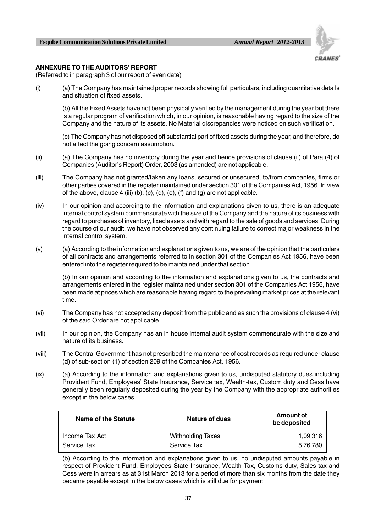*Annual Report 2012-2013*



### **ANNEXURE TO THE AUDITORS' REPORT**

(Referred to in paragraph 3 of our report of even date)

(i) (a) The Company has maintained proper records showing full particulars, including quantitative details and situation of fixed assets.

(b) All the Fixed Assets have not been physically verified by the management during the year but there is a regular program of verification which, in our opinion, is reasonable having regard to the size of the Company and the nature of its assets. No Material discrepancies were noticed on such verification.

(c) The Company has not disposed off substantial part of fixed assets during the year, and therefore, do not affect the going concern assumption.

- (ii) (a) The Company has no inventory during the year and hence provisions of clause (ii) of Para (4) of Companies (Auditor's Report) Order, 2003 (as amended) are not applicable.
- (iii) The Company has not granted/taken any loans, secured or unsecured, to/from companies, firms or other parties covered in the register maintained under section 301 of the Companies Act, 1956. In view of the above, clause 4 (iii) (b), (c), (d), (e), (f) and (g) are not applicable.
- (iv) In our opinion and according to the information and explanations given to us, there is an adequate internal control system commensurate with the size of the Company and the nature of its business with regard to purchases of inventory, fixed assets and with regard to the sale of goods and services. During the course of our audit, we have not observed any continuing failure to correct major weakness in the internal control system.
- (v) (a) According to the information and explanations given to us, we are of the opinion that the particulars of all contracts and arrangements referred to in section 301 of the Companies Act 1956, have been entered into the register required to be maintained under that section.

(b) In our opinion and according to the information and explanations given to us, the contracts and arrangements entered in the register maintained under section 301 of the Companies Act 1956, have been made at prices which are reasonable having regard to the prevailing market prices at the relevant time.

- (vi) The Company has not accepted any deposit from the public and as such the provisions of clause 4 (vi) of the said Order are not applicable.
- (vii) In our opinion, the Company has an in house internal audit system commensurate with the size and nature of its business.
- (viii) The Central Government has not prescribed the maintenance of cost records as required under clause (d) of sub-section (1) of section 209 of the Companies Act, 1956.
- (ix) (a) According to the information and explanations given to us, undisputed statutory dues including Provident Fund, Employees' State Insurance, Service tax, Wealth-tax, Custom duty and Cess have generally been regularly deposited during the year by the Company with the appropriate authorities except in the below cases.

| Name of the Statute | Nature of dues           | Amount of<br>be deposited |
|---------------------|--------------------------|---------------------------|
| Income Tax Act      | <b>Withholding Taxes</b> | 1.09.316                  |
| Service Tax         | Service Tax              | 5.76.780                  |

(b) According to the information and explanations given to us, no undisputed amounts payable in respect of Provident Fund, Employees State Insurance, Wealth Tax, Customs duty, Sales tax and Cess were in arrears as at 31st March 2013 for a period of more than six months from the date they became payable except in the below cases which is still due for payment: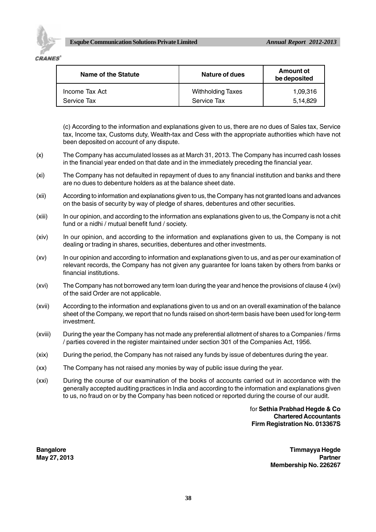

**CRANES** 

| Name of the Statute | Nature of dues           | Amount ot<br>be deposited |
|---------------------|--------------------------|---------------------------|
| Income Tax Act      | <b>Withholding Taxes</b> | 1,09,316                  |
| Service Tax         | Service Tax              | 5.14.829                  |

(c) According to the information and explanations given to us, there are no dues of Sales tax, Service tax, Income tax, Customs duty, Wealth-tax and Cess with the appropriate authorities which have not been deposited on account of any dispute.

- (x) The Company has accumulated losses as at March 31, 2013. The Company has incurred cash losses in the financial year ended on that date and in the immediately preceding the financial year.
- (xi) The Company has not defaulted in repayment of dues to any financial institution and banks and there are no dues to debenture holders as at the balance sheet date.
- (xii) According to information and explanations given to us, the Company has not granted loans and advances on the basis of security by way of pledge of shares, debentures and other securities.
- (xiii) In our opinion, and according to the information ans explanations given to us, the Company is not a chit fund or a nidhi / mutual benefit fund / society.
- (xiv) In our opinion, and according to the information and explanations given to us, the Company is not dealing or trading in shares, securities, debentures and other investments.
- (xv) In our opinion and according to information and explanations given to us, and as per our examination of relevant records, the Company has not given any guarantee for loans taken by others from banks or financial institutions.
- (xvi) The Company has not borrowed any term loan during the year and hence the provisions of clause 4 (xvi) of the said Order are not applicable.
- (xvii) According to the information and explanations given to us and on an overall examination of the balance sheet of the Company, we report that no funds raised on short-term basis have been used for long-term investment.
- (xviii) During the year the Company has not made any preferential allotment of shares to a Companies / firms / parties covered in the register maintained under section 301 of the Companies Act, 1956.
- (xix) During the period, the Company has not raised any funds by issue of debentures during the year.
- (xx) The Company has not raised any monies by way of public issue during the year.
- (xxi) During the course of our examination of the books of accounts carried out in accordance with the generally accepted auditing practices in India and according to the information and explanations given to us, no fraud on or by the Company has been noticed or reported during the course of our audit.

for **Sethia Prabhad Hegde & Co Chartered Accountants Firm Registration No. 013367S**

**Bangalore Timmayya Hegde May 27, 2013 Partner Membership No. 226267**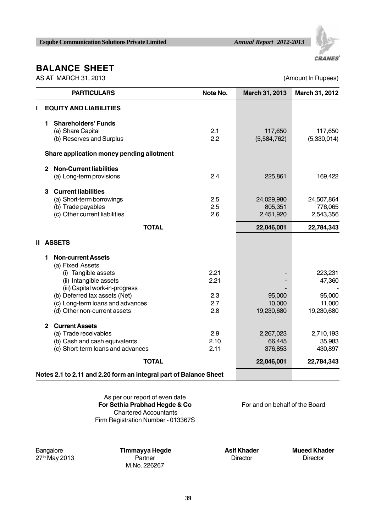*Annual Report 2012-2013*



### **BALANCE SHEET**

AS AT MARCH 31, 2013 (Amount In Rupees)

|   | <b>PARTICULARS</b>                                                | Note No. | March 31, 2013 | March 31, 2012 |
|---|-------------------------------------------------------------------|----------|----------------|----------------|
|   | <b>EQUITY AND LIABILITIES</b>                                     |          |                |                |
|   | <b>Shareholders' Funds</b><br>1                                   |          |                |                |
|   | (a) Share Capital                                                 | 2.1      | 117,650        | 117,650        |
|   | (b) Reserves and Surplus                                          | 2.2      | (5,584,762)    | (5,330,014)    |
|   | Share application money pending allotment                         |          |                |                |
|   | <b>Non-Current liabilities</b><br>$\mathbf{2}$                    |          |                |                |
|   | (a) Long-term provisions                                          | 2.4      | 225,861        | 169,422        |
|   | <b>Current liabilities</b><br>3                                   |          |                |                |
|   | (a) Short-term borrowings                                         | 2.5      | 24,029,980     | 24,507,864     |
|   | (b) Trade payables                                                | 2.5      | 805,351        | 776,065        |
|   | (c) Other current liabilities                                     | 2.6      | 2,451,920      | 2,543,356      |
|   | <b>TOTAL</b>                                                      |          | 22,046,001     | 22,784,343     |
| Ш | <b>ASSETS</b>                                                     |          |                |                |
|   | <b>Non-current Assets</b><br>1                                    |          |                |                |
|   | (a) Fixed Assets                                                  |          |                |                |
|   | (i) Tangible assets                                               | 2.21     |                | 223,231        |
|   | (ii) Intangible assets                                            | 2.21     |                | 47,360         |
|   | (iii) Capital work-in-progress                                    |          |                |                |
|   | (b) Deferred tax assets (Net)                                     | 2.3      | 95,000         | 95,000         |
|   | (c) Long-term loans and advances                                  | 2.7      | 10,000         | 11,000         |
|   | (d) Other non-current assets                                      | 2.8      | 19,230,680     | 19,230,680     |
|   | <b>Current Assets</b><br>$\mathbf{2}$                             |          |                |                |
|   | (a) Trade receivables                                             | 2.9      | 2,267,023      | 2,710,193      |
|   | (b) Cash and cash equivalents                                     | 2.10     | 66,445         | 35,983         |
|   | (c) Short-term loans and advances                                 | 2.11     | 376,853        | 430,897        |
|   | <b>TOTAL</b>                                                      |          | 22,046,001     | 22,784,343     |
|   | Notes 2.1 to 2.11 and 2.20 form an integral part of Balance Sheet |          |                |                |

As per our report of even date **For Sethia Prabhad Hegde & Co** For and on behalf of the Board Chartered Accountants Firm Registration Number - 013367S

 $27<sup>th</sup>$  May 2013

Bangalore **Timmayya Hegde Asif Khader Mueed Khader Mueed Khader Partner** Partner **Asif Khader Community Assume Asif Khader Mused Khader Partner Community Assume Assume Assume Assume Assume Assume Assume Assume** M.No. 226267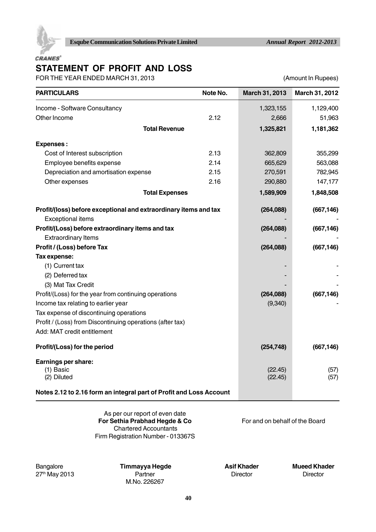

### **CRANES**

### **STATEMENT OF PROFIT AND LOSS**

FOR THE YEAR ENDED MARCH 31, 2013 (Amount In Rupees)

| <b>PARTICULARS</b>                                                  | Note No. | March 31, 2013 | March 31, 2012 |
|---------------------------------------------------------------------|----------|----------------|----------------|
| Income - Software Consultancy                                       |          | 1,323,155      | 1,129,400      |
| Other Income                                                        | 2.12     | 2,666          | 51,963         |
| <b>Total Revenue</b>                                                |          | 1,325,821      | 1,181,362      |
| <b>Expenses:</b>                                                    |          |                |                |
| Cost of Interest subscription                                       | 2.13     | 362,809        | 355,299        |
| Employee benefits expense                                           | 2.14     | 665,629        | 563,088        |
| Depreciation and amortisation expense                               | 2.15     | 270,591        | 782,945        |
| Other expenses                                                      | 2.16     | 290,880        | 147,177        |
| <b>Total Expenses</b>                                               |          | 1,589,909      | 1,848,508      |
| Profit/(loss) before exceptional and extraordinary items and tax    |          | (264, 088)     | (667, 146)     |
| <b>Exceptional items</b>                                            |          |                |                |
| Profit/(Loss) before extraordinary items and tax                    |          | (264, 088)     | (667, 146)     |
| <b>Extraordinary Items</b>                                          |          |                |                |
| Profit / (Loss) before Tax                                          |          | (264, 088)     | (667, 146)     |
| Tax expense:                                                        |          |                |                |
| (1) Current tax                                                     |          |                |                |
| (2) Deferred tax                                                    |          |                |                |
| (3) Mat Tax Credit                                                  |          |                |                |
| Profit/(Loss) for the year from continuing operations               |          | (264, 088)     | (667, 146)     |
| Income tax relating to earlier year                                 |          | (9, 340)       |                |
| Tax expense of discontinuing operations                             |          |                |                |
| Profit / (Loss) from Discontinuing operations (after tax)           |          |                |                |
| Add: MAT credit entitlement                                         |          |                |                |
| Profit/(Loss) for the period                                        |          | (254, 748)     | (667, 146)     |
| Earnings per share:                                                 |          |                |                |
| (1) Basic                                                           |          | (22.45)        | (57)           |
| (2) Diluted                                                         |          | (22.45)        | (57)           |
| Notes 2.12 to 2.16 form an integral part of Profit and Loss Account |          |                |                |

As per our report of even date **For Sethia Prabhad Hegde & Co** For and on behalf of the Board Chartered Accountants Firm Registration Number - 013367S

 $27<sup>th</sup>$  May 2013

M.No. 226267

Bangalore **Timmayya Hegde Asif Khader Mueed Khader Mueed Khader** 27<sup>th</sup> May 2013 **The Assembly Assembly** Director **C** Director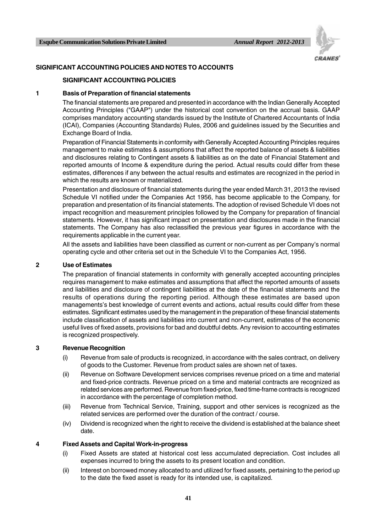

### **SIGNIFICANT ACCOUNTING POLICIES AND NOTES TO ACCOUNTS**

### **SIGNIFICANT ACCOUNTING POLICIES**

### **1 Basis of Preparation of financial statements**

The financial statements are prepared and presented in accordance with the Indian Generally Accepted Accounting Principles ("GAAP") under the historical cost convention on the accrual basis. GAAP comprises mandatory accounting standards issued by the Institute of Chartered Accountants of India (ICAI), Companies (Accounting Standards) Rules, 2006 and guidelines issued by the Securities and Exchange Board of India.

Preparation of Financial Statements in conformity with Generally Accepted Accounting Principles requires management to make estimates & assumptions that affect the reported balance of assets & liabilities and disclosures relating to Contingent assets & liabilities as on the date of Financial Statement and reported amounts of Income & expenditure during the period. Actual results could differ from these estimates, differences if any between the actual results and estimates are recognized in the period in which the results are known or materialized.

Presentation and disclosure of financial statements during the year ended March 31, 2013 the revised Schedule VI notified under the Companies Act 1956, has become applicable to the Company, for preparation and presentation of its financial statements. The adoption of revised Schedule VI does not impact recognition and measurement principles followed by the Company for preparation of financial statements. However, it has significant impact on presentation and disclosures made in the financial statements. The Company has also reclassified the previous year figures in accordance with the requirements applicable in the current year.

All the assets and liabilities have been classified as current or non-current as per Company's normal operating cycle and other criteria set out in the Schedule VI to the Companies Act, 1956.

### **2 Use of Estimates**

The preparation of financial statements in conformity with generally accepted accounting principles requires management to make estimates and assumptions that affect the reported amounts of assets and liabilities and disclosure of contingent liabilities at the date of the financial statements and the results of operations during the reporting period. Although these estimates are based upon managements's best knowledge of current events and actions, actual results could differ from these estimates. Significant estimates used by the management in the preparation of these financial statements include classification of assets and liabilities into current and non-current, estimates of the economic useful lives of fixed assets, provisions for bad and doubtful debts. Any revision to accounting estimates is recognized prospectively.

### **3 Revenue Recognition**

- (i) Revenue from sale of products is recognized, in accordance with the sales contract, on delivery of goods to the Customer. Revenue from product sales are shown net of taxes.
- (ii) Revenue on Software Development services comprises revenue priced on a time and material and fixed-price contracts. Revenue priced on a time and material contracts are recognized as related services are performed. Revenue from fixed-price, fixed time-frame contracts is recognized in accordance with the percentage of completion method.
- (iii) Revenue from Technical Service, Training, support and other services is recognized as the related services are performed over the duration of the contract / course.
- (iv) Dividend is recognized when the right to receive the dividend is established at the balance sheet date.

#### **4 Fixed Assets and Capital Work-in-progress**

- (i) Fixed Assets are stated at historical cost less accumulated depreciation. Cost includes all expenses incurred to bring the assets to its present location and condition.
- (ii) Interest on borrowed money allocated to and utilized for fixed assets, pertaining to the period up to the date the fixed asset is ready for its intended use, is capitalized.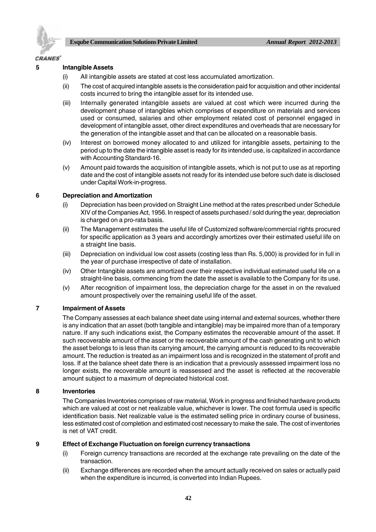

### **CRANES**

### **5 Intangible Assets**

- (i) All intangible assets are stated at cost less accumulated amortization.
- (ii) The cost of acquired intangible assets is the consideration paid for acquisition and other incidental costs incurred to bring the intangible asset for its intended use.
- (iii) Internally generated intangible assets are valued at cost which were incurred during the development phase of intangibles which comprises of expenditure on materials and services used or consumed, salaries and other employment related cost of personnel engaged in development of intangible asset, other direct expenditures and overheads that are necessary for the generation of the intangible asset and that can be allocated on a reasonable basis.
- (iv) Interest on borrowed money allocated to and utilized for intangible assets, pertaining to the period up to the date the intangible asset is ready for its intended use, is capitalized in accordance with Accounting Standard-16.
- (v) Amount paid towards the acquisition of intangible assets, which is not put to use as at reporting date and the cost of intangible assets not ready for its intended use before such date is disclosed under Capital Work-in-progress.

### **6 Depreciation and Amortization**

- (i) Depreciation has been provided on Straight Line method at the rates prescribed under Schedule XIV of the Companies Act, 1956. In respect of assets purchased / sold during the year, depreciation is charged on a pro-rata basis.
- (ii) The Management estimates the useful life of Customized software/commercial rights procured for specific application as 3 years and accordingly amortizes over their estimated useful life on a straight line basis.
- (iii) Depreciation on individual low cost assets (costing less than Rs. 5,000) is provided for in full in the year of purchase irrespective of date of installation.
- (iv) Other Intangible assets are amortized over their respective individual estimated useful life on a straight-line basis, commencing from the date the asset is available to the Company for its use.
- (v) After recognition of impairment loss, the depreciation charge for the asset in on the revalued amount prospectively over the remaining useful life of the asset.

### **7 Impairment of Assets**

The Company assesses at each balance sheet date using internal and external sources, whether there is any indication that an asset (both tangible and intangible) may be impaired more than of a temporary nature. If any such indications exist, the Company estimates the recoverable amount of the asset. If such recoverable amount of the asset or the recoverable amount of the cash generating unit to which the asset belongs to is less than its carrying amount, the carrying amount is reduced to its recoverable amount. The reduction is treated as an impairment loss and is recognized in the statement of profit and loss. If at the balance sheet date there is an indication that a previously assessed impairment loss no longer exists, the recoverable amount is reassessed and the asset is reflected at the recoverable amount subject to a maximum of depreciated historical cost.

### **8 Inventories**

The Companies Inventories comprises of raw material, Work in progress and finished hardware products which are valued at cost or net realizable value, whichever is lower. The cost formula used is specific identification basis. Net realizable value is the estimated selling price in ordinary course of business, less estimated cost of completion and estimated cost necessary to make the sale. The cost of inventories is net of VAT credit.

**9 Effect of Exchange Fluctuation on foreign currency transactions**

- (i) Foreign currency transactions are recorded at the exchange rate prevailing on the date of the transaction.
- (ii) Exchange differences are recorded when the amount actually received on sales or actually paid when the expenditure is incurred, is converted into Indian Rupees.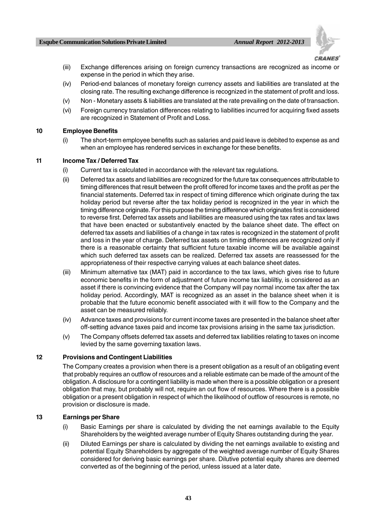

- (iii) Exchange differences arising on foreign currency transactions are recognized as income or expense in the period in which they arise.
- (iv) Period-end balances of monetary foreign currency assets and liabilities are translated at the closing rate. The resulting exchange difference is recognized in the statement of profit and loss.
- (v) Non Monetary assets & liabilities are translated at the rate prevailing on the date of transaction.
- (vi) Foreign currency translation differences relating to liabilities incurred for acquiring fixed assets are recognized in Statement of Profit and Loss.

### **10 Employee Benefits**

(i) The short-term employee benefits such as salaries and paid leave is debited to expense as and when an employee has rendered services in exchange for these benefits.

### **11 Income Tax / Deferred Tax**

- (i) Current tax is calculated in accordance with the relevant tax regulations.
- (ii) Deferred tax assets and liabilities are recognized for the future tax consequences attributable to timing differences that result between the profit offered for income taxes and the profit as per the financial statements. Deferred tax in respect of timing difference which originate during the tax holiday period but reverse after the tax holiday period is recognized in the year in which the timing difference originate. For this purpose the timing difference which originates first is considered to reverse first. Deferred tax assets and liabilities are measured using the tax rates and tax laws that have been enacted or substantively enacted by the balance sheet date. The effect on deferred tax assets and liabilities of a change in tax rates is recognized in the statement of profit and loss in the year of charge. Deferred tax assets on timing differences are recognized only if there is a reasonable certainty that sufficient future taxable income will be available against which such deferred tax assets can be realized. Deferred tax assets are reassessed for the appropriateness of their respective carrying values at each balance sheet dates.
- (iii) Minimum alternative tax (MAT) paid in accordance to the tax laws, which gives rise to future economic benefits in the form of adjustment of future income tax liabliltiy, is considered as an asset if there is convincing evidence that the Company will pay normal income tax after the tax holiday period. Accordingly, MAT is recognized as an asset in the balance sheet when it is probable that the future economic benefit associated with it will flow to the Company and the asset can be measured reliably.
- (iv) Advance taxes and provisions for current income taxes are presented in the balance sheet after off-setting advance taxes paid and income tax provisions arising in the same tax jurisdiction.
- (v) The Company offsets deferred tax assets and deferred tax liabilities relating to taxes on income levied by the same governing taxation laws.

### **12 Provisions and Contingent Liabilities**

The Company creates a provision when there is a present obligation as a result of an obligating event that probably requires an outflow of resources and a reliable estimate can be made of the amount of the obligation. A disclosure for a contingent liability is made when there is a possible obligation or a present obligation that may, but probably will not, require an out flow of resources. Where there is a possible obligation or a present obligation in respect of which the likelihood of outflow of resources is remote, no provision or disclosure is made.

### **13 Earnings per Share**

- (i) Basic Earnings per share is calculated by dividing the net earnings available to the Equity Shareholders by the weighted average number of Equity Shares outstanding during the year.
- (ii) Diluted Earnings per share is calculated by dividing the net earnings available to existing and potential Equity Shareholders by aggregate of the weighted average number of Equity Shares considered for deriving basic earnings per share. Dilutive potential equity shares are deemed converted as of the beginning of the period, unless issued at a later date.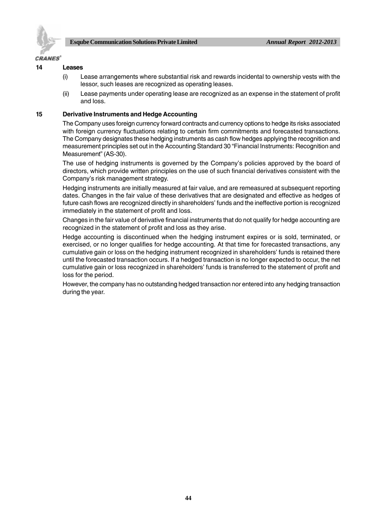

### **CRANES**

### **14 Leases**

- (i) Lease arrangements where substantial risk and rewards incidental to ownership vests with the lessor, such leases are recognized as operating leases.
- (ii) Lease payments under operating lease are recognized as an expense in the statement of profit and loss.

### **15 Derivative Instruments and Hedge Accounting**

The Company uses foreign currency forward contracts and currency options to hedge its risks associated with foreign currency fluctuations relating to certain firm commitments and forecasted transactions. The Company designates these hedging instruments as cash flow hedges applying the recognition and measurement principles set out in the Accounting Standard 30 "Financial Instruments: Recognition and Measurement" (AS-30).

The use of hedging instruments is governed by the Company's policies approved by the board of directors, which provide written principles on the use of such financial derivatives consistent with the Company's risk management strategy.

Hedging instruments are initially measured at fair value, and are remeasured at subsequent reporting dates. Changes in the fair value of these derivatives that are designated and effective as hedges of future cash flows are recognized directly in shareholders' funds and the ineffective portion is recognized immediately in the statement of profit and loss.

Changes in the fair value of derivative financial instruments that do not qualify for hedge accounting are recognized in the statement of profit and loss as they arise.

Hedge accounting is discontinued when the hedging instrument expires or is sold, terminated, or exercised, or no longer qualifies for hedge accounting. At that time for forecasted transactions, any cumulative gain or loss on the hedging instrument recognized in shareholders' funds is retained there until the forecasted transaction occurs. If a hedged transaction is no longer expected to occur, the net cumulative gain or loss recognized in shareholders' funds is transferred to the statement of profit and loss for the period.

However, the company has no outstanding hedged transaction nor entered into any hedging transaction during the year.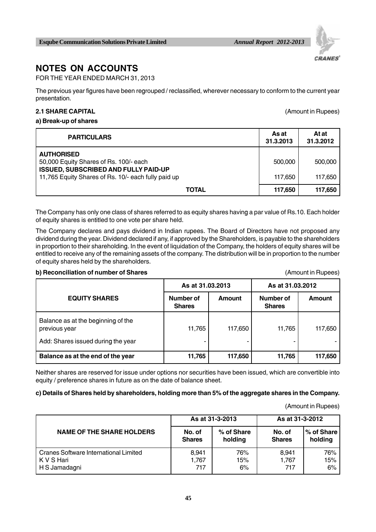*Annual Report 2012-2013*



### **NOTES ON ACCOUNTS**

FOR THE YEAR ENDED MARCH 31, 2013

The previous year figures have been regrouped / reclassified, wherever necessary to conform to the current year presentation.

### **2.1 SHARE CAPITAL** (Amount in Rupees)

### **a) Break-up of shares**

| <b>PARTICULARS</b>                                                                                                                                                | As at<br>31.3.2013 | At at<br>31.3.2012 |
|-------------------------------------------------------------------------------------------------------------------------------------------------------------------|--------------------|--------------------|
| <b>AUTHORISED</b><br>50,000 Equity Shares of Rs. 100/- each<br><b>ISSUED, SUBSCRIBED AND FULLY PAID-UP</b><br>11,765 Equity Shares of Rs. 10/- each fully paid up | 500,000<br>117.650 | 500.000<br>117,650 |
| <b>TOTAL</b>                                                                                                                                                      | 117,650            | 117,650            |

The Company has only one class of shares referred to as equity shares having a par value of Rs.10. Each holder of equity shares is entitled to one vote per share held.

The Company declares and pays dividend in Indian rupees. The Board of Directors have not proposed any dividend during the year. Dividend declared if any, if approved by the Shareholders, is payable to the shareholders in proportion to their shareholding. In the event of liquidation of the Company, the holders of equity shares will be entitled to receive any of the remaining assets of the company. The distribution will be in proportion to the number of equity shares held by the shareholders.

**b) Reconciliation of number of Shares** (Amount in Rupees)

|                                                                                           | As at 31.03.2013           |         | As at 31.03.2012           |         |
|-------------------------------------------------------------------------------------------|----------------------------|---------|----------------------------|---------|
| <b>EQUITY SHARES</b>                                                                      | Number of<br><b>Shares</b> | Amount  | Number of<br><b>Shares</b> | Amount  |
| Balance as at the beginning of the<br>previous year<br>Add: Shares issued during the year | 11,765                     | 117,650 | 11,765                     | 117,650 |
| Balance as at the end of the year                                                         | 11,765                     | 117,650 | 11,765                     | 117,650 |

Neither shares are reserved for issue under options nor securities have been issued, which are convertible into equity / preference shares in future as on the date of balance sheet.

### **c) Details of Shares held by shareholders, holding more than 5% of the aggregate shares in the Company.**

(Amount in Rupees)

|                                       |                         | As at 31-3-2013       | As at 31-3-2012         |                         |
|---------------------------------------|-------------------------|-----------------------|-------------------------|-------------------------|
| <b>NAME OF THE SHARE HOLDERS</b>      | No. of<br><b>Shares</b> | % of Share<br>holding | No. of<br><b>Shares</b> | $%$ of Share<br>holding |
| Cranes Software International Limited | 8.941                   | 76%                   | 8.941                   | 76%                     |
| K V S Hari                            | 1.767                   | 15%                   | 1.767                   | 15%                     |
| H S Jamadagni                         | 717                     | 6%                    | 717                     | 6%                      |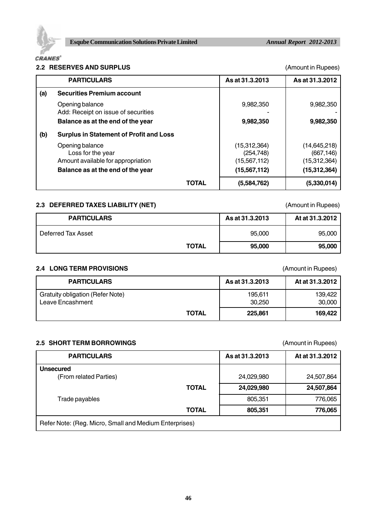

*Annual Report 2012-2013*

### **CRANES**

### **2.2 RESERVES AND SURPLUS CONSUMPLY CONSUMPLY CONSUMPLY CONSUMPLY CONSUMPLY CONSUMPLY CONSUMPLY CONSUMPLY**

**PARTICULARS AS A 2012 As at 31.3.2013 As at 31.3.2012 (a) Securities Premium account** Opening balance 8,982,350 9,982,350 9,982,350 Add: Receipt on issue of securities **Balance as at the end of the year 1998** 9,982,350 9,982,350 9,982,350 **(b) Surplus in Statement of Profit and Loss** Opening balance (15,312,364) (15,312,364) (15,312,364) (15,312,364) (15,312,364) (067,146) Loss for the year Amount available for appropriation (15,567,112) (15,312,364) **Balance as at the end of the year (15,567,112) (15,312,364) TOTAL (5,584,762) (5,330,014)**

### **2.3 DEFERRED TAXES LIABILITY (NET)** (Amount in Rupees)

**PARTICULARS AS A AS A 2013 As at 31.3.2013 At at 31.3.2012** Deferred Tax Asset 95,000 95,000 **TOTAL 95,000 95,000**

### **2.4 LONG TERM PROVISIONS** (Amount in Rupees)

| <b>PARTICULARS</b>                                          |              | As at 31.3.2013   | At at 31.3.2012   |
|-------------------------------------------------------------|--------------|-------------------|-------------------|
| <b>Gratuity obligation (Refer Note)</b><br>Leave Encashment |              | 195.611<br>30,250 | 139,422<br>30,000 |
|                                                             | <b>TOTAL</b> | 225.861           | 169.422           |

### **2.5 SHORT TERM BORROWINGS** (Amount in Rupees)

| <b>PARTICULARS</b>                                     |              | As at 31.3.2013 | At at 31.3.2012 |
|--------------------------------------------------------|--------------|-----------------|-----------------|
| <b>Unsecured</b>                                       |              |                 |                 |
| (From related Parties)                                 |              | 24,029,980      | 24,507,864      |
|                                                        | <b>TOTAL</b> | 24,029,980      | 24,507,864      |
| Trade payables                                         |              | 805,351         | 776,065         |
|                                                        | <b>TOTAL</b> | 805,351         | 776,065         |
| Refer Note: (Reg. Micro, Small and Medium Enterprises) |              |                 |                 |

**46**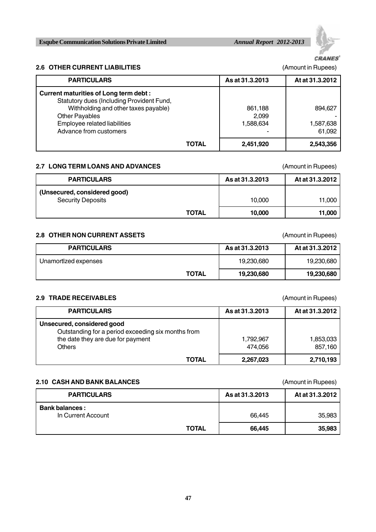### **2.6 OTHER CURRENT LIABILITIES** (Amount in Rupees)

| <b>PARTICULARS</b>                                                                                                                                                                         |       | As at 31.3.2013               | At at 31.3.2012      |
|--------------------------------------------------------------------------------------------------------------------------------------------------------------------------------------------|-------|-------------------------------|----------------------|
| <b>Current maturities of Long term debt:</b><br>Statutory dues (Including Provident Fund,<br>Withholding and other taxes payable)<br><b>Other Payables</b><br>Employee related liabilities |       | 861,188<br>2,099<br>1,588,634 | 894,627<br>1,587,638 |
| Advance from customers                                                                                                                                                                     |       |                               | 61,092               |
|                                                                                                                                                                                            | TOTAL | 2,451,920                     | 2,543,356            |

### **2.7 LONG TERM LOANS AND ADVANCES** (Amount in Rupees)

| <b>PARTICULARS</b>                                       |              | As at 31.3.2013 | At at 31.3.2012 |
|----------------------------------------------------------|--------------|-----------------|-----------------|
| (Unsecured, considered good)<br><b>Security Deposits</b> |              | 10.000          | 11,000          |
|                                                          | <b>TOTAL</b> | 10,000          | 11,000          |

### **2.8 OTHER NON CURRENT ASSETS** (Amount in Rupees)

| <b>PARTICULARS</b>   |              | As at 31.3.2013 | At at 31.3.2012 |
|----------------------|--------------|-----------------|-----------------|
| Unamortized expenses |              | 19,230,680      | 19,230,680      |
|                      | <b>TOTAL</b> | 19,230,680      | 19,230,680      |

### **2.9 TRADE RECEIVABLES** (Amount in Rupees)

| <b>PARTICULARS</b>                                                                                                                     | As at 31.3.2013      | At at 31.3.2012      |
|----------------------------------------------------------------------------------------------------------------------------------------|----------------------|----------------------|
| Unsecured, considered good<br>Outstanding for a period exceeding six months from<br>the date they are due for payment<br><b>Others</b> | 1,792,967<br>474,056 | 1,853,033<br>857,160 |
| <b>TOTAL</b>                                                                                                                           | 2,267,023            | 2,710,193            |

### **2.10 CASH AND BANK BALANCES** (Amount in Rupees)

| <b>PARTICULARS</b>                          |              | As at 31.3.2013 | At at 31.3.2012 |
|---------------------------------------------|--------------|-----------------|-----------------|
| <b>Bank balances:</b><br>In Current Account |              | 66.445          | 35,983          |
|                                             | <b>TOTAL</b> | 66,445          | 35,983          |

### *Annual Report 2012-2013*

**CRANES** 

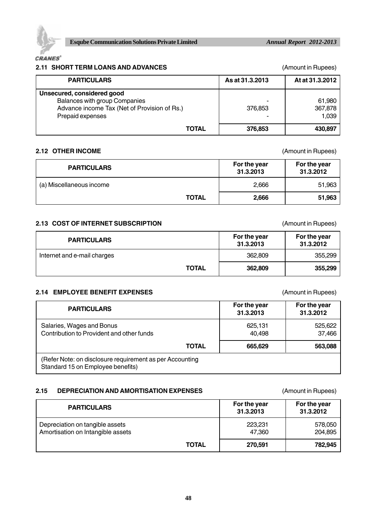

*Annual Report 2012-2013*

### **CRANES**

### **2.11 SHORT TERM LOANS AND ADVANCES** (Amount in Rupees)

| <b>PARTICULARS</b>                                                                                                              | As at 31.3.2013 | At at 31.3.2012            |
|---------------------------------------------------------------------------------------------------------------------------------|-----------------|----------------------------|
| Unsecured, considered good<br>Balances with group Companies<br>Advance income Tax (Net of Provision of Rs.)<br>Prepaid expenses | 376,853         | 61,980<br>367,878<br>1,039 |
| <b>TOTAL</b>                                                                                                                    | 376,853         | 430,897                    |

### **2.12 OTHER INCOME** (Amount in Rupees)

| <b>PARTICULARS</b>       |              | For the year<br>31.3.2013 | For the year<br>31.3.2012 |
|--------------------------|--------------|---------------------------|---------------------------|
| (a) Miscellaneous income |              | 2.666                     | 51,963                    |
|                          | <b>TOTAL</b> | 2,666                     | 51,963                    |

### **2.13 COST OF INTERNET SUBSCRIPTION** (Amount in Rupees)

| <b>PARTICULARS</b>          | For the year<br>31.3.2013 | For the year<br>31.3.2012 |
|-----------------------------|---------------------------|---------------------------|
| Internet and e-mail charges | 362,809                   | 355,299                   |
| <b>TOTAL</b>                | 362,809                   | 355,299                   |

### **2.14 EMPLOYEE BENEFIT EXPENSES** (Amount in Rupees)

| <b>PARTICULARS</b>                                                                            |              | For the year<br>31.3.2013 | For the year<br>31.3.2012 |
|-----------------------------------------------------------------------------------------------|--------------|---------------------------|---------------------------|
| Salaries, Wages and Bonus<br>Contribution to Provident and other funds                        |              | 625,131<br>40,498         | 525,622<br>37,466         |
|                                                                                               | <b>TOTAL</b> | 665,629                   | 563,088                   |
| (Refer Note: on disclosure requirement as per Accounting<br>Standard 15 on Employee benefits) |              |                           |                           |

### **2.15 DEPRECIATION AND AMORTISATION EXPENSES** (Amount in Rupees)

| <b>PARTICULARS</b>                                                   |              | For the year<br>31.3.2013 | For the year<br>31.3.2012 |
|----------------------------------------------------------------------|--------------|---------------------------|---------------------------|
| Depreciation on tangible assets<br>Amortisation on Intangible assets |              | 223,231<br>47.360         | 578,050<br>204,895        |
|                                                                      | <b>TOTAL</b> | 270,591                   | 782,945                   |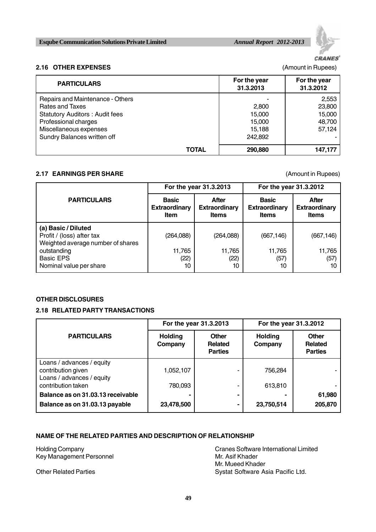| <b>Esqube Communication Solutions Private Limited</b> |  |  |
|-------------------------------------------------------|--|--|

*Annual Report 2012-2013*



### **2.16 OTHER EXPENSES** (Amount in Rupees)

| <b>PARTICULARS</b>                    |       | For the year<br>31.3.2013 | For the year<br>31.3.2012 |
|---------------------------------------|-------|---------------------------|---------------------------|
| Repairs and Maintenance - Others      |       |                           | 2,553                     |
| Rates and Taxes                       |       | 2,800                     | 23,800                    |
| <b>Statutory Auditors: Audit fees</b> |       | 15,000                    | 15,000                    |
| Professional charges                  |       | 15,000                    | 48,700                    |
| Miscellaneous expenses                |       | 15,188                    | 57,124                    |
| Sundry Balances written off           |       | 242,892                   |                           |
|                                       | TOTAL | 290,880                   | 147,177                   |

### **2.17 EARNINGS PER SHARE** (Amount in Rupees)

| For the year 31.3.2013                                                                |                      |                      | For the year 31.3.2012 |                      |
|---------------------------------------------------------------------------------------|----------------------|----------------------|------------------------|----------------------|
| <b>PARTICULARS</b>                                                                    | <b>Basic</b>         | After                | <b>Basic</b>           | After                |
|                                                                                       | <b>Extraordinary</b> | <b>Extraordinary</b> | Extraordinary          | <b>Extraordinary</b> |
|                                                                                       | <b>Item</b>          | <b>Items</b>         | <b>Items</b>           | <b>Items</b>         |
| (a) Basic / Diluted<br>Profit / (loss) after tax<br>Weighted average number of shares | (264,088)            | (264, 088)           | (667, 146)             | (667, 146)           |
| outstanding                                                                           | 11,765               | 11,765               | 11,765                 | 11,765               |
| <b>Basic EPS</b>                                                                      | (22)                 | (22)                 | (57)                   | (57)                 |
| Nominal value per share                                                               | 10                   | 10                   | 10                     | 10                   |

### **OTHER DISCLOSURES**

### **2.18 RELATED PARTY TRANSACTIONS**

|                                                                              |                           | For the year 31.3.2013                           | For the year 31.3.2012    |                                                  |
|------------------------------------------------------------------------------|---------------------------|--------------------------------------------------|---------------------------|--------------------------------------------------|
| <b>PARTICULARS</b>                                                           | <b>Holding</b><br>Company | <b>Other</b><br><b>Related</b><br><b>Parties</b> | <b>Holding</b><br>Company | <b>Other</b><br><b>Related</b><br><b>Parties</b> |
| Loans / advances / equity<br>contribution given<br>Loans / advances / equity | 1,052,107                 |                                                  | 756.284                   |                                                  |
| contribution taken                                                           | 780,093                   |                                                  | 613,810                   |                                                  |
| Balance as on 31.03.13 receivable                                            |                           |                                                  |                           | 61,980                                           |
| Balance as on 31.03.13 payable                                               | 23,478,500                |                                                  | 23,750,514                | 205,870                                          |

### **NAME OF THE RELATED PARTIES AND DESCRIPTION OF RELATIONSHIP**

Key Management Personnel

Holding Company<br>
Key Management Personnel<br>
Key Management Personnel<br>
Cranes Software International Limited<br>
Mr. Asif Khader Mr. Mueed Khader Other Related Parties **Systat Software Asia Pacific Ltd.** Systat Software Asia Pacific Ltd.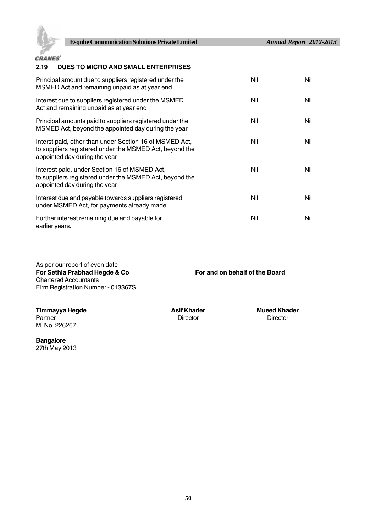

#### **CRANES**

### **2.19 DUES TO MICRO AND SMALL ENTERPRISES**

| Principal amount due to suppliers registered under the<br>MSMED Act and remaining unpaid as at year end                                             | Nil | Nil |
|-----------------------------------------------------------------------------------------------------------------------------------------------------|-----|-----|
| Interest due to suppliers registered under the MSMED<br>Act and remaining unpaid as at year end                                                     | Nil | Nil |
| Principal amounts paid to suppliers registered under the<br>MSMED Act, beyond the appointed day during the year                                     | Nil | Nil |
| Interst paid, other than under Section 16 of MSMED Act,<br>to suppliers registered under the MSMED Act, beyond the<br>appointed day during the year | Nil | Nil |
| Interest paid, under Section 16 of MSMED Act,<br>to suppliers registered under the MSMED Act, beyond the<br>appointed day during the year           | Nil | Nil |
| Interest due and payable towards suppliers registered<br>under MSMED Act, for payments already made.                                                | Nil | Nil |
| Further interest remaining due and payable for<br>earlier years.                                                                                    | Nil | Nil |

As per our report of even date For Sethia Prabhad Hegde & Co **For and on behalf of the Board** Chartered Accountants Firm Registration Number - 013367S

Partner Director Director

**Timmayya Hegde Asif Khader Asif Khader Asif Khader** Partner Mueed Khader Partner Asid Reported Khader Partner Mueed Changer Asia Director Director Asia Director Asia Director Asia Director Asia Director Asia Director Asia

**Bangalore** 27th May 2013

M. No. 226267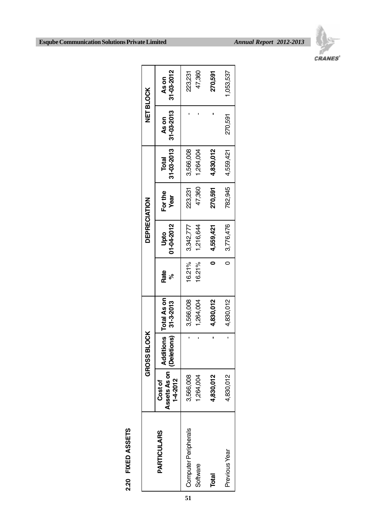*Annual Report 2012-2013*



|                      |                                     | <b>GROSS BLOCK</b>                        |                    |                          | <b>DEPRECIATION</b> |                |                     | <b>NET BLOCK</b>    |                     |
|----------------------|-------------------------------------|-------------------------------------------|--------------------|--------------------------|---------------------|----------------|---------------------|---------------------|---------------------|
| <b>PARTICULARS</b>   | Assets As on<br>1-4-2012<br>Cost of | (Deletions) 31-3-2013<br><b>Additions</b> | <b>Total As on</b> | Rate<br>ಸಿ               | 01-04-2012<br>Upto  | Forthe<br>Year | 31-03-2013<br>Total | 31-03-2013<br>As on | 31-03-2012<br>As on |
| Computer Peripherals | 3,566,008                           |                                           | 3,566,008          | 16.21%                   | 3,342,777           | 223,231        | 3,566,008           |                     | 223,231             |
| Software             | 1,264,004                           |                                           | 1,264,004          | 16.21%                   | 1,216,644           | 47,360         | 1,264,004           |                     | 47,360              |
| Total                | 4,830,012                           |                                           | 4,830,012          | $\overline{\phantom{0}}$ | 4,559,421           | 270,591        | 4,830,012           |                     | 270,591             |
| Previous Year        | 4,830,012                           |                                           | 4,830,012          |                          | 3,776,476           | 782,945        | 4,559,421           | 270,591             | 1,053,537           |

# 2.20 FIXED ASSETS **2.20 FIXED ASSETS**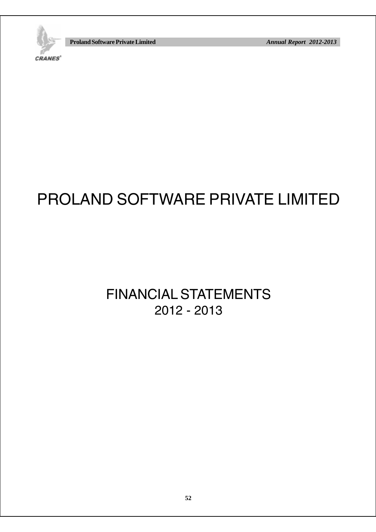

*Annual Report 2012-2013*

# PROLAND SOFTWARE PRIVATE LIMITED

FINANCIAL STATEMENTS 2012 - 2013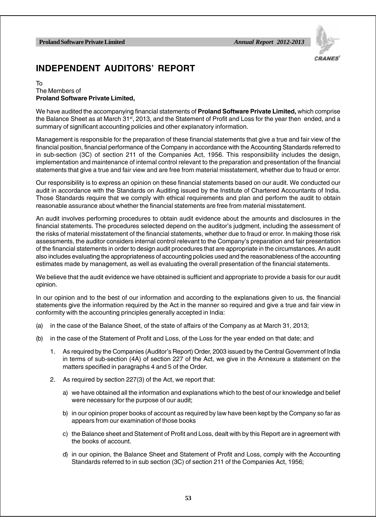

## **INDEPENDENT AUDITORS' REPORT**

### To The Members of **Proland Software Private Limited,**

We have audited the accompanying financial statements of **Proland Software Private Limited,** which comprise the Balance Sheet as at March 31<sup>st</sup>, 2013, and the Statement of Profit and Loss for the year then ended, and a summary of significant accounting policies and other explanatory information.

Management is responsible for the preparation of these financial statements that give a true and fair view of the financial position, financial performance of the Company in accordance with the Accounting Standards referred to in sub-section (3C) of section 211 of the Companies Act, 1956. This responsibility includes the design, implementation and maintenance of internal control relevant to the preparation and presentation of the financial statements that give a true and fair view and are free from material misstatement, whether due to fraud or error.

Our responsibility is to express an opinion on these financial statements based on our audit. We conducted our audit in accordance with the Standards on Auditing issued by the Institute of Chartered Accountants of India. Those Standards require that we comply with ethical requirements and plan and perform the audit to obtain reasonable assurance about whether the financial statements are free from material misstatement.

An audit involves performing procedures to obtain audit evidence about the amounts and disclosures in the financial statements. The procedures selected depend on the auditor's judgment, including the assessment of the risks of material misstatement of the financial statements, whether due to fraud or error. In making those risk assessments, the auditor considers internal control relevant to the Company's preparation and fair presentation of the financial statements in order to design audit procedures that are appropriate in the circumstances. An audit also includes evaluating the appropriateness of accounting policies used and the reasonableness of the accounting estimates made by management, as well as evaluating the overall presentation of the financial statements.

We believe that the audit evidence we have obtained is sufficient and appropriate to provide a basis for our audit opinion.

In our opinion and to the best of our information and according to the explanations given to us, the financial statements give the information required by the Act in the manner so required and give a true and fair view in conformity with the accounting principles generally accepted in India:

- (a) in the case of the Balance Sheet, of the state of affairs of the Company as at March 31, 2013;
- (b) in the case of the Statement of Profit and Loss, of the Loss for the year ended on that date; and
	- 1. As required by the Companies (Auditor's Report) Order, 2003 issued by the Central Government of India in terms of sub-section (4A) of section 227 of the Act, we give in the Annexure a statement on the matters specified in paragraphs 4 and 5 of the Order.
	- 2. As required by section 227(3) of the Act, we report that:
		- a) we have obtained all the information and explanations which to the best of our knowledge and belief were necessary for the purpose of our audit;
		- b) in our opinion proper books of account as required by law have been kept by the Company so far as appears from our examination of those books
		- c) the Balance sheet and Statement of Profit and Loss, dealt with by this Report are in agreement with the books of account.
		- d) in our opinion, the Balance Sheet and Statement of Profit and Loss, comply with the Accounting Standards referred to in sub section (3C) of section 211 of the Companies Act, 1956;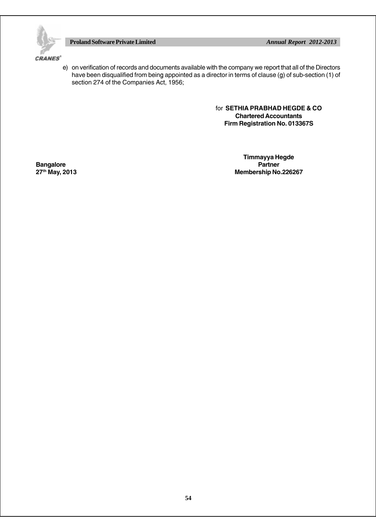

*Annual Report 2012-2013*

### **CRANES**

e) on verification of records and documents available with the company we report that all of the Directors have been disqualified from being appointed as a director in terms of clause (g) of sub-section (1) of section 274 of the Companies Act, 1956;

### for **SETHIA PRABHAD HEGDE & CO Chartered Accountants Firm Registration No. 013367S**

**Timmayya Hegde Bangalore** Partner Partner Partner Partner Partner Partner Partner Partner Partner **27th May, 2013 Membership No.226267**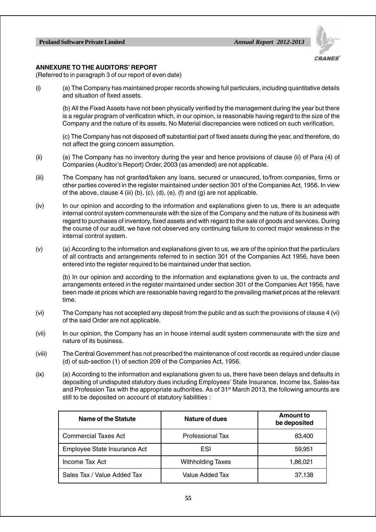*Annual Report 2012-2013*



### **ANNEXURE TO THE AUDITORS' REPORT**

(Referred to in paragraph 3 of our report of even date)

(i) (a) The Company has maintained proper records showing full particulars, including quantitative details and situation of fixed assets.

(b) All the Fixed Assets have not been physically verified by the management during the year but there is a regular program of verification which, in our opinion, is reasonable having regard to the size of the Company and the nature of its assets. No Material discrepancies were noticed on such verification.

(c) The Company has not disposed off substantial part of fixed assets during the year, and therefore, do not affect the going concern assumption.

- (ii) (a) The Company has no inventory during the year and hence provisions of clause (ii) of Para (4) of Companies (Auditor's Report) Order, 2003 (as amended) are not applicable.
- (iii) The Company has not granted/taken any loans, secured or unsecured, to/from companies, firms or other parties covered in the register maintained under section 301 of the Companies Act, 1956. In view of the above, clause 4 (iii) (b), (c), (d), (e), (f) and (g) are not applicable.
- (iv) In our opinion and according to the information and explanations given to us, there is an adequate internal control system commensurate with the size of the Company and the nature of its business with regard to purchases of inventory, fixed assets and with regard to the sale of goods and services. During the course of our audit, we have not observed any continuing failure to correct major weakness in the internal control system.
- (v) (a) According to the information and explanations given to us, we are of the opinion that the particulars of all contracts and arrangements referred to in section 301 of the Companies Act 1956, have been entered into the register required to be maintained under that section.

(b) In our opinion and according to the information and explanations given to us, the contracts and arrangements entered in the register maintained under section 301 of the Companies Act 1956, have been made at prices which are reasonable having regard to the prevailing market prices at the relevant time.

- (vi) The Company has not accepted any deposit from the public and as such the provisions of clause 4 (vi) of the said Order are not applicable.
- (vii) In our opinion, the Company has an in house internal audit system commensurate with the size and nature of its business.
- (viii) The Central Government has not prescribed the maintenance of cost records as required under clause (d) of sub-section (1) of section 209 of the Companies Act, 1956.
- (ix) (a) According to the information and explanations given to us, there have been delays and defaults in depositing of undisputed statutory dues including Employees' State Insurance, Income tax, Sales-tax and Profession Tax with the appropriate authorities. As of  $31<sup>st</sup>$  March 2013, the following amounts are still to be deposited on account of statutory liabilities :

| <b>Name of the Statute</b>   | Nature of dues           | Amount to<br>be deposited |
|------------------------------|--------------------------|---------------------------|
| <b>Commercial Taxes Act</b>  | Professional Tax         | 83,400                    |
| Employee State Insurance Act | ESI                      | 59,951                    |
| Income Tax Act               | <b>Withholding Taxes</b> | 1,86,021                  |
| Sales Tax / Value Added Tax  | Value Added Tax          | 37,138                    |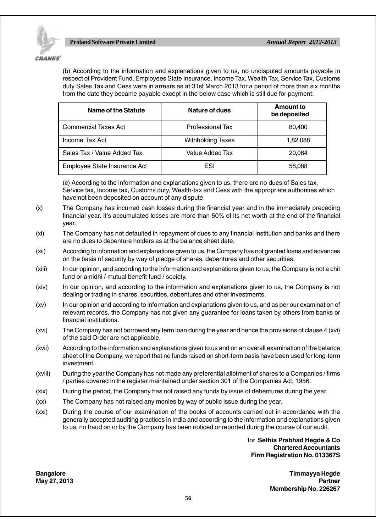

**CRANES** 

(b) According to the information and explanations given to us, no undisputed amounts payable in respect of Provident Fund, Employees State Insurance, Income Tax, Wealth Tax, Service Tax, Customs duty Sales Tax and Cess were in arrears as at 31st March 2013 for a period of more than six months from the date they became payable except in the below case which is still due for payment:

| Name of the Statute          | Nature of dues           | Amount to<br>be deposited |
|------------------------------|--------------------------|---------------------------|
| <b>Commercial Taxes Act</b>  | Professional Tax         | 80,400                    |
| Income Tax Act               | <b>Withholding Taxes</b> | 1,82,088                  |
| Sales Tax / Value Added Tax  | Value Added Tax          | 20.084                    |
| Employee State Insurance Act | ESI                      | 58,088                    |

(c) According to the information and explanations given to us, there are no dues of Sales tax, Service tax, Income tax, Customs duty, Wealth-tax and Cess with the appropriate authorities which have not been deposited on account of any dispute.

- (x) The Company has incurred cash losses during the financial year and in the immediately preceding financial year. It's accumulated losses are more than 50% of its net worth at the end of the financial year.
- (xi) The Company has not defaulted in repayment of dues to any financial institution and banks and there are no dues to debenture holders as at the balance sheet date.
- (xii) According to information and explanations given to us, the Company has not granted loans and advances on the basis of security by way of pledge of shares, debentures and other securities.
- (xiii) In our opinion, and according to the information and explanations given to us, the Company is not a chit fund or a nidhi / mutual benefit fund / society.
- (xiv) In our opinion, and according to the information and explanations given to us, the Company is not dealing or trading in shares, securities, debentures and other investments.
- (xv) In our opinion and according to information and explanations given to us, and as per our examination of relevant records, the Company has not given any guarantee for loans taken by others from banks or financial institutions.
- (xvi) The Company has not borrowed any term loan during the year and hence the provisions of clause 4 (xvi) of the said Order are not applicable.
- (xvii) According to the information and explanations given to us and on an overall examination of the balance sheet of the Company, we report that no funds raised on short-term basis have been used for long-term investment.
- (xviii) During the year the Company has not made any preferential allotment of shares to a Companies / firms / parties covered in the register maintained under section 301 of the Companies Act, 1956.
- (xix) During the period, the Company has not raised any funds by issue of debentures during the year.
- (xx) The Company has not raised any monies by way of public issue during the year.
- (xxi) During the course of our examination of the books of accounts carried out in accordance with the generally accepted auditing practices in India and according to the information and explanations given to us, no fraud on or by the Company has been noticed or reported during the course of our audit.

for **Sethia Prabhad Hegde & Co Chartered Accountants Firm Registration No. 013367S**

**Bangalore Timmayya Hegde May 27, 2013 Partner Membership No. 226267**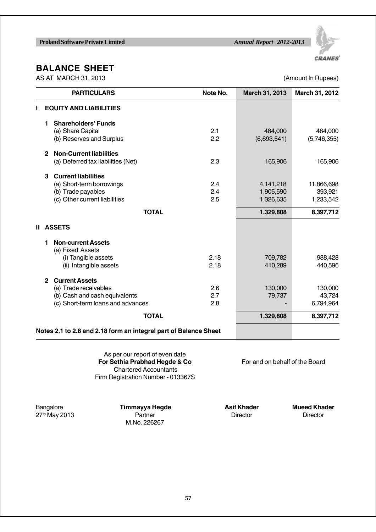*Annual Report 2012-2013*



### **BALANCE SHEET**

AS AT MARCH 31, 2013 2008 2009 12:00 12:00 12:00 12:00 12:00 12:00 12:00 12:00 12:00 12:00 12:00 12:00 12:00 1

| $(\Delta$ mount In Rune |  |  |
|-------------------------|--|--|

| <b>PARTICULARS</b>                                               | Note No. | March 31, 2013 | March 31, 2012 |
|------------------------------------------------------------------|----------|----------------|----------------|
| <b>EQUITY AND LIABILITIES</b>                                    |          |                |                |
| <b>Shareholders' Funds</b><br>1.                                 |          |                |                |
| (a) Share Capital                                                | 2.1      | 484,000        | 484,000        |
| (b) Reserves and Surplus                                         | 2.2      | (6,693,541)    | (5,746,355)    |
| <b>Non-Current liabilities</b><br>$\overline{2}$                 |          |                |                |
| (a) Deferred tax liabilities (Net)                               | 2.3      | 165,906        | 165,906        |
| <b>Current liabilities</b><br>3                                  |          |                |                |
| (a) Short-term borrowings                                        | 2.4      | 4,141,218      | 11,866,698     |
| (b) Trade payables                                               | 2.4      | 1,905,590      | 393,921        |
| (c) Other current liabilities                                    | 2.5      | 1,326,635      | 1,233,542      |
| <b>TOTAL</b>                                                     |          | 1,329,808      | 8,397,712      |
| <b>ASSETS</b><br>H.                                              |          |                |                |
| <b>Non-current Assets</b><br>1.                                  |          |                |                |
| (a) Fixed Assets                                                 |          |                |                |
| (i) Tangible assets                                              | 2.18     | 709,782        | 988,428        |
| (ii) Intangible assets                                           | 2.18     | 410,289        | 440,596        |
| <b>Current Assets</b><br>2.                                      |          |                |                |
| (a) Trade receivables                                            | 2.6      | 130,000        | 130,000        |
| (b) Cash and cash equivalents                                    | 2.7      | 79,737         | 43,724         |
| (c) Short-term loans and advances                                | 2.8      |                | 6,794,964      |
| <b>TOTAL</b>                                                     |          | 1,329,808      | 8,397,712      |
| Notes 2.1 to 2.8 and 2.18 form an integral part of Balance Sheet |          |                |                |

As per our report of even date **For Sethia Prabhad Hegde & Co** For and on behalf of the Board Chartered Accountants Firm Registration Number - 013367S

 $27<sup>th</sup>$  May 2013

Bangalore **Timmayya Hegde Asif Khader Mueed Khader** Bangalore **Mueed Khader Timmayya Hegde Asif Khader Mueed Khader Partner Conservery Conservery Conservery Conservery Conservery Conservery Conservery** M.No. 226267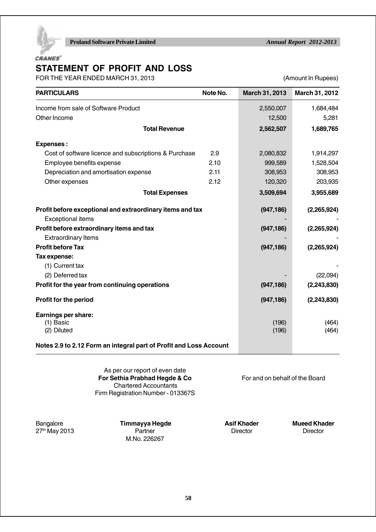

*Annual Report 2012-2013*

### **CRANES**

### **STATEMENT OF PROFIT AND LOSS**

FOR THE YEAR ENDED MARCH 31, 2013 (Amount In Rupees)

| <b>PARTICULARS</b>                                                | Note No. | March 31, 2013 | March 31, 2012 |
|-------------------------------------------------------------------|----------|----------------|----------------|
| Income from sale of Software Product                              |          | 2,550,007      | 1,684,484      |
| Other Income                                                      |          | 12,500         | 5,281          |
| <b>Total Revenue</b>                                              |          | 2,562,507      | 1,689,765      |
| <b>Expenses:</b>                                                  |          |                |                |
| Cost of software licence and subscriptions & Purchase             | 2.9      | 2,080,832      | 1,914,297      |
| Employee benefits expense                                         | 2.10     | 999,589        | 1,528,504      |
| Depreciation and amortisation expense                             | 2.11     | 308,953        | 308,953        |
| Other expenses                                                    | 2.12     | 120,320        | 203,935        |
| <b>Total Expenses</b>                                             |          | 3,509,694      | 3,955,689      |
| Profit before exceptional and extraordinary items and tax         |          | (947, 186)     | (2,265,924)    |
| <b>Exceptional items</b>                                          |          |                |                |
| Profit before extraordinary items and tax                         |          | (947, 186)     | (2,265,924)    |
| <b>Extraordinary Items</b>                                        |          |                |                |
| <b>Profit before Tax</b>                                          |          | (947, 186)     | (2,265,924)    |
| Tax expense:                                                      |          |                |                |
| (1) Current tax                                                   |          |                |                |
| (2) Deferred tax                                                  |          |                | (22,094)       |
| Profit for the year from continuing operations                    |          | (947, 186)     | (2,243,830)    |
| Profit for the period                                             |          | (947, 186)     | (2, 243, 830)  |
| Earnings per share:                                               |          |                |                |
| (1) Basic                                                         |          | (196)          | (464)          |
| (2) Diluted                                                       |          | (196)          | (464)          |
| $1 - 1 - 0$ $0$ $1 - 0$ $10$ $E$<br>رم 2014م بياتا في السمام المس |          |                |                |

**Notes 2.9 to 2.12 Form an integral part of Profit and Loss Account**

As per our report of even date **For Sethia Prabhad Hegde & Co** For and on behalf of the Board Chartered Accountants Firm Registration Number - 013367S

 $27<sup>th</sup>$  May 2013

Bangalore **Timmayya Hegde Asif Khader Mueed Khader** M.No. 226267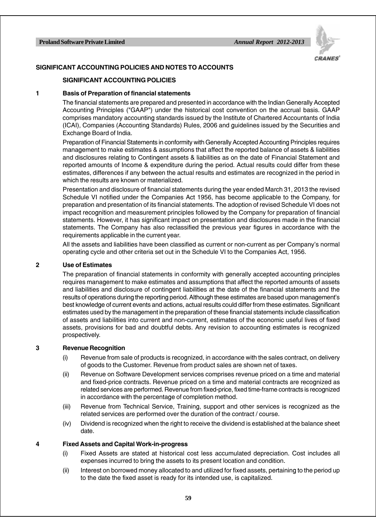

### **SIGNIFICANT ACCOUNTING POLICIES AND NOTES TO ACCOUNTS**

### **SIGNIFICANT ACCOUNTING POLICIES**

### **1 Basis of Preparation of financial statements**

The financial statements are prepared and presented in accordance with the Indian Generally Accepted Accounting Principles ("GAAP") under the historical cost convention on the accrual basis. GAAP comprises mandatory accounting standards issued by the Institute of Chartered Accountants of India (ICAI), Companies (Accounting Standards) Rules, 2006 and guidelines issued by the Securities and Exchange Board of India.

Preparation of Financial Statements in conformity with Generally Accepted Accounting Principles requires management to make estimates & assumptions that affect the reported balance of assets & liabilities and disclosures relating to Contingent assets & liabilities as on the date of Financial Statement and reported amounts of Income & expenditure during the period. Actual results could differ from these estimates, differences if any between the actual results and estimates are recognized in the period in which the results are known or materialized.

Presentation and disclosure of financial statements during the year ended March 31, 2013 the revised Schedule VI notified under the Companies Act 1956, has become applicable to the Company, for preparation and presentation of its financial statements. The adoption of revised Schedule VI does not impact recognition and measurement principles followed by the Company for preparation of financial statements. However, it has significant impact on presentation and disclosures made in the financial statements. The Company has also reclassified the previous year figures in accordance with the requirements applicable in the current year.

All the assets and liabilities have been classified as current or non-current as per Company's normal operating cycle and other criteria set out in the Schedule VI to the Companies Act, 1956.

### **2 Use of Estimates**

The preparation of financial statements in conformity with generally accepted accounting principles requires management to make estimates and assumptions that affect the reported amounts of assets and liabilities and disclosure of contingent liabilities at the date of the financial statements and the results of operations during the reporting period. Although these estimates are based upon management's best knowledge of current events and actions, actual results could differ from these estimates. Significant estimates used by the management in the preparation of these financial statements include classification of assets and liabilities into current and non-current, estimates of the economic useful lives of fixed assets, provisions for bad and doubtful debts. Any revision to accounting estimates is recognized prospectively.

### **3 Revenue Recognition**

- (i) Revenue from sale of products is recognized, in accordance with the sales contract, on delivery of goods to the Customer. Revenue from product sales are shown net of taxes.
- (ii) Revenue on Software Development services comprises revenue priced on a time and material and fixed-price contracts. Revenue priced on a time and material contracts are recognized as related services are performed. Revenue from fixed-price, fixed time-frame contracts is recognized in accordance with the percentage of completion method.
- (iii) Revenue from Technical Service, Training, support and other services is recognized as the related services are performed over the duration of the contract / course.
- (iv) Dividend is recognized when the right to receive the dividend is established at the balance sheet date.

#### **4 Fixed Assets and Capital Work-in-progress**

- (i) Fixed Assets are stated at historical cost less accumulated depreciation. Cost includes all expenses incurred to bring the assets to its present location and condition.
- (ii) Interest on borrowed money allocated to and utilized for fixed assets, pertaining to the period up to the date the fixed asset is ready for its intended use, is capitalized.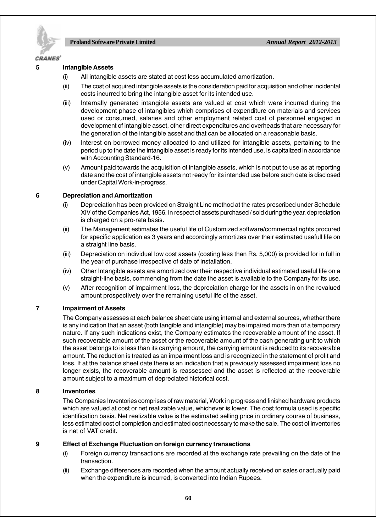

### **CRANES**

### **5 Intangible Assets**

- (i) All intangible assets are stated at cost less accumulated amortization.
- (ii) The cost of acquired intangible assets is the consideration paid for acquisition and other incidental costs incurred to bring the intangible asset for its intended use.
- (iii) Internally generated intangible assets are valued at cost which were incurred during the development phase of intangibles which comprises of expenditure on materials and services used or consumed, salaries and other employment related cost of personnel engaged in development of intangible asset, other direct expenditures and overheads that are necessary for the generation of the intangible asset and that can be allocated on a reasonable basis.
- (iv) Interest on borrowed money allocated to and utilized for intangible assets, pertaining to the period up to the date the intangible asset is ready for its intended use, is capitalized in accordance with Accounting Standard-16.
- (v) Amount paid towards the acquisition of intangible assets, which is not put to use as at reporting date and the cost of intangible assets not ready for its intended use before such date is disclosed under Capital Work-in-progress.

### **6 Depreciation and Amortization**

- (i) Depreciation has been provided on Straight Line method at the rates prescribed under Schedule XIV of the Companies Act, 1956. In respect of assets purchased / sold during the year, depreciation is charged on a pro-rata basis.
- (ii) The Management estimates the useful life of Customized software/commercial rights procured for specific application as 3 years and accordingly amortizes over their estimated usefull life on a straight line basis.
- (iii) Depreciation on individual low cost assets (costing less than Rs. 5,000) is provided for in full in the year of purchase irrespective of date of installation.
- (iv) Other Intangible assets are amortized over their respective individual estimated useful life on a straight-line basis, commencing from the date the asset is available to the Company for its use.
- (v) After recognition of impairment loss, the depreciation charge for the assets in on the revalued amount prospectively over the remaining useful life of the asset.

### **7 Impairment of Assets**

The Company assesses at each balance sheet date using internal and external sources, whether there is any indication that an asset (both tangible and intangible) may be impaired more than of a temporary nature. If any such indications exist, the Company estimates the recoverable amount of the asset. If such recoverable amount of the asset or the recoverable amount of the cash generating unit to which the asset belongs to is less than its carrying amount, the carrying amount is reduced to its recoverable amount. The reduction is treated as an impairment loss and is recognized in the statement of profit and loss. If at the balance sheet date there is an indication that a previously assessed impairment loss no longer exists, the recoverable amount is reassessed and the asset is reflected at the recoverable amount subject to a maximum of depreciated historical cost.

### **8 Inventories**

The Companies Inventories comprises of raw material, Work in progress and finished hardware products which are valued at cost or net realizable value, whichever is lower. The cost formula used is specific identification basis. Net realizable value is the estimated selling price in ordinary course of business, less estimated cost of completion and estimated cost necessary to make the sale. The cost of inventories is net of VAT credit.

**9 Effect of Exchange Fluctuation on foreign currency transactions**

- (i) Foreign currency transactions are recorded at the exchange rate prevailing on the date of the transaction.
- (ii) Exchange differences are recorded when the amount actually received on sales or actually paid when the expenditure is incurred, is converted into Indian Rupees.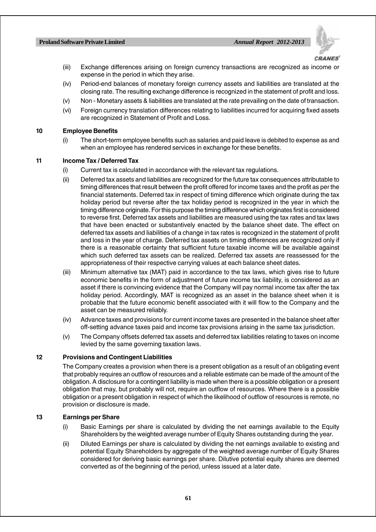

- (iii) Exchange differences arising on foreign currency transactions are recognized as income or expense in the period in which they arise.
- (iv) Period-end balances of monetary foreign currency assets and liabilities are translated at the closing rate. The resulting exchange difference is recognized in the statement of profit and loss.
- (v) Non Monetary assets & liabilities are translated at the rate prevailing on the date of transaction.
- (vi) Foreign currency translation differences relating to liabilities incurred for acquiring fixed assets are recognized in Statement of Profit and Loss.

### **10 Employee Benefits**

(i) The short-term employee benefits such as salaries and paid leave is debited to expense as and when an employee has rendered services in exchange for these benefits.

#### **11 Income Tax / Deferred Tax**

- (i) Current tax is calculated in accordance with the relevant tax regulations.
- (ii) Deferred tax assets and liabilities are recognized for the future tax consequences attributable to timing differences that result between the profit offered for income taxes and the profit as per the financial statements. Deferred tax in respect of timing difference which originate during the tax holiday period but reverse after the tax holiday period is recognized in the year in which the timing difference originate. For this purpose the timing difference which originates first is considered to reverse first. Deferred tax assets and liabilities are measured using the tax rates and tax laws that have been enacted or substantively enacted by the balance sheet date. The effect on deferred tax assets and liabilities of a change in tax rates is recognized in the statement of profit and loss in the year of charge. Deferred tax assets on timing differences are recognized only if there is a reasonable certainty that sufficient future taxable income will be available against which such deferred tax assets can be realized. Deferred tax assets are reassessed for the appropriateness of their respective carrying values at each balance sheet dates.
- (iii) Minimum alternative tax (MAT) paid in accordance to the tax laws, which gives rise to future economic benefits in the form of adjustment of future income tax liability, is considered as an asset if there is convincing evidence that the Company will pay normal income tax after the tax holiday period. Accordingly, MAT is recognized as an asset in the balance sheet when it is probable that the future economic benefit associated with it will flow to the Company and the asset can be measured reliably.
- (iv) Advance taxes and provisions for current income taxes are presented in the balance sheet after off-setting advance taxes paid and income tax provisions arising in the same tax jurisdiction.
- (v) The Company offsets deferred tax assets and deferred tax liabilities relating to taxes on income levied by the same governing taxation laws.

### **12 Provisions and Contingent Liabilities**

The Company creates a provision when there is a present obligation as a result of an obligating event that probably requires an outflow of resources and a reliable estimate can be made of the amount of the obligation. A disclosure for a contingent liability is made when there is a possible obligation or a present obligation that may, but probably will not, require an outflow of resources. Where there is a possible obligation or a present obligation in respect of which the likelihood of outflow of resources is remote, no provision or disclosure is made.

### **13 Earnings per Share**

- (i) Basic Earnings per share is calculated by dividing the net earnings available to the Equity Shareholders by the weighted average number of Equity Shares outstanding during the year.
- (ii) Diluted Earnings per share is calculated by dividing the net earnings available to existing and potential Equity Shareholders by aggregate of the weighted average number of Equity Shares considered for deriving basic earnings per share. Dilutive potential equity shares are deemed converted as of the beginning of the period, unless issued at a later date.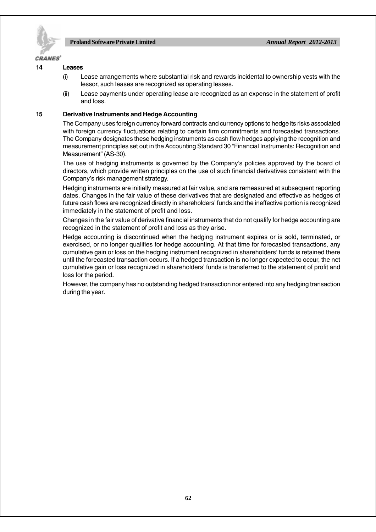

### **CRANES**

### **14 Leases**

- (i) Lease arrangements where substantial risk and rewards incidental to ownership vests with the lessor, such leases are recognized as operating leases.
- (ii) Lease payments under operating lease are recognized as an expense in the statement of profit and loss.

### **15 Derivative Instruments and Hedge Accounting**

The Company uses foreign currency forward contracts and currency options to hedge its risks associated with foreign currency fluctuations relating to certain firm commitments and forecasted transactions. The Company designates these hedging instruments as cash flow hedges applying the recognition and measurement principles set out in the Accounting Standard 30 "Financial Instruments: Recognition and Measurement" (AS-30).

The use of hedging instruments is governed by the Company's policies approved by the board of directors, which provide written principles on the use of such financial derivatives consistent with the Company's risk management strategy.

Hedging instruments are initially measured at fair value, and are remeasured at subsequent reporting dates. Changes in the fair value of these derivatives that are designated and effective as hedges of future cash flows are recognized directly in shareholders' funds and the ineffective portion is recognized immediately in the statement of profit and loss.

Changes in the fair value of derivative financial instruments that do not qualify for hedge accounting are recognized in the statement of profit and loss as they arise.

Hedge accounting is discontinued when the hedging instrument expires or is sold, terminated, or exercised, or no longer qualifies for hedge accounting. At that time for forecasted transactions, any cumulative gain or loss on the hedging instrument recognized in shareholders' funds is retained there until the forecasted transaction occurs. If a hedged transaction is no longer expected to occur, the net cumulative gain or loss recognized in shareholders' funds is transferred to the statement of profit and loss for the period.

However, the company has no outstanding hedged transaction nor entered into any hedging transaction during the year.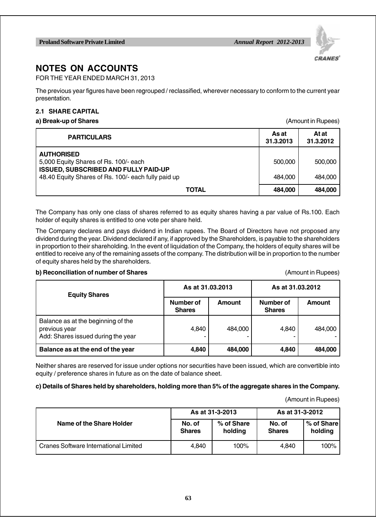

### **NOTES ON ACCOUNTS**

FOR THE YEAR ENDED MARCH 31, 2013

The previous year figures have been regrouped / reclassified, wherever necessary to conform to the current year presentation.

### **2.1 SHARE CAPITAL**

### **a) Break-up of Shares** (Amount in Rupees)

**PARTICULARS As at** At at **At at** At at **At at** At at **At at** At at **At at** At at **At at** At at **At at** 31.3.2012 **31.3.2013 31.3.2012 AUTHORISED** 5,000 Equity Shares of Rs. 100/- each 500,000 500,000 500,000 500,000 500,000 500,000 500,000 500,000 500,000 **ISSUED, SUBSCRIBED AND FULLY PAID-UP** 48.40 Equity Shares of Rs. 100/- each fully paid up 484,000 484,000 484,000 **TOTAL 184,000 484,000** 

The Company has only one class of shares referred to as equity shares having a par value of Rs.100. Each holder of equity shares is entitled to one vote per share held.

The Company declares and pays dividend in Indian rupees. The Board of Directors have not proposed any dividend during the year. Dividend declared if any, if approved by the Shareholders, is payable to the shareholders in proportion to their shareholding. In the event of liquidation of the Company, the holders of equity shares will be entitled to receive any of the remaining assets of the company. The distribution will be in proportion to the number of equity shares held by the shareholders.

### **b) Reconciliation of number of Shares** (Amount in Rupees)

| <b>Equity Shares</b>                                                                      | As at 31.03.2013           |         | As at 31.03.2012           |               |
|-------------------------------------------------------------------------------------------|----------------------------|---------|----------------------------|---------------|
|                                                                                           | Number of<br><b>Shares</b> | Amount  | Number of<br><b>Shares</b> | <b>Amount</b> |
| Balance as at the beginning of the<br>previous year<br>Add: Shares issued during the year | 4,840                      | 484,000 | 4.840                      | 484,000       |
| Balance as at the end of the year                                                         | 4,840                      | 484,000 | 4,840                      | 484,000       |

Neither shares are reserved for issue under options nor securities have been issued, which are convertible into equity / preference shares in future as on the date of balance sheet.

### **c) Details of Shares held by shareholders, holding more than 5% of the aggregate shares in the Company.**

(Amount in Rupees)

|                                       |                         | As at 31-3-2013       | As at 31-3-2012         |                       |  |
|---------------------------------------|-------------------------|-----------------------|-------------------------|-----------------------|--|
| Name of the Share Holder              | No. of<br><b>Shares</b> | % of Share<br>holding | No. of<br><b>Shares</b> | % of Share<br>holding |  |
| Cranes Software International Limited | 4.840                   | 100%                  | 4.840                   | 100%                  |  |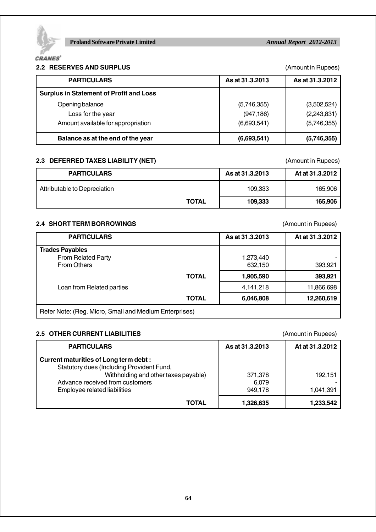

*Annual Report 2012-2013*

### **CRANES**

### **2.2 RESERVES AND SURPLUS** (Amount in Rupees)

| <b>PARTICULARS</b>                             | As at 31.3.2013 | As at 31.3.2012 |
|------------------------------------------------|-----------------|-----------------|
| <b>Surplus in Statement of Profit and Loss</b> |                 |                 |
| Opening balance                                | (5,746,355)     | (3,502,524)     |
| Loss for the year                              | (947, 186)      | (2,243,831)     |
| Amount available for appropriation             | (6,693,541)     | (5,746,355)     |
| Balance as at the end of the year              | (6,693,541)     | (5,746,355)     |

### **2.3 DEFERRED TAXES LIABILITY (NET)** (Amount in Rupees)

| <b>PARTICULARS</b>           |              | As at 31.3.2013 | At at 31.3.2012 |
|------------------------------|--------------|-----------------|-----------------|
| Attributable to Depreciation |              | 109.333         | 165,906         |
|                              | <b>TOTAL</b> | 109,333         | 165,906         |

### **2.4 SHORT TERM BORROWINGS** (Amount in Rupees)

| <b>PARTICULARS</b>                                     |              | As at 31.3.2013 | At at 31.3.2012 |
|--------------------------------------------------------|--------------|-----------------|-----------------|
| <b>Trades Payables</b>                                 |              |                 |                 |
| From Related Party                                     |              | 1,273,440       |                 |
| <b>From Others</b>                                     |              | 632,150         | 393,921         |
|                                                        | <b>TOTAL</b> | 1,905,590       | 393,921         |
| Loan from Related parties                              |              | 4,141,218       | 11,866,698      |
|                                                        | <b>TOTAL</b> | 6,046,808       | 12,260,619      |
| Refer Note: (Reg. Micro, Small and Medium Enterprises) |              |                 |                 |

**2.5 OTHER CURRENT LIABILITIES** (Amount in Rupees)

| <b>PARTICULARS</b>                           | As at 31.3.2013 | At at 31.3.2012 |
|----------------------------------------------|-----------------|-----------------|
| <b>Current maturities of Long term debt:</b> |                 |                 |
| Statutory dues (Including Provident Fund,    |                 |                 |
| Withholding and other taxes payable)         | 371,378         | 192,151         |
| Advance received from customers              | 6.079           |                 |
| Employee related liabilities                 | 949.178         | 1,041,391       |
| <b>TOTAL</b>                                 | 1,326,635       | 1,233,542       |

**64**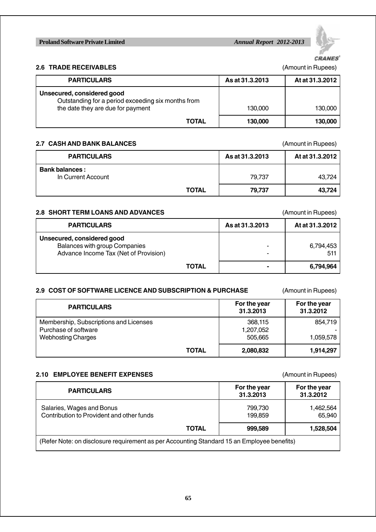### **2.6 TRADE RECEIVABLES** (Amount in Rupees)

| <b>PARTICULARS</b>                                                                                                    | As at 31.3.2013 | At at 31.3.2012 |
|-----------------------------------------------------------------------------------------------------------------------|-----------------|-----------------|
| Unsecured, considered good<br>Outstanding for a period exceeding six months from<br>the date they are due for payment | 130,000         | 130,000         |
| <b>TOTAL</b>                                                                                                          | 130,000         | 130,000         |

### **2.7 CASH AND BANK BALANCES** (Amount in Rupees)

| <b>PARTICULARS</b>                          |              | As at 31.3.2013 | At at 31.3.2012 |
|---------------------------------------------|--------------|-----------------|-----------------|
| <b>Bank balances:</b><br>In Current Account |              | 79.737          | 43,724          |
|                                             | <b>TOTAL</b> | 79.737          | 43,724          |

### **2.8 SHORT TERM LOANS AND ADVANCES** (Amount in Rupees)

| <b>PARTICULARS</b>                                                                                          |              | As at 31.3.2013 | At at 31.3.2012  |
|-------------------------------------------------------------------------------------------------------------|--------------|-----------------|------------------|
| Unsecured, considered good<br><b>Balances with group Companies</b><br>Advance Income Tax (Net of Provision) |              |                 | 6,794,453<br>511 |
|                                                                                                             | <b>TOTAL</b> |                 | 6,794,964        |

### **2.9 COST OF SOFTWARE LICENCE AND SUBSCRIPTION & PURCHASE** (Amount in Rupees)

**PARTICULARS For the year For the year For the year For the year For the year For the year For the year For the year For the year For the year For the year For the year For the year For the year 31.3.2013 31.3.2012** Membership, Subscriptions and Licenses 368,115 854,719<br>Purchase of software 1.207,052 Purchase of software 1,207,052<br>
Webhosting Charges 1,059,578<br>
1,059,578<br>
1,059,578<br>
1,059,578 Webhosting Charges **TOTAL 2,080,832 1,914,297**

### **2.10 EMPLOYEE BENEFIT EXPENSES** (Amount in Rupees)

| <b>PARTICULARS</b>                                                                         |              | For the year<br>31.3.2013 | For the year<br>31.3.2012 |
|--------------------------------------------------------------------------------------------|--------------|---------------------------|---------------------------|
| Salaries, Wages and Bonus<br>Contribution to Provident and other funds                     |              | 799,730<br>199.859        | 1,462,564<br>65,940       |
|                                                                                            | <b>TOTAL</b> | 999.589                   | 1,528,504                 |
| (Refer Note: on disclosure requirement as per Accounting Standard 15 an Employee benefits) |              |                           |                           |

*Annual Report 2012-2013*



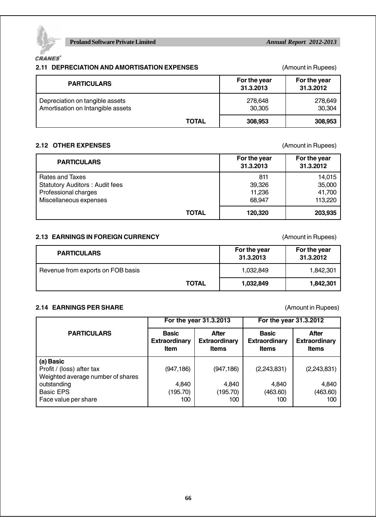

*Annual Report 2012-2013*

### **CRANES**

### **2.11 DEPRECIATION AND AMORTISATION EXPENSES** (Amount in Rupees)

| <b>PARTICULARS</b>                                                   |              | For the year<br>31.3.2013 | For the year<br>31.3.2012 |
|----------------------------------------------------------------------|--------------|---------------------------|---------------------------|
| Depreciation on tangible assets<br>Amortisation on Intangible assets |              | 278,648<br>30,305         | 278,649<br>30,304         |
|                                                                      | <b>TOTAL</b> | 308,953                   | 308,953                   |

### **2.12 OTHER EXPENSES** (Amount in Rupees)

**PARTICULARS For the year For the year For the year For the year For the year For the year For the year For the year For the year For the year For the year For the year For the year For the year 31.3.2013 31.3.2012** Rates and Taxes **811** 14,015<br>Statutory Auditors : Audit fees 811 14,015 Statutory Auditors : Audit fees 39,326 35,000<br>Professional charges 39,326 35,000 35,000 Professional charges 11,236 41,700<br>Miscellaneous expenses 68,947 68,947 113,220 Miscellaneous expenses **TOTAL 120,320 203,935**

### **2.13 EARNINGS IN FOREIGN CURRENCY** (Amount in Rupees)

| <b>PARTICULARS</b>                |              | For the year<br>31.3.2013 | For the year<br>31.3.2012 |
|-----------------------------------|--------------|---------------------------|---------------------------|
| Revenue from exports on FOB basis |              | 1,032,849                 | 1,842,301                 |
|                                   | <b>TOTAL</b> | 1,032,849                 | 1,842,301                 |

### **2.14 EARNINGS PER SHARE** (Amount in Rupees)

 **For the year 31.3.2013 For the year 31.3.2012 PARTICULARS** Basic Basic Basic Basic Basic After<br>Extraordinary Extraordinary Extraordinary Extraordinary After **Extraordinary Extraordinary Extraordinary Extraordinary** Item | Items | Items | Items **(a) Basic** Profit / (loss) after tax  $(947,186)$   $(947,186)$   $(2,243,831)$   $(2,243,831)$ Weighted average number of shares<br>outstanding outstanding | 4,840 | 4,840 | 4,840 | 4,840 Basic EPS | (195.70) | (195.70) | (463.60) | (463.60) Face value per share 100 100 100 100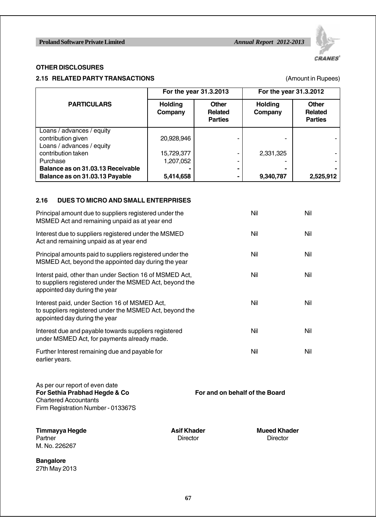*Annual Report 2012-2013*



### **OTHER DISCLOSURES**

### **2.15 RELATED PARTY TRANSACTIONS** (Amount in Rupees)

|                                   |                           | For the year 31.3.2013                           | For the year 31.3.2012    |                                                  |
|-----------------------------------|---------------------------|--------------------------------------------------|---------------------------|--------------------------------------------------|
| <b>PARTICULARS</b>                | <b>Holding</b><br>Company | <b>Other</b><br><b>Related</b><br><b>Parties</b> | <b>Holding</b><br>Company | <b>Other</b><br><b>Related</b><br><b>Parties</b> |
| Loans / advances / equity         |                           |                                                  |                           |                                                  |
| contribution given                | 20,928,946                |                                                  |                           |                                                  |
| Loans / advances / equity         |                           |                                                  |                           |                                                  |
| contribution taken                | 15,729,377                |                                                  | 2,331,325                 |                                                  |
| Purchase                          | 1,207,052                 |                                                  |                           |                                                  |
| Balance as on 31.03.13 Receivable |                           |                                                  |                           |                                                  |
| Balance as on 31.03.13 Payable    | 5,414,658                 |                                                  | 9,340,787                 | 2,525,912                                        |

### **2.16 DUES TO MICRO AND SMALL ENTERPRISES**

| Principal amount due to suppliers registered under the<br>MSMED Act and remaining unpaid as at year end                                             | Nil | Nil |
|-----------------------------------------------------------------------------------------------------------------------------------------------------|-----|-----|
| Interest due to suppliers registered under the MSMED<br>Act and remaining unpaid as at year end                                                     | Nil | Nil |
| Principal amounts paid to suppliers registered under the<br>MSMED Act, beyond the appointed day during the year                                     | Nil | Nil |
| Interst paid, other than under Section 16 of MSMED Act,<br>to suppliers registered under the MSMED Act, beyond the<br>appointed day during the year | Nil | Nil |
| Interest paid, under Section 16 of MSMED Act,<br>to suppliers registered under the MSMED Act, beyond the<br>appointed day during the year           | Nil | Nil |
| Interest due and payable towards suppliers registered<br>under MSMED Act, for payments already made.                                                | Nil | Nil |
| Further Interest remaining due and payable for<br>earlier years.                                                                                    | Nil | Nil |

As per our report of even date For Sethia Prabhad Hegde & Co **For and on behalf of the Board** Chartered Accountants Firm Registration Number - 013367S

**Timmayya Hegde Asif Khader Asif Khader Asif Khader** Mueed Khader Partner Asimum Director **Asif Khader** Director Partner Director Director Director Director Director Director M. No. 226267

**Bangalore** 27th May 2013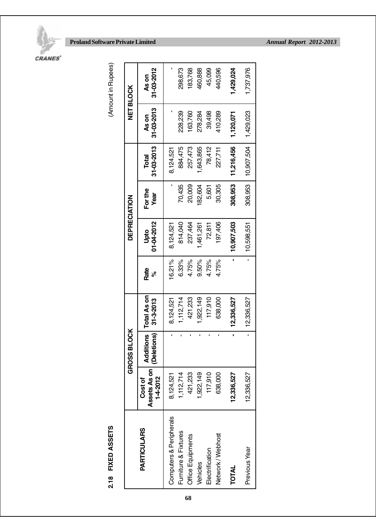

(Amount in Rupees)

**2.18 FIXED ASSETS** (Amount in Rupees)

2.18 FIXED ASSETS

*Annual Report 2012-2013*

**CRANES** 

|                         |                                     | <b>JOCK</b><br><b>GROSS BI</b> |                                |            | DEPRECIATION       |                 |                     | <b>NET BLOCK</b>    |                     |
|-------------------------|-------------------------------------|--------------------------------|--------------------------------|------------|--------------------|-----------------|---------------------|---------------------|---------------------|
| PARTICULARS             | Assets As on<br>1-4-2012<br>Cost of | (Deletions)<br><b>Additi</b>   | ons   Total As on<br>31-3-2013 | Rate<br>se | 01-04-2012<br>Upto | For the<br>Year | 31-03-2013<br>Total | 31-03-2013<br>As on | 31-03-2012<br>As on |
| Computers & Peripherals | 8,124,521                           |                                | 8,124,521                      | 16.21%     | 8,124,521          |                 | 8,124,521           |                     |                     |
| Furniture & Fixtures    | 1, 112, 714                         |                                | 1,112,714                      | 6.33%      | 814,040            | 70,435          | 884,475             | 228,239             | 298,673             |
| Office Equipments       | 421,233                             | ı                              | 421,233                        | 4.75%      | 237,464            | 20,009          | 257,473             | 163,760             | 183,768             |
| Vehicles                | 1,922,149                           |                                | 1,922,149                      | 9.50%      | ,461,261           | 182,604         | 1,643,865           | 278,284             | 460,888             |
| Electrification         | 117,910                             | ı                              | 117,910                        | 4.75%      | 72,811             | 5,601           | 78,412              | 39,498              | 45,099              |
| Network/Webhost         | 638,000                             | ı                              | 638,000                        | 4.75%      | 197,406            | 30,305          | 227,711             | 410,289             | 440,596             |
| <b>TOTAL</b>            | 12,336,527                          |                                | 12,336,527                     |            | 10,907,503         | 308,953         | 11,216,456          | 1,120,071           | 1,429,024           |
| Previous Year           | 12,336,527                          | f,                             | 12,336,527                     | í.         | 10,598,551         | 308,953         | 10,907,504          | 1,429,023           | 1,737,976           |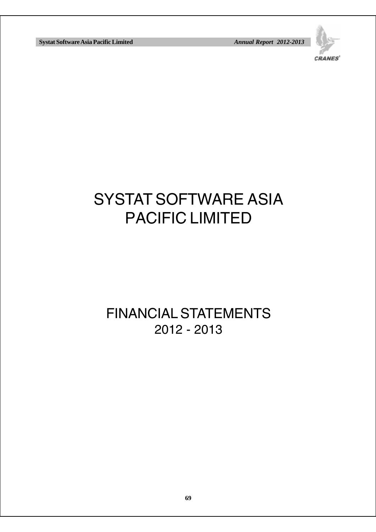**Systat Software Asia Pacific Limited**

*Annual Report 2012-2013*



# SYSTAT SOFTWARE ASIA PACIFIC LIMITED

# FINANCIAL STATEMENTS 2012 - 2013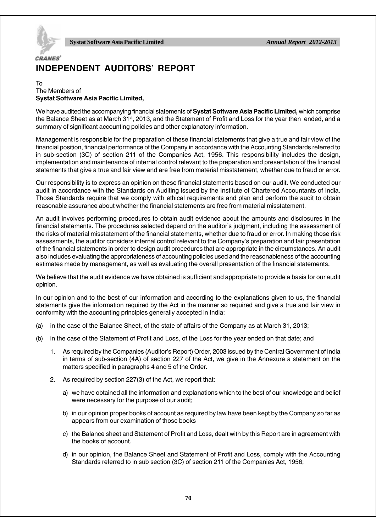

**Systat Software Asia Pacific Limited**

### **CRANES INDEPENDENT AUDITORS' REPORT**

### To The Members of **Systat Software Asia Pacific Limited,**

We have audited the accompanying financial statements of **Systat Software Asia Pacific Limited,** which comprise the Balance Sheet as at March 31<sup>st</sup>, 2013, and the Statement of Profit and Loss for the year then ended, and a summary of significant accounting policies and other explanatory information.

Management is responsible for the preparation of these financial statements that give a true and fair view of the financial position, financial performance of the Company in accordance with the Accounting Standards referred to in sub-section (3C) of section 211 of the Companies Act, 1956. This responsibility includes the design, implementation and maintenance of internal control relevant to the preparation and presentation of the financial statements that give a true and fair view and are free from material misstatement, whether due to fraud or error.

Our responsibility is to express an opinion on these financial statements based on our audit. We conducted our audit in accordance with the Standards on Auditing issued by the Institute of Chartered Accountants of India. Those Standards require that we comply with ethical requirements and plan and perform the audit to obtain reasonable assurance about whether the financial statements are free from material misstatement.

An audit involves performing procedures to obtain audit evidence about the amounts and disclosures in the financial statements. The procedures selected depend on the auditor's judgment, including the assessment of the risks of material misstatement of the financial statements, whether due to fraud or error. In making those risk assessments, the auditor considers internal control relevant to the Company's preparation and fair presentation of the financial statements in order to design audit procedures that are appropriate in the circumstances. An audit also includes evaluating the appropriateness of accounting policies used and the reasonableness of the accounting estimates made by management, as well as evaluating the overall presentation of the financial statements.

We believe that the audit evidence we have obtained is sufficient and appropriate to provide a basis for our audit opinion.

In our opinion and to the best of our information and according to the explanations given to us, the financial statements give the information required by the Act in the manner so required and give a true and fair view in conformity with the accounting principles generally accepted in India:

- (a) in the case of the Balance Sheet, of the state of affairs of the Company as at March 31, 2013;
- (b) in the case of the Statement of Profit and Loss, of the Loss for the year ended on that date; and
	- 1. As required by the Companies (Auditor's Report) Order, 2003 issued by the Central Government of India in terms of sub-section (4A) of section 227 of the Act, we give in the Annexure a statement on the matters specified in paragraphs 4 and 5 of the Order.
	- 2. As required by section 227(3) of the Act, we report that:
		- a) we have obtained all the information and explanations which to the best of our knowledge and belief were necessary for the purpose of our audit;
		- b) in our opinion proper books of account as required by law have been kept by the Company so far as appears from our examination of those books
		- c) the Balance sheet and Statement of Profit and Loss, dealt with by this Report are in agreement with the books of account.
		- d) in our opinion, the Balance Sheet and Statement of Profit and Loss, comply with the Accounting Standards referred to in sub section (3C) of section 211 of the Companies Act, 1956;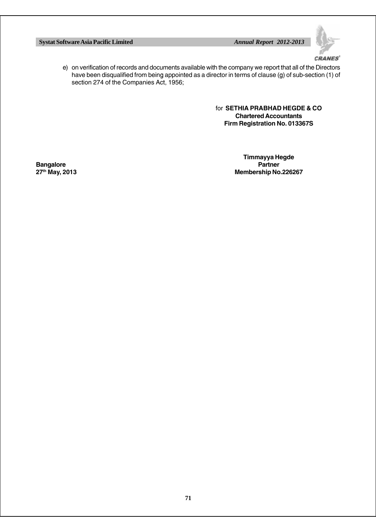### **Systat Software Asia Pacific Limited**

*Annual Report 2012-2013*



e) on verification of records and documents available with the company we report that all of the Directors have been disqualified from being appointed as a director in terms of clause (g) of sub-section (1) of section 274 of the Companies Act, 1956;

> for **SETHIA PRABHAD HEGDE & CO Chartered Accountants Firm Registration No. 013367S**

**Timmayya Hegde Bangalore** Partner Partner Partner Partner Partner Partner Partner Partner Partner **27th May, 2013 Membership No.226267**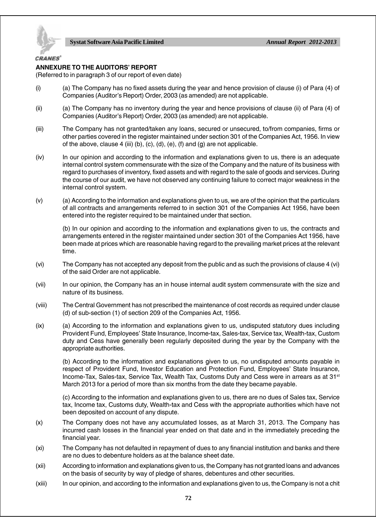

### *CRANES*

### **ANNEXURE TO THE AUDITORS' REPORT**

(Referred to in paragraph 3 of our report of even date)

- (i) (a) The Company has no fixed assets during the year and hence provision of clause (i) of Para (4) of Companies (Auditor's Report) Order, 2003 (as amended) are not applicable.
- (ii) (a) The Company has no inventory during the year and hence provisions of clause (ii) of Para (4) of Companies (Auditor's Report) Order, 2003 (as amended) are not applicable.
- (iii) The Company has not granted/taken any loans, secured or unsecured, to/from companies, firms or other parties covered in the register maintained under section 301 of the Companies Act, 1956. In view of the above, clause 4 (iii) (b), (c), (d), (e), (f) and (g) are not applicable.
- (iv) In our opinion and according to the information and explanations given to us, there is an adequate internal control system commensurate with the size of the Company and the nature of its business with regard to purchases of inventory, fixed assets and with regard to the sale of goods and services. During the course of our audit, we have not observed any continuing failure to correct major weakness in the internal control system.
- (v) (a) According to the information and explanations given to us, we are of the opinion that the particulars of all contracts and arrangements referred to in section 301 of the Companies Act 1956, have been entered into the register required to be maintained under that section.

(b) In our opinion and according to the information and explanations given to us, the contracts and arrangements entered in the register maintained under section 301 of the Companies Act 1956, have been made at prices which are reasonable having regard to the prevailing market prices at the relevant time.

- (vi) The Company has not accepted any deposit from the public and as such the provisions of clause 4 (vi) of the said Order are not applicable.
- (vii) In our opinion, the Company has an in house internal audit system commensurate with the size and nature of its business.
- (viii) The Central Government has not prescribed the maintenance of cost records as required under clause (d) of sub-section (1) of section 209 of the Companies Act, 1956.
- (ix) (a) According to the information and explanations given to us, undisputed statutory dues including Provident Fund, Employees' State Insurance, Income-tax, Sales-tax, Service tax, Wealth-tax, Custom duty and Cess have generally been regularly deposited during the year by the Company with the appropriate authorities.

(b) According to the information and explanations given to us, no undisputed amounts payable in respect of Provident Fund, Investor Education and Protection Fund, Employees' State Insurance, Income-Tax, Sales-tax, Service Tax, Wealth Tax, Customs Duty and Cess were in arrears as at 31st March 2013 for a period of more than six months from the date they became payable.

(c) According to the information and explanations given to us, there are no dues of Sales tax, Service tax, Income tax, Customs duty, Wealth-tax and Cess with the appropriate authorities which have not been deposited on account of any dispute.

- (x) The Company does not have any accumulated losses, as at March 31, 2013. The Company has incurred cash losses in the financial year ended on that date and in the immediately preceding the financial year.
- (xi) The Company has not defaulted in repayment of dues to any financial institution and banks and there are no dues to debenture holders as at the balance sheet date.
- (xii) According to information and explanations given to us, the Company has not granted loans and advances on the basis of security by way of pledge of shares, debentures and other securities.
- (xiii) In our opinion, and according to the information and explanations given to us, the Company is not a chit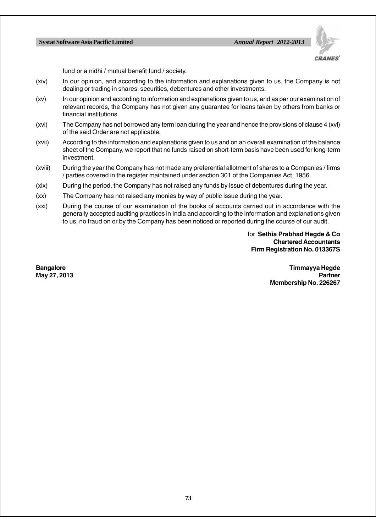*Annual Report 2012-2013*



fund or a nidhi / mutual benefit fund / society.

- (xiv) In our opinion, and according to the information and explanations given to us, the Company is not dealing or trading in shares, securities, debentures and other investments.
- (xv) In our opinion and according to information and explanations given to us, and as per our examination of relevant records, the Company has not given any guarantee for loans taken by others from banks or financial institutions.
- (xvi) The Company has not borrowed any term loan during the year and hence the provisions of clause 4 (xvi) of the said Order are not applicable.
- (xvii) According to the information and explanations given to us and on an overall examination of the balance sheet of the Company, we report that no funds raised on short-term basis have been used for long-term investment.
- (xviii) During the year the Company has not made any preferential allotment of shares to a Companies / firms / parties covered in the register maintained under section 301 of the Companies Act, 1956.
- (xix) During the period, the Company has not raised any funds by issue of debentures during the year.
- (xx) The Company has not raised any monies by way of public issue during the year.
- (xxi) During the course of our examination of the books of accounts carried out in accordance with the generally accepted auditing practices in India and according to the information and explanations given to us, no fraud on or by the Company has been noticed or reported during the course of our audit.

for **Sethia Prabhad Hegde & Co Chartered Accountants Firm Registration No. 013367S**

**May 27, 2013** 

**Bangalore Timmayya Hegde Membership No. 226267**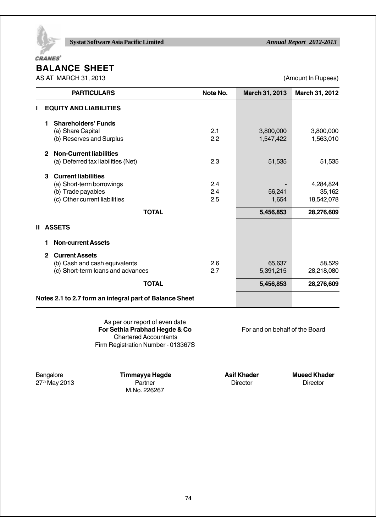

*Annual Report 2012-2013*

### **CRANES**

**BALANCE SHEET**

AS AT MARCH 31, 2013 (Amount In Rupees)

|    |                                                       | <b>PARTICULARS</b>                                                   | Note No.          | March 31, 2013         | March 31, 2012                    |
|----|-------------------------------------------------------|----------------------------------------------------------------------|-------------------|------------------------|-----------------------------------|
|    | <b>EQUITY AND LIABILITIES</b>                         |                                                                      |                   |                        |                                   |
|    | (a) Share Capital                                     | <b>Shareholders' Funds</b><br>(b) Reserves and Surplus               | 2.1<br>2.2        | 3,800,000<br>1,547,422 | 3,800,000<br>1,563,010            |
|    | $\mathbf 2$                                           | <b>Non-Current liabilities</b><br>(a) Deferred tax liabilities (Net) | 2.3               | 51,535                 | 51,535                            |
|    | <b>Current liabilities</b><br>3<br>(b) Trade payables | (a) Short-term borrowings<br>(c) Other current liabilities           | 2.4<br>2.4<br>2.5 | 56,241<br>1,654        | 4,284,824<br>35,162<br>18,542,078 |
|    |                                                       | <b>TOTAL</b>                                                         |                   | 5,456,853              | 28,276,609                        |
| Ш. | <b>ASSETS</b>                                         |                                                                      |                   |                        |                                   |
|    | <b>Non-current Assets</b>                             |                                                                      |                   |                        |                                   |
|    | <b>Current Assets</b><br>$\mathbf{2}$                 | (b) Cash and cash equivalents<br>(c) Short-term loans and advances   | 2.6<br>2.7        | 65,637<br>5,391,215    | 58,529<br>28,218,080              |
|    |                                                       | <b>TOTAL</b>                                                         |                   | 5,456,853              | 28,276,609                        |
|    |                                                       | Notes 2.1 to 2.7 form an integral part of Balance Sheet              |                   |                        |                                   |

As per our report of even date **For Sethia Prabhad Hegde & Co** For and on behalf of the Board Chartered Accountants Firm Registration Number - 013367S

 $27<sup>th</sup>$  May 2013

Bangalore **Timmayya Hegde Asif Khader Mueed Khader** Bangalore **Mueed Khader Timmayya Hegde Asif Khader Mueed Khader Partner Director Director** M.No. 226267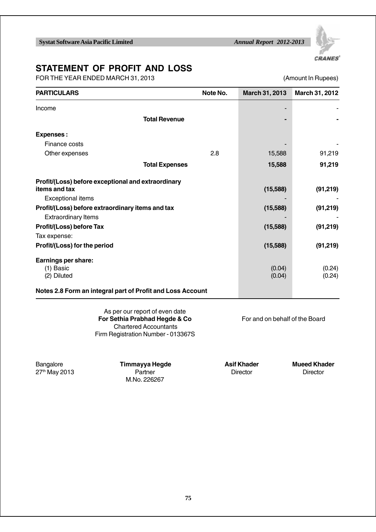*Annual Report 2012-2013*



## **STATEMENT OF PROFIT AND LOSS**

FOR THE YEAR ENDED MARCH 31, 2013 (Amount In Rupees)

| <b>PARTICULARS</b>                                                             | Note No.              | March 31, 2013   | March 31, 2012   |
|--------------------------------------------------------------------------------|-----------------------|------------------|------------------|
| Income                                                                         |                       |                  |                  |
|                                                                                | <b>Total Revenue</b>  |                  |                  |
| <b>Expenses:</b>                                                               |                       |                  |                  |
| Finance costs                                                                  |                       |                  |                  |
| Other expenses                                                                 | 2.8                   | 15,588           | 91,219           |
|                                                                                | <b>Total Expenses</b> | 15,588           | 91,219           |
| Profit/(Loss) before exceptional and extraordinary<br>items and tax            |                       | (15, 588)        | (91, 219)        |
| <b>Exceptional items</b>                                                       |                       |                  |                  |
| Profit/(Loss) before extraordinary items and tax<br><b>Extraordinary Items</b> |                       | (15, 588)        | (91, 219)        |
| Profit/(Loss) before Tax                                                       |                       | (15, 588)        | (91, 219)        |
| Tax expense:                                                                   |                       |                  |                  |
| Profit/(Loss) for the period                                                   |                       | (15, 588)        | (91, 219)        |
| Earnings per share:<br>(1) Basic<br>(2) Diluted                                |                       | (0.04)<br>(0.04) | (0.24)<br>(0.24) |
| Notes 2.8 Form an integral part of Profit and Loss Account                     |                       |                  |                  |

As per our report of even date **For Sethia Prabhad Hegde & Co** For and on behalf of the Board Chartered Accountants Firm Registration Number - 013367S

 $27<sup>th</sup>$  May 2013

Bangalore **Timmayya Hegde Asif Khader Mueed Khader Mueed Khader Partner Partner CONFOCITY CONFOCITY CONFOCITY CONFOCITY CONFOCITY CONFOCITY CONFOCITY CONFOCITY CONFOCITY CONFOCITY CONFOCITY CO** M.No. 226267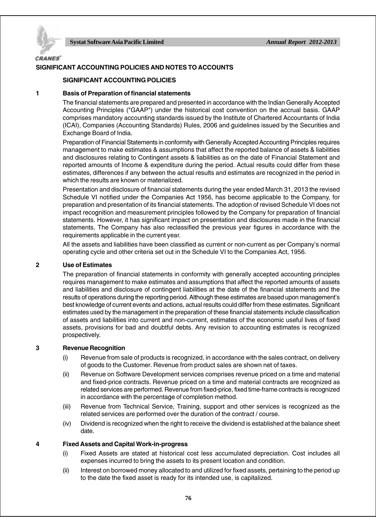

### **SIGNIFICANT ACCOUNTING POLICIES AND NOTES TO ACCOUNTS**

### **SIGNIFICANT ACCOUNTING POLICIES**

### **1 Basis of Preparation of financial statements**

The financial statements are prepared and presented in accordance with the Indian Generally Accepted Accounting Principles ("GAAP") under the historical cost convention on the accrual basis. GAAP comprises mandatory accounting standards issued by the Institute of Chartered Accountants of India (ICAI), Companies (Accounting Standards) Rules, 2006 and guidelines issued by the Securities and Exchange Board of India.

Preparation of Financial Statements in conformity with Generally Accepted Accounting Principles requires management to make estimates & assumptions that affect the reported balance of assets & liabilities and disclosures relating to Contingent assets & liabilities as on the date of Financial Statement and reported amounts of Income & expenditure during the period. Actual results could differ from these estimates, differences if any between the actual results and estimates are recognized in the period in which the results are known or materialized.

Presentation and disclosure of financial statements during the year ended March 31, 2013 the revised Schedule VI notified under the Companies Act 1956, has become applicable to the Company, for preparation and presentation of its financial statements. The adoption of revised Schedule VI does not impact recognition and measurement principles followed by the Company for preparation of financial statements. However, it has significant impact on presentation and disclosures made in the financial statements. The Company has also reclassified the previous year figures in accordance with the requirements applicable in the current year.

All the assets and liabilities have been classified as current or non-current as per Company's normal operating cycle and other criteria set out in the Schedule VI to the Companies Act, 1956.

### **2 Use of Estimates**

The preparation of financial statements in conformity with generally accepted accounting principles requires management to make estimates and assumptions that affect the reported amounts of assets and liabilities and disclosure of contingent liabilities at the date of the financial statements and the results of operations during the reporting period. Although these estimates are based upon management's best knowledge of current events and actions, actual results could differ from these estimates. Significant estimates used by the management in the preparation of these financial statements include classification of assets and liabilities into current and non-current, estimates of the economic useful lives of fixed assets, provisions for bad and doubtful debts. Any revision to accounting estimates is recognized prospectively.

### **3 Revenue Recognition**

- (i) Revenue from sale of products is recognized, in accordance with the sales contract, on delivery of goods to the Customer. Revenue from product sales are shown net of taxes.
- (ii) Revenue on Software Development services comprises revenue priced on a time and material and fixed-price contracts. Revenue priced on a time and material contracts are recognized as related services are performed. Revenue from fixed-price, fixed time-frame contracts is recognized in accordance with the percentage of completion method.
- (iii) Revenue from Technical Service, Training, support and other services is recognized as the related services are performed over the duration of the contract / course.
- (iv) Dividend is recognized when the right to receive the dividend is established at the balance sheet date.

### **4 Fixed Assets and Capital Work-in-progress**

- (i) Fixed Assets are stated at historical cost less accumulated depreciation. Cost includes all expenses incurred to bring the assets to its present location and condition.
- (ii) Interest on borrowed money allocated to and utilized for fixed assets, pertaining to the period up to the date the fixed asset is ready for its intended use, is capitalized.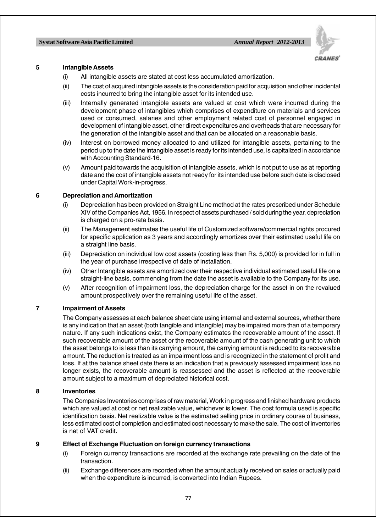

### **5 Intangible Assets**

- (i) All intangible assets are stated at cost less accumulated amortization.
- (ii) The cost of acquired intangible assets is the consideration paid for acquisition and other incidental costs incurred to bring the intangible asset for its intended use.
- (iii) Internally generated intangible assets are valued at cost which were incurred during the development phase of intangibles which comprises of expenditure on materials and services used or consumed, salaries and other employment related cost of personnel engaged in development of intangible asset, other direct expenditures and overheads that are necessary for the generation of the intangible asset and that can be allocated on a reasonable basis.
- (iv) Interest on borrowed money allocated to and utilized for intangible assets, pertaining to the period up to the date the intangible asset is ready for its intended use, is capitalized in accordance with Accounting Standard-16.
- (v) Amount paid towards the acquisition of intangible assets, which is not put to use as at reporting date and the cost of intangible assets not ready for its intended use before such date is disclosed under Capital Work-in-progress.

#### **6 Depreciation and Amortization**

- (i) Depreciation has been provided on Straight Line method at the rates prescribed under Schedule XIV of the Companies Act, 1956. In respect of assets purchased / sold during the year, depreciation is charged on a pro-rata basis.
- (ii) The Management estimates the useful life of Customized software/commercial rights procured for specific application as 3 years and accordingly amortizes over their estimated useful life on a straight line basis.
- (iii) Depreciation on individual low cost assets (costing less than Rs. 5,000) is provided for in full in the year of purchase irrespective of date of installation.
- (iv) Other Intangible assets are amortized over their respective individual estimated useful life on a straight-line basis, commencing from the date the asset is available to the Company for its use.
- (v) After recognition of impairment loss, the depreciation charge for the asset in on the revalued amount prospectively over the remaining useful life of the asset.

### **7 Impairment of Assets**

The Company assesses at each balance sheet date using internal and external sources, whether there is any indication that an asset (both tangible and intangible) may be impaired more than of a temporary nature. If any such indications exist, the Company estimates the recoverable amount of the asset. If such recoverable amount of the asset or the recoverable amount of the cash generating unit to which the asset belongs to is less than its carrying amount, the carrying amount is reduced to its recoverable amount. The reduction is treated as an impairment loss and is recognized in the statement of profit and loss. If at the balance sheet date there is an indication that a previously assessed impairment loss no longer exists, the recoverable amount is reassessed and the asset is reflected at the recoverable amount subject to a maximum of depreciated historical cost.

#### **8 Inventories**

The Companies Inventories comprises of raw material, Work in progress and finished hardware products which are valued at cost or net realizable value, whichever is lower. The cost formula used is specific identification basis. Net realizable value is the estimated selling price in ordinary course of business, less estimated cost of completion and estimated cost necessary to make the sale. The cost of inventories is net of VAT credit.

**9 Effect of Exchange Fluctuation on foreign currency transactions**

- (i) Foreign currency transactions are recorded at the exchange rate prevailing on the date of the transaction.
- (ii) Exchange differences are recorded when the amount actually received on sales or actually paid when the expenditure is incurred, is converted into Indian Rupees.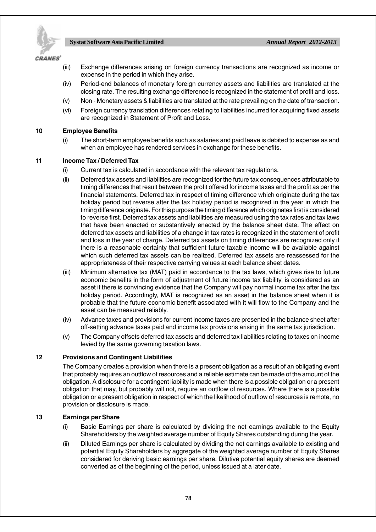

**CRANES** 

- (iii) Exchange differences arising on foreign currency transactions are recognized as income or expense in the period in which they arise.
- (iv) Period-end balances of monetary foreign currency assets and liabilities are translated at the closing rate. The resulting exchange difference is recognized in the statement of profit and loss.
- (v) Non Monetary assets & liabilities are translated at the rate prevailing on the date of transaction.
- (vi) Foreign currency translation differences relating to liabilities incurred for acquiring fixed assets are recognized in Statement of Profit and Loss.

### **10 Employee Benefits**

(i) The short-term employee benefits such as salaries and paid leave is debited to expense as and when an employee has rendered services in exchange for these benefits.

### **11 Income Tax / Deferred Tax**

- (i) Current tax is calculated in accordance with the relevant tax regulations.
- (ii) Deferred tax assets and liabilities are recognized for the future tax consequences attributable to timing differences that result between the profit offered for income taxes and the profit as per the financial statements. Deferred tax in respect of timing difference which originate during the tax holiday period but reverse after the tax holiday period is recognized in the year in which the timing difference originate. For this purpose the timing difference which originates first is considered to reverse first. Deferred tax assets and liabilities are measured using the tax rates and tax laws that have been enacted or substantively enacted by the balance sheet date. The effect on deferred tax assets and liabilities of a change in tax rates is recognized in the statement of profit and loss in the year of charge. Deferred tax assets on timing differences are recognized only if there is a reasonable certainty that sufficient future taxable income will be available against which such deferred tax assets can be realized. Deferred tax assets are reassessed for the appropriateness of their respective carrying values at each balance sheet dates.
- (iii) Minimum alternative tax (MAT) paid in accordance to the tax laws, which gives rise to future economic benefits in the form of adjustment of future income tax liability, is considered as an asset if there is convincing evidence that the Company will pay normal income tax after the tax holiday period. Accordingly, MAT is recognized as an asset in the balance sheet when it is probable that the future economic benefit associated with it will flow to the Company and the asset can be measured reliably.
- (iv) Advance taxes and provisions for current income taxes are presented in the balance sheet after off-setting advance taxes paid and income tax provisions arising in the same tax jurisdiction.
- (v) The Company offsets deferred tax assets and deferred tax liabilities relating to taxes on income levied by the same governing taxation laws.

### **12 Provisions and Contingent Liabilities**

The Company creates a provision when there is a present obligation as a result of an obligating event that probably requires an outflow of resources and a reliable estimate can be made of the amount of the obligation. A disclosure for a contingent liability is made when there is a possible obligation or a present obligation that may, but probably will not, require an outflow of resources. Where there is a possible obligation or a present obligation in respect of which the likelihood of outflow of resources is remote, no provision or disclosure is made.

### **13 Earnings per Share**

- (i) Basic Earnings per share is calculated by dividing the net earnings available to the Equity Shareholders by the weighted average number of Equity Shares outstanding during the year.
- (ii) Diluted Earnings per share is calculated by dividing the net earnings available to existing and potential Equity Shareholders by aggregate of the weighted average number of Equity Shares considered for deriving basic earnings per share. Dilutive potential equity shares are deemed converted as of the beginning of the period, unless issued at a later date.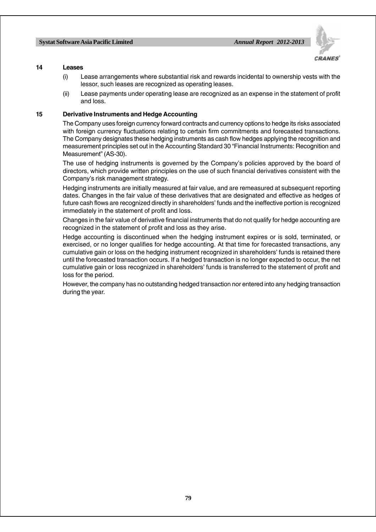*Annual Report 2012-2013*



#### **14 Leases**

- (i) Lease arrangements where substantial risk and rewards incidental to ownership vests with the lessor, such leases are recognized as operating leases.
- (ii) Lease payments under operating lease are recognized as an expense in the statement of profit and loss.

### **15 Derivative Instruments and Hedge Accounting**

The Company uses foreign currency forward contracts and currency options to hedge its risks associated with foreign currency fluctuations relating to certain firm commitments and forecasted transactions. The Company designates these hedging instruments as cash flow hedges applying the recognition and measurement principles set out in the Accounting Standard 30 "Financial Instruments: Recognition and Measurement" (AS-30).

The use of hedging instruments is governed by the Company's policies approved by the board of directors, which provide written principles on the use of such financial derivatives consistent with the Company's risk management strategy.

Hedging instruments are initially measured at fair value, and are remeasured at subsequent reporting dates. Changes in the fair value of these derivatives that are designated and effective as hedges of future cash flows are recognized directly in shareholders' funds and the ineffective portion is recognized immediately in the statement of profit and loss.

Changes in the fair value of derivative financial instruments that do not qualify for hedge accounting are recognized in the statement of profit and loss as they arise.

Hedge accounting is discontinued when the hedging instrument expires or is sold, terminated, or exercised, or no longer qualifies for hedge accounting. At that time for forecasted transactions, any cumulative gain or loss on the hedging instrument recognized in shareholders' funds is retained there until the forecasted transaction occurs. If a hedged transaction is no longer expected to occur, the net cumulative gain or loss recognized in shareholders' funds is transferred to the statement of profit and loss for the period.

However, the company has no outstanding hedged transaction nor entered into any hedging transaction during the year.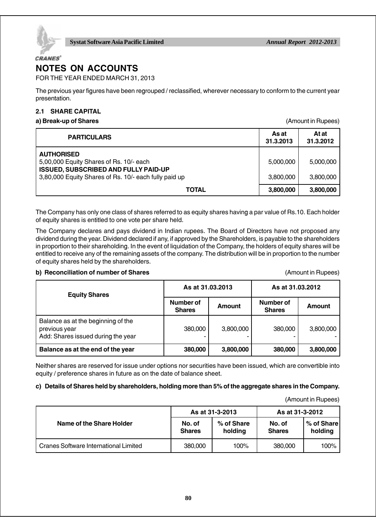

### *CRANES*

### **NOTES ON ACCOUNTS**

FOR THE YEAR ENDED MARCH 31, 2013

The previous year figures have been regrouped / reclassified, wherever necessary to conform to the current year presentation.

### **2.1 SHARE CAPITAL**

### **a) Break-up of Shares** (Amount in Rupees)

| <b>PARTICULARS</b>                                                                                                                                                   | As at<br>31.3.2013     | At at<br>31.3.2012     |
|----------------------------------------------------------------------------------------------------------------------------------------------------------------------|------------------------|------------------------|
| <b>AUTHORISED</b><br>5,00,000 Equity Shares of Rs. 10/- each<br><b>ISSUED, SUBSCRIBED AND FULLY PAID-UP</b><br>3,80,000 Equity Shares of Rs. 10/- each fully paid up | 5,000,000<br>3,800,000 | 5,000,000<br>3,800,000 |
| <b>TOTAL</b>                                                                                                                                                         | 3,800,000              | 3,800,000              |

The Company has only one class of shares referred to as equity shares having a par value of Rs.10. Each holder of equity shares is entitled to one vote per share held.

The Company declares and pays dividend in Indian rupees. The Board of Directors have not proposed any dividend during the year. Dividend declared if any, if approved by the Shareholders, is payable to the shareholders in proportion to their shareholding. In the event of liquidation of the Company, the holders of equity shares will be entitled to receive any of the remaining assets of the company. The distribution will be in proportion to the number of equity shares held by the shareholders.

### **b) Reconciliation of number of Shares** (Amount in Rupees)

| <b>Equity Shares</b>                                                                      | As at 31.03.2013           |           | As at 31.03.2012           |           |
|-------------------------------------------------------------------------------------------|----------------------------|-----------|----------------------------|-----------|
|                                                                                           | Number of<br><b>Shares</b> | Amount    | Number of<br><b>Shares</b> | Amount    |
| Balance as at the beginning of the<br>previous year<br>Add: Shares issued during the year | 380,000                    | 3,800,000 | 380,000                    | 3,800,000 |
| Balance as at the end of the year                                                         | 380,000                    | 3,800,000 | 380,000                    | 3,800,000 |

Neither shares are reserved for issue under options nor securities have been issued, which are convertible into equity / preference shares in future as on the date of balance sheet.

### **c) Details of Shares held by shareholders, holding more than 5% of the aggregate shares in the Company.**

(Amount in Rupees)

|                                       |                         | As at 31-3-2013       | As at 31-3-2012         |                       |
|---------------------------------------|-------------------------|-----------------------|-------------------------|-----------------------|
| Name of the Share Holder              | No. of<br><b>Shares</b> | % of Share<br>holding | No. of<br><b>Shares</b> | % of Share<br>holding |
| Cranes Software International Limited | 380,000                 | 100%                  | 380,000                 | 100%                  |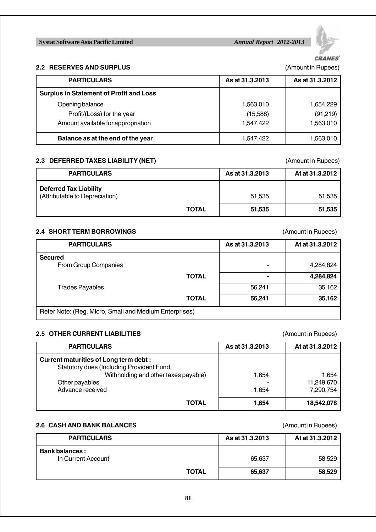**2.2 RESERVES AND SURPLUS** (Amount in Rupees)

| <b>PARTICULARS</b>                             | As at 31.3.2013 | As at 31.3.2012 |
|------------------------------------------------|-----------------|-----------------|
| <b>Surplus in Statement of Profit and Loss</b> |                 |                 |
| Opening balance                                | 1,563,010       | 1,654,229       |
| Profit/(Loss) for the year                     | (15,588)        | (91,219)        |
| Amount available for appropriation             | 1,547,422       | 1,563,010       |
| Balance as at the end of the year              | 1,547,422       | 1,563,010       |

### **2.3 DEFERRED TAXES LIABILITY (NET)** (Amount in Rupees)

| <b>PARTICULARS</b>                                              |              | As at 31.3.2013 | At at 31.3.2012 |
|-----------------------------------------------------------------|--------------|-----------------|-----------------|
| <b>Deferred Tax Liability</b><br>(Attributable to Depreciation) |              | 51.535          | 51,535          |
|                                                                 | <b>TOTAL</b> | 51,535          | 51.535          |

### **2.4 SHORT TERM BORROWINGS** (Amount in Rupees)

| <b>PARTICULARS</b>                                     |              | As at 31.3.2013 | At at 31.3.2012 |  |
|--------------------------------------------------------|--------------|-----------------|-----------------|--|
| <b>Secured</b>                                         |              |                 |                 |  |
| From Group Companies                                   |              |                 | 4,284,824       |  |
|                                                        | <b>TOTAL</b> |                 | 4,284,824       |  |
| <b>Trades Payables</b>                                 |              | 56,241          | 35,162          |  |
|                                                        | <b>TOTAL</b> | 56,241          | 35,162          |  |
| Refer Note: (Reg. Micro, Small and Medium Enterprises) |              |                 |                 |  |

### **2.5 OTHER CURRENT LIABILITIES** (Amount in Rupees)

| <b>PARTICULARS</b>                                                                | As at 31.3.2013 | At at 31.3.2012 |
|-----------------------------------------------------------------------------------|-----------------|-----------------|
| <b>Current maturities of Long term debt:</b>                                      |                 |                 |
| Statutory dues (Including Provident Fund,<br>Withholding and other taxes payable) | 1.654           | 1.654           |
| Other payables                                                                    |                 | 11,249,670      |
| Advance received                                                                  | 1.654           | 7,290,754       |
| <b>TOTAL</b>                                                                      | 1,654           | 18,542,078      |

### **2.6 CASH AND BANK BALANCES** (Amount in Rupees)

| <b>PARTICULARS</b>                          |              | As at 31.3.2013 | At at 31.3.2012 |
|---------------------------------------------|--------------|-----------------|-----------------|
| <b>Bank balances:</b><br>In Current Account |              | 65.637          | 58,529          |
|                                             | <b>TOTAL</b> | 65.637          | 58,529          |

**CRANES** 

*Annual Report 2012-2013*

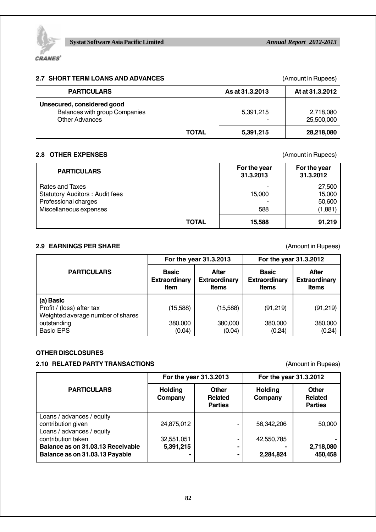

*Annual Report 2012-2013*

### **CRANES**

### **2.7 SHORT TERM LOANS AND ADVANCES** (Amount in Rupees)

| <b>PARTICULARS</b>                                                                          |              | As at 31.3.2013                       | At at 31.3.2012         |
|---------------------------------------------------------------------------------------------|--------------|---------------------------------------|-------------------------|
| Unsecured, considered good<br><b>Balances with group Companies</b><br><b>Other Advances</b> |              | 5,391,215<br>$\overline{\phantom{0}}$ | 2,718,080<br>25,500,000 |
|                                                                                             | <b>TOTAL</b> | 5,391,215                             | 28,218,080              |

### **2.8 OTHER EXPENSES** (Amount in Rupees)

| <b>PARTICULARS</b>                    | For the year<br>31.3.2013 | For the year<br>31.3.2012 |
|---------------------------------------|---------------------------|---------------------------|
| Rates and Taxes                       |                           | 27,500                    |
| <b>Statutory Auditors: Audit fees</b> | 15,000                    | 15,000                    |
| Professional charges                  |                           | 50,600                    |
| Miscellaneous expenses                | 588                       | (1,881)                   |
| <b>TOTAL</b>                          | 15,588                    | 91,219                    |

### **2.9 EARNINGS PER SHARE** (Amount in Rupees)

|                                                                             |                      | For the year 31.3.2013 | For the year 31.3.2012 |               |
|-----------------------------------------------------------------------------|----------------------|------------------------|------------------------|---------------|
| <b>PARTICULARS</b>                                                          | <b>Basic</b>         | After                  | <b>Basic</b>           | After         |
|                                                                             | <b>Extraordinary</b> | <b>Extraordinary</b>   | Extraordinary          | Extraordinary |
|                                                                             | <b>Item</b>          | <b>Items</b>           | <b>Items</b>           | <b>Items</b>  |
| (a) Basic<br>Profit / (loss) after tax<br>Weighted average number of shares | (15,588)             | (15,588)               | (91, 219)              | (91, 219)     |
| outstanding                                                                 | 380,000              | 380,000                | 380,000                | 380,000       |
| <b>Basic EPS</b>                                                            | (0.04)               | (0.04)                 | (0.24)                 | (0.24)        |

### **OTHER DISCLOSURES**

### **2.10 RELATED PARTY TRANSACTIONS** (Amount in Rupees)

|                                   | For the year 31.3.2013    |                                           | For the year 31.3.2012    |                                           |
|-----------------------------------|---------------------------|-------------------------------------------|---------------------------|-------------------------------------------|
| <b>PARTICULARS</b>                | <b>Holding</b><br>Company | <b>Other</b><br>Related<br><b>Parties</b> | <b>Holding</b><br>Company | Other<br><b>Related</b><br><b>Parties</b> |
| Loans / advances / equity         |                           |                                           |                           |                                           |
| contribution given                | 24,875,012                |                                           | 56,342,206                | 50,000                                    |
| Loans / advances / equity         |                           |                                           |                           |                                           |
| contribution taken                | 32,551,051                |                                           | 42,550,785                |                                           |
| Balance as on 31.03.13 Receivable | 5,391,215                 |                                           |                           | 2,718,080                                 |
| Balance as on 31.03.13 Payable    |                           |                                           | 2,284,824                 | 450,458                                   |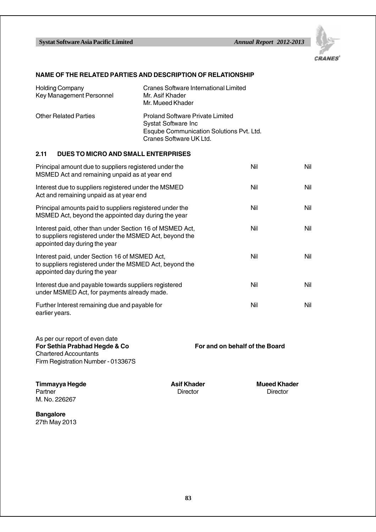*Annual Report 2012-2013*



### **NAME OF THE RELATED PARTIES AND DESCRIPTION OF RELATIONSHIP**

| <b>Holding Company</b><br>Key Management Personnel | Cranes Software International Limited<br>Mr. Asif Khader                                                                                     |
|----------------------------------------------------|----------------------------------------------------------------------------------------------------------------------------------------------|
|                                                    | Mr. Mueed Khader                                                                                                                             |
| <b>Other Related Parties</b>                       | <b>Proland Software Private Limited</b><br><b>Systat Software Inc</b><br>Esqube Communication Solutions Pvt. Ltd.<br>Cranes Software UK Ltd. |

### **2.11 DUES TO MICRO AND SMALL ENTERPRISES**

| Principal amount due to suppliers registered under the<br>MSMED Act and remaining unpaid as at year end                                              | Nil | Nil |
|------------------------------------------------------------------------------------------------------------------------------------------------------|-----|-----|
| Interest due to suppliers registered under the MSMED<br>Act and remaining unpaid as at year end                                                      | Nil | Nil |
| Principal amounts paid to suppliers registered under the<br>MSMED Act, beyond the appointed day during the year                                      | Nil | Nil |
| Interest paid, other than under Section 16 of MSMED Act,<br>to suppliers registered under the MSMED Act, beyond the<br>appointed day during the year | Nil | Nil |
| Interest paid, under Section 16 of MSMED Act,<br>to suppliers registered under the MSMED Act, beyond the<br>appointed day during the year            | Nil | Nil |
| Interest due and payable towards suppliers registered<br>under MSMED Act, for payments already made.                                                 | Nil | Nil |
| Further Interest remaining due and payable for                                                                                                       | Nil | Nil |

earlier years.

As per our report of even date For Sethia Prabhad Hegde & Co **For and on behalf of the Board** Chartered Accountants Firm Registration Number - 013367S

**Timmayya Hegde Asif Khader Asif Khader Asif Khader** Mueed Khader Partner Asim Partner Asia Director Partner Director Director Director Director Director Director M. No. 226267

**Bangalore** 27th May 2013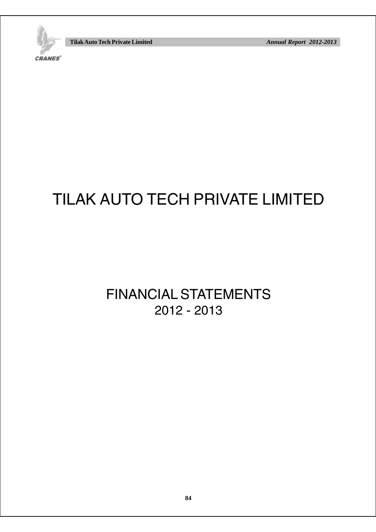

*Annual Report 2012-2013*

# TILAK AUTO TECH PRIVATE LIMITED

# FINANCIAL STATEMENTS 2012 - 2013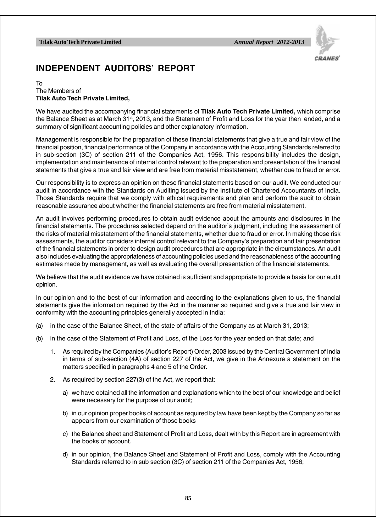

## **INDEPENDENT AUDITORS' REPORT**

### To The Members of **Tilak Auto Tech Private Limited,**

We have audited the accompanying financial statements of **Tilak Auto Tech Private Limited,** which comprise the Balance Sheet as at March 31<sup>st</sup>, 2013, and the Statement of Profit and Loss for the year then ended, and a summary of significant accounting policies and other explanatory information.

Management is responsible for the preparation of these financial statements that give a true and fair view of the financial position, financial performance of the Company in accordance with the Accounting Standards referred to in sub-section (3C) of section 211 of the Companies Act, 1956. This responsibility includes the design, implementation and maintenance of internal control relevant to the preparation and presentation of the financial statements that give a true and fair view and are free from material misstatement, whether due to fraud or error.

Our responsibility is to express an opinion on these financial statements based on our audit. We conducted our audit in accordance with the Standards on Auditing issued by the Institute of Chartered Accountants of India. Those Standards require that we comply with ethical requirements and plan and perform the audit to obtain reasonable assurance about whether the financial statements are free from material misstatement.

An audit involves performing procedures to obtain audit evidence about the amounts and disclosures in the financial statements. The procedures selected depend on the auditor's judgment, including the assessment of the risks of material misstatement of the financial statements, whether due to fraud or error. In making those risk assessments, the auditor considers internal control relevant to the Company's preparation and fair presentation of the financial statements in order to design audit procedures that are appropriate in the circumstances. An audit also includes evaluating the appropriateness of accounting policies used and the reasonableness of the accounting estimates made by management, as well as evaluating the overall presentation of the financial statements.

We believe that the audit evidence we have obtained is sufficient and appropriate to provide a basis for our audit opinion.

In our opinion and to the best of our information and according to the explanations given to us, the financial statements give the information required by the Act in the manner so required and give a true and fair view in conformity with the accounting principles generally accepted in India:

- (a) in the case of the Balance Sheet, of the state of affairs of the Company as at March 31, 2013;
- (b) in the case of the Statement of Profit and Loss, of the Loss for the year ended on that date; and
	- 1. As required by the Companies (Auditor's Report) Order, 2003 issued by the Central Government of India in terms of sub-section (4A) of section 227 of the Act, we give in the Annexure a statement on the matters specified in paragraphs 4 and 5 of the Order.
	- 2. As required by section 227(3) of the Act, we report that:
		- a) we have obtained all the information and explanations which to the best of our knowledge and belief were necessary for the purpose of our audit;
		- b) in our opinion proper books of account as required by law have been kept by the Company so far as appears from our examination of those books
		- c) the Balance sheet and Statement of Profit and Loss, dealt with by this Report are in agreement with the books of account.
		- d) in our opinion, the Balance Sheet and Statement of Profit and Loss, comply with the Accounting Standards referred to in sub section (3C) of section 211 of the Companies Act, 1956;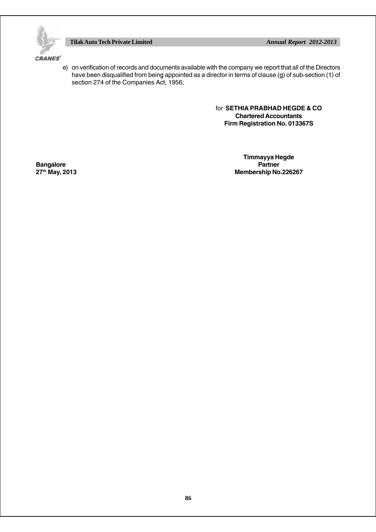

*Annual Report 2012-2013*

### **CRANES**

e) on verification of records and documents available with the company we report that all of the Directors have been disqualified from being appointed as a director in terms of clause (g) of sub-section (1) of section 274 of the Companies Act, 1956;

### for **SETHIA PRABHAD HEGDE & CO Chartered Accountants Firm Registration No. 013367S**

**Timmayya Hegde Bangalore** Partner Partner Partner Partner Partner Partner Partner Partner Partner **27th May, 2013 Membership No.226267**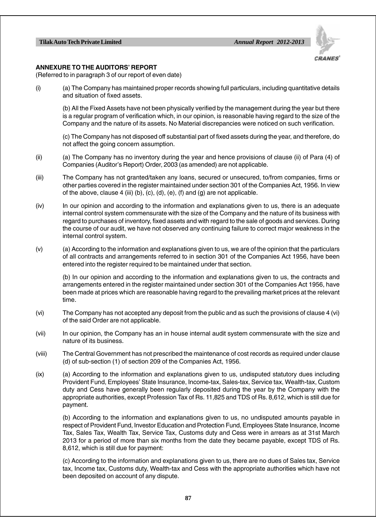

#### **ANNEXURE TO THE AUDITORS' REPORT**

(Referred to in paragraph 3 of our report of even date)

(i) (a) The Company has maintained proper records showing full particulars, including quantitative details and situation of fixed assets.

(b) All the Fixed Assets have not been physically verified by the management during the year but there is a regular program of verification which, in our opinion, is reasonable having regard to the size of the Company and the nature of its assets. No Material discrepancies were noticed on such verification.

(c) The Company has not disposed off substantial part of fixed assets during the year, and therefore, do not affect the going concern assumption.

- (ii) (a) The Company has no inventory during the year and hence provisions of clause (ii) of Para (4) of Companies (Auditor's Report) Order, 2003 (as amended) are not applicable.
- (iii) The Company has not granted/taken any loans, secured or unsecured, to/from companies, firms or other parties covered in the register maintained under section 301 of the Companies Act, 1956. In view of the above, clause 4 (iii) (b), (c), (d), (e), (f) and (g) are not applicable.
- (iv) In our opinion and according to the information and explanations given to us, there is an adequate internal control system commensurate with the size of the Company and the nature of its business with regard to purchases of inventory, fixed assets and with regard to the sale of goods and services. During the course of our audit, we have not observed any continuing failure to correct major weakness in the internal control system.
- (v) (a) According to the information and explanations given to us, we are of the opinion that the particulars of all contracts and arrangements referred to in section 301 of the Companies Act 1956, have been entered into the register required to be maintained under that section.

(b) In our opinion and according to the information and explanations given to us, the contracts and arrangements entered in the register maintained under section 301 of the Companies Act 1956, have been made at prices which are reasonable having regard to the prevailing market prices at the relevant time.

- (vi) The Company has not accepted any deposit from the public and as such the provisions of clause 4 (vi) of the said Order are not applicable.
- (vii) In our opinion, the Company has an in house internal audit system commensurate with the size and nature of its business.
- (viii) The Central Government has not prescribed the maintenance of cost records as required under clause (d) of sub-section (1) of section 209 of the Companies Act, 1956.
- (ix) (a) According to the information and explanations given to us, undisputed statutory dues including Provident Fund, Employees' State Insurance, Income-tax, Sales-tax, Service tax, Wealth-tax, Custom duty and Cess have generally been regularly deposited during the year by the Company with the appropriate authorities, except Profession Tax of Rs. 11,825 and TDS of Rs. 8,612, which is still due for payment.

(b) According to the information and explanations given to us, no undisputed amounts payable in respect of Provident Fund, Investor Education and Protection Fund, Employees State Insurance, Income Tax, Sales Tax, Wealth Tax, Service Tax, Customs duty and Cess were in arrears as at 31st March 2013 for a period of more than six months from the date they became payable, except TDS of Rs. 8,612, which is still due for payment:

(c) According to the information and explanations given to us, there are no dues of Sales tax, Service tax, Income tax, Customs duty, Wealth-tax and Cess with the appropriate authorities which have not been deposited on account of any dispute.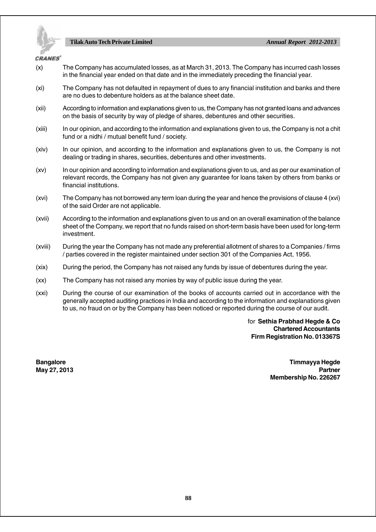

### **CRANES**

- (x) The Company has accumulated losses, as at March 31, 2013. The Company has incurred cash losses in the financial year ended on that date and in the immediately preceding the financial year.
- (xi) The Company has not defaulted in repayment of dues to any financial institution and banks and there are no dues to debenture holders as at the balance sheet date.
- (xii) According to information and explanations given to us, the Company has not granted loans and advances on the basis of security by way of pledge of shares, debentures and other securities.
- (xiii) In our opinion, and according to the information and explanations given to us, the Company is not a chit fund or a nidhi / mutual benefit fund / society.
- (xiv) In our opinion, and according to the information and explanations given to us, the Company is not dealing or trading in shares, securities, debentures and other investments.
- (xv) In our opinion and according to information and explanations given to us, and as per our examination of relevant records, the Company has not given any guarantee for loans taken by others from banks or financial institutions.
- (xvi) The Company has not borrowed any term loan during the year and hence the provisions of clause 4 (xvi) of the said Order are not applicable.
- (xvii) According to the information and explanations given to us and on an overall examination of the balance sheet of the Company, we report that no funds raised on short-term basis have been used for long-term investment.
- (xviii) During the year the Company has not made any preferential allotment of shares to a Companies / firms / parties covered in the register maintained under section 301 of the Companies Act, 1956.
- (xix) During the period, the Company has not raised any funds by issue of debentures during the year.
- (xx) The Company has not raised any monies by way of public issue during the year.
- (xxi) During the course of our examination of the books of accounts carried out in accordance with the generally accepted auditing practices in India and according to the information and explanations given to us, no fraud on or by the Company has been noticed or reported during the course of our audit.

for **Sethia Prabhad Hegde & Co Chartered Accountants Firm Registration No. 013367S**

**Bangalore Timmayya Hegde May 27, 2013 Partner Membership No. 226267**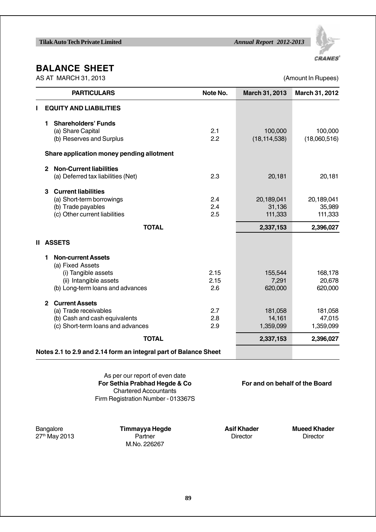*Annual Report 2012-2013*



## **BALANCE SHEET**

AS AT MARCH 31, 2013 (Amount In Rupees)

| <b>PARTICULARS</b>                                               | Note No. | March 31, 2013 | March 31, 2012 |
|------------------------------------------------------------------|----------|----------------|----------------|
| <b>EQUITY AND LIABILITIES</b>                                    |          |                |                |
| <b>Shareholders' Funds</b><br>1                                  |          |                |                |
| (a) Share Capital                                                | 2.1      | 100,000        | 100,000        |
| (b) Reserves and Surplus                                         | 2.2      | (18, 114, 538) | (18,060,516)   |
| Share application money pending allotment                        |          |                |                |
| $\mathbf{2}$<br><b>Non-Current liabilities</b>                   |          |                |                |
| (a) Deferred tax liabilities (Net)                               | 2.3      | 20,181         | 20,181         |
| <b>Current liabilities</b><br>3                                  |          |                |                |
| (a) Short-term borrowings                                        | 2.4      | 20,189,041     | 20,189,041     |
| (b) Trade payables                                               | 2.4      | 31,136         | 35,989         |
| (c) Other current liabilities                                    | 2.5      | 111,333        | 111,333        |
| <b>TOTAL</b>                                                     |          | 2,337,153      | 2,396,027      |
| <b>II ASSETS</b>                                                 |          |                |                |
| <b>Non-current Assets</b><br>1                                   |          |                |                |
| (a) Fixed Assets                                                 |          |                |                |
| (i) Tangible assets                                              | 2.15     | 155,544        | 168,178        |
| (ii) Intangible assets                                           | 2.15     | 7,291          | 20,678         |
| (b) Long-term loans and advances                                 | 2.6      | 620,000        | 620,000        |
| <b>Current Assets</b><br>$\mathbf{2}$                            |          |                |                |
| (a) Trade receivables                                            | 2.7      | 181,058        | 181,058        |
| (b) Cash and cash equivalents                                    | 2.8      | 14,161         | 47,015         |
| (c) Short-term loans and advances                                | 2.9      | 1,359,099      | 1,359,099      |
| <b>TOTAL</b>                                                     |          | 2,337,153      | 2,396,027      |
| Notes 2.1 to 2.9 and 2.14 form an integral part of Balance Sheet |          |                |                |

As per our report of even date For Sethia Prabhad Hegde & Co **For and on behalf of the Board** Chartered Accountants Firm Registration Number - 013367S

 $27<sup>th</sup>$  May 2013

Bangalore **Timmayya Hegde Asif Khader Mueed Khader Mueed Khader Partner** Partner **Asif Khader Mueed Khader Partner C** Director **Director** M.No. 226267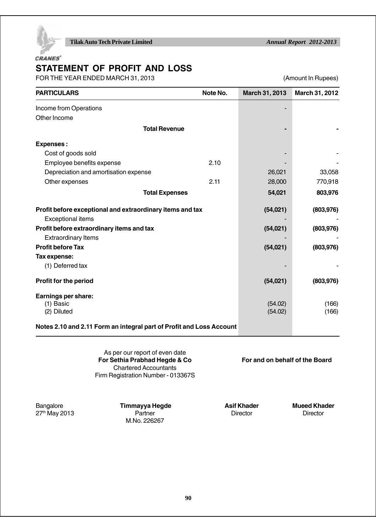

*Annual Report 2012-2013*

### **CRANES**

### **STATEMENT OF PROFIT AND LOSS**

FOR THE YEAR ENDED MARCH 31, 2013 (Amount In Rupees)

| <b>PARTICULARS</b>                                                   | Note No. | March 31, 2013     | March 31, 2012 |
|----------------------------------------------------------------------|----------|--------------------|----------------|
| Income from Operations                                               |          |                    |                |
| Other Income                                                         |          |                    |                |
| <b>Total Revenue</b>                                                 |          |                    |                |
| <b>Expenses:</b>                                                     |          |                    |                |
| Cost of goods sold                                                   |          |                    |                |
| Employee benefits expense                                            | 2.10     |                    |                |
| Depreciation and amortisation expense                                |          | 26,021             | 33,058         |
| Other expenses                                                       | 2.11     | 28,000             | 770,918        |
| <b>Total Expenses</b>                                                |          | 54,021             | 803,976        |
| Profit before exceptional and extraordinary items and tax            |          | (54,021)           | (803, 976)     |
| <b>Exceptional items</b>                                             |          |                    |                |
| Profit before extraordinary items and tax                            |          | (54,021)           | (803, 976)     |
| <b>Extraordinary Items</b>                                           |          |                    |                |
| <b>Profit before Tax</b>                                             |          | (54,021)           | (803, 976)     |
| Tax expense:                                                         |          |                    |                |
| (1) Deferred tax                                                     |          |                    |                |
| Profit for the period                                                |          | (54, 021)          | (803, 976)     |
| Earnings per share:<br>(1) Basic<br>(2) Diluted                      |          | (54.02)<br>(54.02) | (166)<br>(166) |
| Notes 2.10 and 2.11 Form an integral part of Profit and Loss Account |          |                    |                |

As per our report of even date For Sethia Prabhad Hegde & Co **For and on behalf of the Board** Chartered Accountants Firm Registration Number - 013367S

 $27<sup>th</sup>$  May 2013

Bangalore **Timmayya Hegde Asif Khader Mueed Khader Mueed Khader Partner Partner C C Director Director Director** M.No. 226267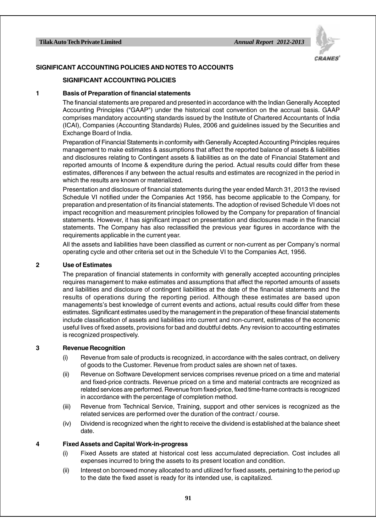

### **SIGNIFICANT ACCOUNTING POLICIES AND NOTES TO ACCOUNTS**

### **SIGNIFICANT ACCOUNTING POLICIES**

### **1 Basis of Preparation of financial statements**

The financial statements are prepared and presented in accordance with the Indian Generally Accepted Accounting Principles ("GAAP") under the historical cost convention on the accrual basis. GAAP comprises mandatory accounting standards issued by the Institute of Chartered Accountants of India (ICAI), Companies (Accounting Standards) Rules, 2006 and guidelines issued by the Securities and Exchange Board of India.

Preparation of Financial Statements in conformity with Generally Accepted Accounting Principles requires management to make estimates & assumptions that affect the reported balance of assets & liabilities and disclosures relating to Contingent assets & liabilities as on the date of Financial Statement and reported amounts of Income & expenditure during the period. Actual results could differ from these estimates, differences if any between the actual results and estimates are recognized in the period in which the results are known or materialized.

Presentation and disclosure of financial statements during the year ended March 31, 2013 the revised Schedule VI notified under the Companies Act 1956, has become applicable to the Company, for preparation and presentation of its financial statements. The adoption of revised Schedule VI does not impact recognition and measurement principles followed by the Company for preparation of financial statements. However, it has significant impact on presentation and disclosures made in the financial statements. The Company has also reclassified the previous year figures in accordance with the requirements applicable in the current year.

All the assets and liabilities have been classified as current or non-current as per Company's normal operating cycle and other criteria set out in the Schedule VI to the Companies Act, 1956.

#### **2 Use of Estimates**

The preparation of financial statements in conformity with generally accepted accounting principles requires management to make estimates and assumptions that affect the reported amounts of assets and liabilities and disclosure of contingent liabilities at the date of the financial statements and the results of operations during the reporting period. Although these estimates are based upon managements's best knowledge of current events and actions, actual results could differ from these estimates. Significant estimates used by the management in the preparation of these financial statements include classification of assets and liabilities into current and non-current, estimates of the economic useful lives of fixed assets, provisions for bad and doubtful debts. Any revision to accounting estimates is recognized prospectively.

### **3 Revenue Recognition**

- (i) Revenue from sale of products is recognized, in accordance with the sales contract, on delivery of goods to the Customer. Revenue from product sales are shown net of taxes.
- (ii) Revenue on Software Development services comprises revenue priced on a time and material and fixed-price contracts. Revenue priced on a time and material contracts are recognized as related services are performed. Revenue from fixed-price, fixed time-frame contracts is recognized in accordance with the percentage of completion method.
- (iii) Revenue from Technical Service, Training, support and other services is recognized as the related services are performed over the duration of the contract / course.
- (iv) Dividend is recognized when the right to receive the dividend is established at the balance sheet date.

#### **4 Fixed Assets and Capital Work-in-progress**

- (i) Fixed Assets are stated at historical cost less accumulated depreciation. Cost includes all expenses incurred to bring the assets to its present location and condition.
- (ii) Interest on borrowed money allocated to and utilized for fixed assets, pertaining to the period up to the date the fixed asset is ready for its intended use, is capitalized.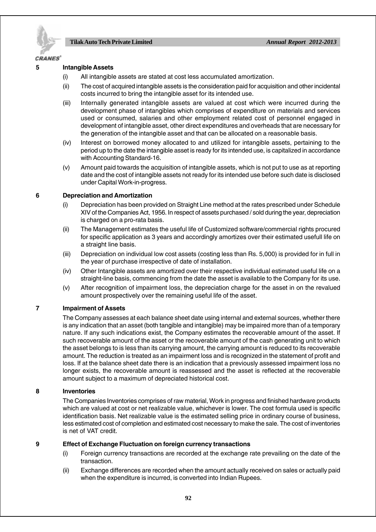

### **CRANES**

### **5 Intangible Assets**

- (i) All intangible assets are stated at cost less accumulated amortization.
- (ii) The cost of acquired intangible assets is the consideration paid for acquisition and other incidental costs incurred to bring the intangible asset for its intended use.
- (iii) Internally generated intangible assets are valued at cost which were incurred during the development phase of intangibles which comprises of expenditure on materials and services used or consumed, salaries and other employment related cost of personnel engaged in development of intangible asset, other direct expenditures and overheads that are necessary for the generation of the intangible asset and that can be allocated on a reasonable basis.
- (iv) Interest on borrowed money allocated to and utilized for intangible assets, pertaining to the period up to the date the intangible asset is ready for its intended use, is capitalized in accordance with Accounting Standard-16.
- (v) Amount paid towards the acquisition of intangible assets, which is not put to use as at reporting date and the cost of intangible assets not ready for its intended use before such date is disclosed under Capital Work-in-progress.

### **6 Depreciation and Amortization**

- (i) Depreciation has been provided on Straight Line method at the rates prescribed under Schedule XIV of the Companies Act, 1956. In respect of assets purchased / sold during the year, depreciation is charged on a pro-rata basis.
- (ii) The Management estimates the useful life of Customized software/commercial rights procured for specific application as 3 years and accordingly amortizes over their estimated usefull life on a straight line basis.
- (iii) Depreciation on individual low cost assets (costing less than Rs. 5,000) is provided for in full in the year of purchase irrespective of date of installation.
- (iv) Other Intangible assets are amortized over their respective individual estimated useful life on a straight-line basis, commencing from the date the asset is available to the Company for its use.
- (v) After recognition of impairment loss, the depreciation charge for the asset in on the revalued amount prospectively over the remaining useful life of the asset.

### **7 Impairment of Assets**

The Company assesses at each balance sheet date using internal and external sources, whether there is any indication that an asset (both tangible and intangible) may be impaired more than of a temporary nature. If any such indications exist, the Company estimates the recoverable amount of the asset. If such recoverable amount of the asset or the recoverable amount of the cash generating unit to which the asset belongs to is less than its carrying amount, the carrying amount is reduced to its recoverable amount. The reduction is treated as an impairment loss and is recognized in the statement of profit and loss. If at the balance sheet date there is an indication that a previously assessed impairment loss no longer exists, the recoverable amount is reassessed and the asset is reflected at the recoverable amount subject to a maximum of depreciated historical cost.

### **8 Inventories**

The Companies Inventories comprises of raw material, Work in progress and finished hardware products which are valued at cost or net realizable value, whichever is lower. The cost formula used is specific identification basis. Net realizable value is the estimated selling price in ordinary course of business, less estimated cost of completion and estimated cost necessary to make the sale. The cost of inventories is net of VAT credit.

**9 Effect of Exchange Fluctuation on foreign currency transactions**

- (i) Foreign currency transactions are recorded at the exchange rate prevailing on the date of the transaction.
- (ii) Exchange differences are recorded when the amount actually received on sales or actually paid when the expenditure is incurred, is converted into Indian Rupees.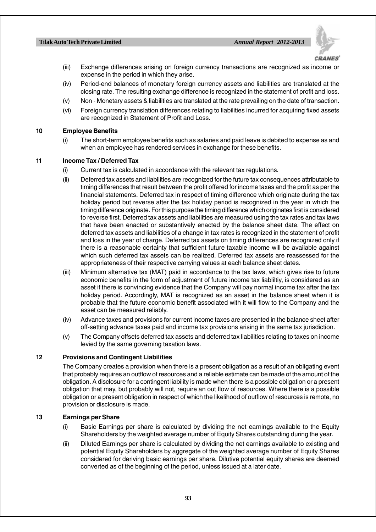

- (iii) Exchange differences arising on foreign currency transactions are recognized as income or expense in the period in which they arise.
- (iv) Period-end balances of monetary foreign currency assets and liabilities are translated at the closing rate. The resulting exchange difference is recognized in the statement of profit and loss.
- (v) Non Monetary assets & liabilities are translated at the rate prevailing on the date of transaction.
- (vi) Foreign currency translation differences relating to liabilities incurred for acquiring fixed assets are recognized in Statement of Profit and Loss.

#### **10 Employee Benefits**

(i) The short-term employee benefits such as salaries and paid leave is debited to expense as and when an employee has rendered services in exchange for these benefits.

#### **11 Income Tax / Deferred Tax**

- (i) Current tax is calculated in accordance with the relevant tax regulations.
- (ii) Deferred tax assets and liabilities are recognized for the future tax consequences attributable to timing differences that result between the profit offered for income taxes and the profit as per the financial statements. Deferred tax in respect of timing difference which originate during the tax holiday period but reverse after the tax holiday period is recognized in the year in which the timing difference originate. For this purpose the timing difference which originates first is considered to reverse first. Deferred tax assets and liabilities are measured using the tax rates and tax laws that have been enacted or substantively enacted by the balance sheet date. The effect on deferred tax assets and liabilities of a change in tax rates is recognized in the statement of profit and loss in the year of charge. Deferred tax assets on timing differences are recognized only if there is a reasonable certainty that sufficient future taxable income will be available against which such deferred tax assets can be realized. Deferred tax assets are reassessed for the appropriateness of their respective carrying values at each balance sheet dates.
- (iii) Minimum alternative tax (MAT) paid in accordance to the tax laws, which gives rise to future economic benefits in the form of adjustment of future income tax liabliltiy, is considered as an asset if there is convincing evidence that the Company will pay normal income tax after the tax holiday period. Accordingly, MAT is recognized as an asset in the balance sheet when it is probable that the future economic benefit associated with it will flow to the Company and the asset can be measured reliably.
- (iv) Advance taxes and provisions for current income taxes are presented in the balance sheet after off-setting advance taxes paid and income tax provisions arising in the same tax jurisdiction.
- (v) The Company offsets deferred tax assets and deferred tax liabilities relating to taxes on income levied by the same governing taxation laws.

### **12 Provisions and Contingent Liabilities**

The Company creates a provision when there is a present obligation as a result of an obligating event that probably requires an outflow of resources and a reliable estimate can be made of the amount of the obligation. A disclosure for a contingent liability is made when there is a possible obligation or a present obligation that may, but probably will not, require an out flow of resources. Where there is a possible obligation or a present obligation in respect of which the likelihood of outflow of resources is remote, no provision or disclosure is made.

### **13 Earnings per Share**

- (i) Basic Earnings per share is calculated by dividing the net earnings available to the Equity Shareholders by the weighted average number of Equity Shares outstanding during the year.
- (ii) Diluted Earnings per share is calculated by dividing the net earnings available to existing and potential Equity Shareholders by aggregate of the weighted average number of Equity Shares considered for deriving basic earnings per share. Dilutive potential equity shares are deemed converted as of the beginning of the period, unless issued at a later date.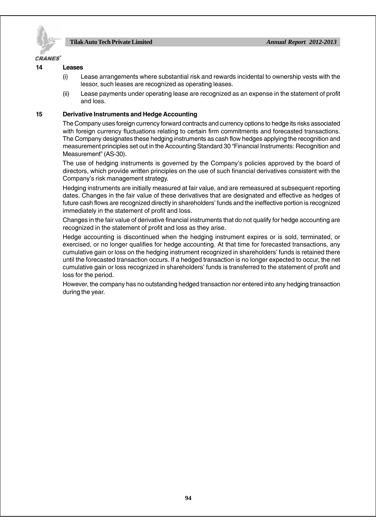

### **CRANES**

### **14 Leases**

- (i) Lease arrangements where substantial risk and rewards incidental to ownership vests with the lessor, such leases are recognized as operating leases.
- (ii) Lease payments under operating lease are recognized as an expense in the statement of profit and loss.

### **15 Derivative Instruments and Hedge Accounting**

The Company uses foreign currency forward contracts and currency options to hedge its risks associated with foreign currency fluctuations relating to certain firm commitments and forecasted transactions. The Company designates these hedging instruments as cash flow hedges applying the recognition and measurement principles set out in the Accounting Standard 30 "Financial Instruments: Recognition and Measurement" (AS-30).

The use of hedging instruments is governed by the Company's policies approved by the board of directors, which provide written principles on the use of such financial derivatives consistent with the Company's risk management strategy.

Hedging instruments are initially measured at fair value, and are remeasured at subsequent reporting dates. Changes in the fair value of these derivatives that are designated and effective as hedges of future cash flows are recognized directly in shareholders' funds and the ineffective portion is recognized immediately in the statement of profit and loss.

Changes in the fair value of derivative financial instruments that do not qualify for hedge accounting are recognized in the statement of profit and loss as they arise.

Hedge accounting is discontinued when the hedging instrument expires or is sold, terminated, or exercised, or no longer qualifies for hedge accounting. At that time for forecasted transactions, any cumulative gain or loss on the hedging instrument recognized in shareholders' funds is retained there until the forecasted transaction occurs. If a hedged transaction is no longer expected to occur, the net cumulative gain or loss recognized in shareholders' funds is transferred to the statement of profit and loss for the period.

However, the company has no outstanding hedged transaction nor entered into any hedging transaction during the year.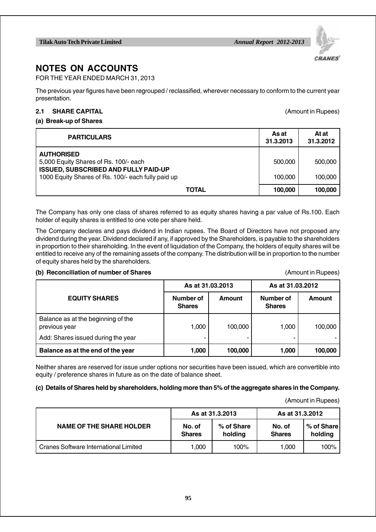

### **NOTES ON ACCOUNTS**

FOR THE YEAR ENDED MARCH 31, 2013

The previous year figures have been regrouped / reclassified, wherever necessary to conform to the current year presentation.

### **2.1 SHARE CAPITAL** (Amount in Rupees)

### **(a) Break-up of Shares**

| <b>PARTICULARS</b>                                                                                                                                              | As at<br>31.3.2013 | At at<br>31.3.2012 |
|-----------------------------------------------------------------------------------------------------------------------------------------------------------------|--------------------|--------------------|
| <b>AUTHORISED</b><br>5,000 Equity Shares of Rs. 100/- each<br><b>ISSUED, SUBSCRIBED AND FULLY PAID-UP</b><br>1000 Equity Shares of Rs. 100/- each fully paid up | 500,000<br>100,000 | 500,000<br>100.000 |
| <b>TOTAL</b>                                                                                                                                                    | 100,000            | 100,000            |

The Company has only one class of shares referred to as equity shares having a par value of Rs.100. Each holder of equity shares is entitled to one vote per share held.

The Company declares and pays dividend in Indian rupees. The Board of Directors have not proposed any dividend during the year. Dividend declared if any, if approved by the Shareholders, is payable to the shareholders in proportion to their shareholding. In the event of liquidation of the Company, the holders of equity shares will be entitled to receive any of the remaining assets of the company. The distribution will be in proportion to the number of equity shares held by the shareholders.

**(b) Reconciliation of number of Shares** (Amount in Rupees)

|                                                     | As at 31.03.2013           |         | As at 31.03.2012           |         |
|-----------------------------------------------------|----------------------------|---------|----------------------------|---------|
| <b>EQUITY SHARES</b>                                | Number of<br><b>Shares</b> | Amount  | Number of<br><b>Shares</b> | Amount  |
| Balance as at the beginning of the<br>previous year | 1,000                      | 100,000 | 1,000                      | 100,000 |
| Add: Shares issued during the year                  |                            |         |                            |         |
| Balance as at the end of the year                   | 1,000                      | 100,000 | 1,000                      | 100,000 |

Neither shares are reserved for issue under options nor securities have been issued, which are convertible into equity / preference shares in future as on the date of balance sheet.

### **(c) Details of Shares held by shareholders, holding more than 5% of the aggregate shares in the Company.**

(Amount in Rupees)

|                                       |                         | As at 31.3.2013       | As at 31.3.2012         |                       |
|---------------------------------------|-------------------------|-----------------------|-------------------------|-----------------------|
| <b>NAME OF THE SHARE HOLDER</b>       | No. of<br><b>Shares</b> | % of Share<br>holding | No. of<br><b>Shares</b> | % of Share<br>holding |
| Cranes Software International Limited | .000                    | 100%                  | 1.000                   | $100\%$               |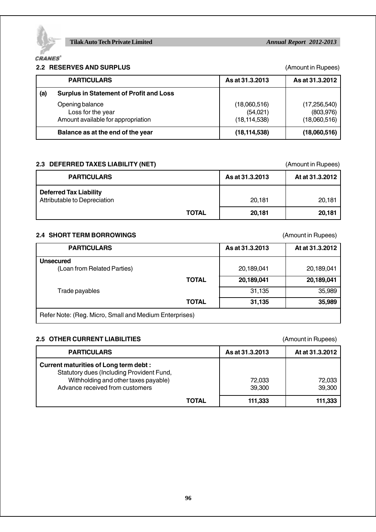

*Annual Report 2012-2013*

**CRANES** 

### **2.2 RESERVES AND SURPLUS** (Amount in Rupees)

|     | <b>PARTICULARS</b>                                                         | As at 31.3.2013                            | As at 31.3.2012                              |
|-----|----------------------------------------------------------------------------|--------------------------------------------|----------------------------------------------|
| (a) | <b>Surplus in Statement of Profit and Loss</b>                             |                                            |                                              |
|     | Opening balance<br>Loss for the year<br>Amount available for appropriation | (18,060,516)<br>(54,021)<br>(18, 114, 538) | (17, 256, 540)<br>(803, 976)<br>(18,060,516) |
|     | Balance as at the end of the year                                          | (18, 114, 538)                             | (18,060,516)                                 |

### **2.3 DEFERRED TAXES LIABILITY (NET)** (Amount in Rupees)

| <b>PARTICULARS</b>                                            |              | As at 31.3.2013 | At at 31.3.2012 |
|---------------------------------------------------------------|--------------|-----------------|-----------------|
| <b>Deferred Tax Liability</b><br>Attributable to Depreciation |              | 20,181          | 20,181          |
|                                                               | <b>TOTAL</b> | 20,181          | 20,181          |

### **2.4 SHORT TERM BORROWINGS** (Amount in Rupees)

| <b>PARTICULARS</b>                                     |              | As at 31.3.2013 | At at 31.3.2012 |
|--------------------------------------------------------|--------------|-----------------|-----------------|
| <b>Unsecured</b>                                       |              |                 |                 |
| (Loan from Related Parties)                            |              | 20,189,041      | 20,189,041      |
|                                                        | <b>TOTAL</b> | 20,189,041      | 20,189,041      |
| Trade payables                                         |              | 31,135          | 35,989          |
|                                                        | <b>TOTAL</b> | 31,135          | 35,989          |
| Refer Note: (Reg. Micro, Small and Medium Enterprises) |              |                 |                 |

### **2.5 OTHER CURRENT LIABILITIES** (Amount in Rupees)

| <b>PARTICULARS</b>                                                                                                                                                   | As at 31.3.2013  | At at 31.3.2012  |
|----------------------------------------------------------------------------------------------------------------------------------------------------------------------|------------------|------------------|
| <b>Current maturities of Long term debt:</b><br>Statutory dues (Including Provident Fund,<br>Withholding and other taxes payable)<br>Advance received from customers | 72,033<br>39,300 | 72,033<br>39,300 |
| TOTAL                                                                                                                                                                | 111,333          | 111,333          |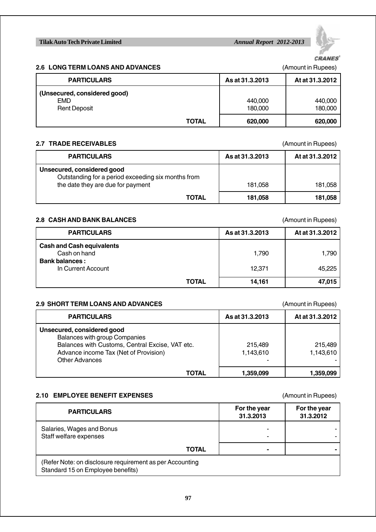**2.9 SHORT TERM LOANS AND ADVANCES** (Amount in Rupees) **PARTICULARS As at 31.3.2013** As at 31.3.2012 **Unsecured, considered good** Balances with group Companies Balances with Customs, Central Excise, VAT etc. 215,489<br>Advance income Tax (Net of Provision) 1,143,610 1,143,610 Advance income Tax (Net of Provision) **Other Advances** 

### **2.10 EMPLOYEE BENEFIT EXPENSES** (Amount in Rupees)

| <b>PARTICULARS</b>                                                                            | For the year<br>31.3.2013 | For the year<br>31.3.2012 |
|-----------------------------------------------------------------------------------------------|---------------------------|---------------------------|
| Salaries, Wages and Bonus<br>Staff welfare expenses                                           | -<br>-                    |                           |
| <b>TOTAL</b>                                                                                  | -                         |                           |
| (Refer Note: on disclosure requirement as per Accounting<br>Standard 15 on Employee benefits) |                           |                           |

| <b>PARTICULARS</b>                                                                                                    | As at 31.3.2013 | At at 31.3.2012 |
|-----------------------------------------------------------------------------------------------------------------------|-----------------|-----------------|
| Unsecured, considered good<br>Outstanding for a period exceeding six months from<br>the date they are due for payment | 181.058         | 181,058         |
| <b>TOTAL</b>                                                                                                          | 181,058         | 181,058         |

**PARTICULARS As at 31.3.2013** As at 31.3.2012

EMD 440,000 440,000 Rent Deposit 180,000 180,000 180,000

| <b>PARTICULARS</b>               | As at 31.3.2013 | At at 31.3.2012 |  |
|----------------------------------|-----------------|-----------------|--|
| <b>Cash and Cash equivalents</b> |                 |                 |  |
| Cash on hand                     | 1.790           | 1,790           |  |
| <b>Bank balances:</b>            |                 |                 |  |
| In Current Account               | 12,371          | 45,225          |  |
| <b>TOTAL</b>                     | 14,161          | 47,015          |  |

**2.8 CASH AND BANK BALANCES** (Amount in Rupees)

### **2.6 LONG TERM LOANS AND ADVANCES** (Amount in Rupees)

**Tilak Auto Tech Private Limited**

**(Unsecured, considered good)**

Г

| <b>Annual Report 2012-2013</b> |  |
|--------------------------------|--|
|                                |  |

**TOTAL 620,000 620,000**

**TOTAL 1,359,099 1,359,099**

| <b>PARTICULARS</b>                                                                            |              | For the year<br>31.3.2013 | For the year<br>31.3.2012 |
|-----------------------------------------------------------------------------------------------|--------------|---------------------------|---------------------------|
| Salaries, Wages and Bonus<br>Staff welfare expenses                                           |              | ۰<br>۰                    |                           |
|                                                                                               | <b>TOTAL</b> | $\blacksquare$            |                           |
| (Refer Note: on disclosure requirement as per Accounting<br>Standard 15 on Employee benefits) |              |                           |                           |
|                                                                                               |              |                           |                           |



**2.7 TRADE RECEIVABLES** (Amount in Rupees)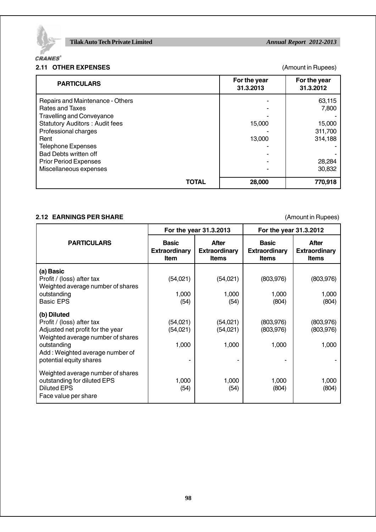

*Annual Report 2012-2013*

### **CRANES**

### **2.11 OTHER EXPENSES** (Amount in Rupees)

| <b>PARTICULARS</b>                                  | For the year<br>31.3.2013 | For the year<br>31.3.2012 |
|-----------------------------------------------------|---------------------------|---------------------------|
| Repairs and Maintenance - Others<br>Rates and Taxes |                           | 63,115                    |
| <b>Travelling and Conveyance</b>                    |                           | 7,800                     |
| <b>Statutory Auditors: Audit fees</b>               | 15,000                    | 15,000                    |
| Professional charges                                |                           | 311,700                   |
| Rent                                                | 13,000                    | 314,188                   |
| <b>Telephone Expenses</b>                           |                           |                           |
| <b>Bad Debts written off</b>                        |                           |                           |
| <b>Prior Period Expenses</b>                        |                           | 28,284                    |
| Miscellaneous expenses                              |                           | 30,832                    |
| <b>TOTAL</b>                                        | 28,000                    | 770,918                   |

### **2.12 EARNINGS PER SHARE** (Amount in Rupees)

|                                                                                                                                                                                                |                                                     | For the year 31.3.2013                        | For the year 31.3.2012                               |                                               |  |
|------------------------------------------------------------------------------------------------------------------------------------------------------------------------------------------------|-----------------------------------------------------|-----------------------------------------------|------------------------------------------------------|-----------------------------------------------|--|
| <b>PARTICULARS</b>                                                                                                                                                                             | <b>Basic</b><br><b>Extraordinary</b><br><b>Item</b> | After<br><b>Extraordinary</b><br><b>Items</b> | <b>Basic</b><br><b>Extraordinary</b><br><b>Items</b> | After<br><b>Extraordinary</b><br><b>Items</b> |  |
| (a) Basic<br>Profit / (loss) after tax<br>Weighted average number of shares<br>outstanding<br><b>Basic EPS</b>                                                                                 | (54, 021)<br>1,000<br>(54)                          | (54,021)<br>1,000<br>(54)                     | (803, 976)<br>1,000<br>(804)                         | (803, 976)<br>1,000<br>(804)                  |  |
| (b) Diluted<br>Profit / (loss) after tax<br>Adjusted net profit for the year<br>Weighted average number of shares<br>outstanding<br>Add: Weighted average number of<br>potential equity shares | (54, 021)<br>(54,021)<br>1,000                      | (54, 021)<br>(54,021)<br>1,000                | (803, 976)<br>(803, 976)<br>1,000                    | (803, 976)<br>(803, 976)<br>1,000             |  |
| Weighted average number of shares<br>outstanding for diluted EPS<br><b>Diluted EPS</b><br>Face value per share                                                                                 | 1,000<br>(54)                                       | 1,000<br>(54)                                 | 1,000<br>(804)                                       | 1,000<br>(804)                                |  |